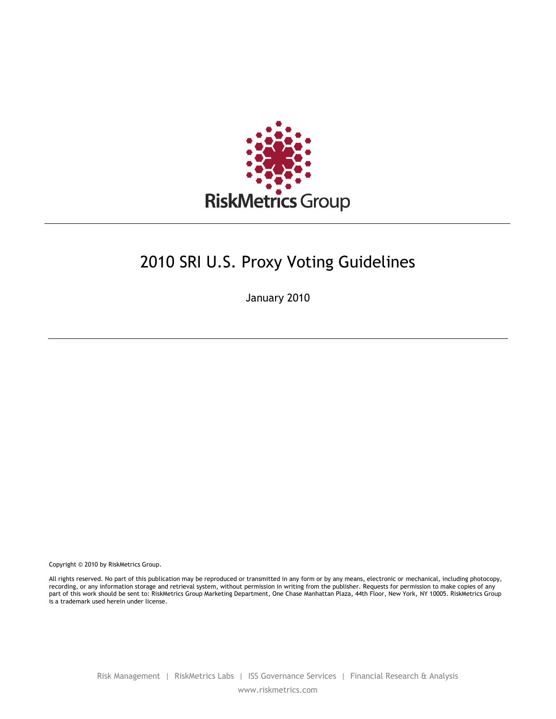

# 2010 SRI U.S. Proxy Voting Guidelines

January 2010

Copyright © 2010 by RiskMetrics Group.

All rights reserved. No part of this publication may be reproduced or transmitted in any form or by any means, electronic or mechanical, including photocopy, recording, or any information storage and retrieval system, without permission in writing from the publisher. Requests for permission to make copies of any part of this work should be sent to: RiskMetrics Group Marketing Department, One Chase Manhattan Plaza, 44th Floor, New York, NY 10005. RiskMetrics Group is a trademark used herein under license.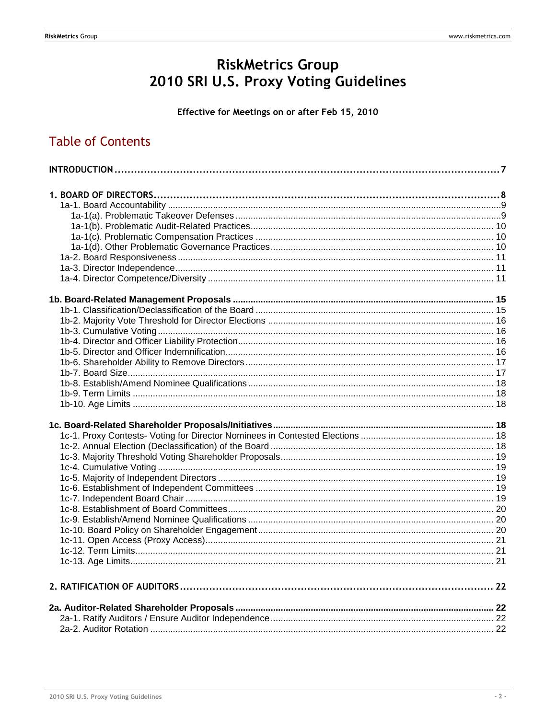# RiskMetrics Group<br>2010 SRI U.S. Proxy Voting Guidelines

### Effective for Meetings on or after Feb 15, 2010

# **Table of Contents**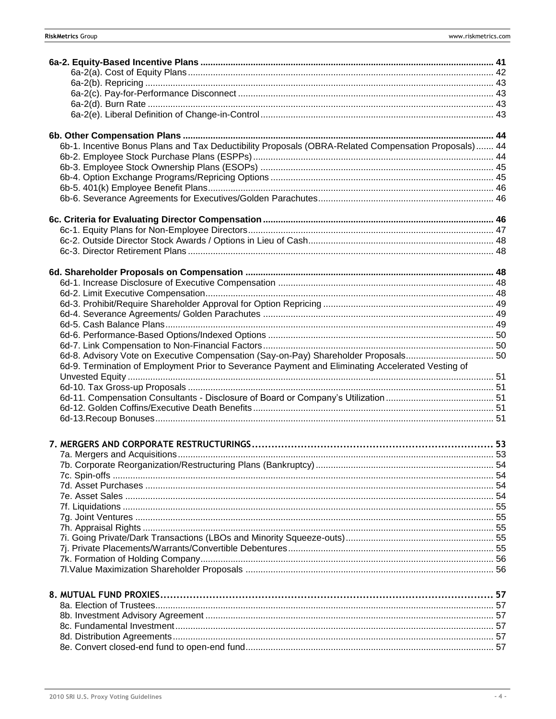| 6b-1. Incentive Bonus Plans and Tax Deductibility Proposals (OBRA-Related Compensation Proposals) 44 |  |
|------------------------------------------------------------------------------------------------------|--|
|                                                                                                      |  |
|                                                                                                      |  |
|                                                                                                      |  |
|                                                                                                      |  |
|                                                                                                      |  |
|                                                                                                      |  |
|                                                                                                      |  |
|                                                                                                      |  |
|                                                                                                      |  |
|                                                                                                      |  |
|                                                                                                      |  |
|                                                                                                      |  |
|                                                                                                      |  |
|                                                                                                      |  |
|                                                                                                      |  |
|                                                                                                      |  |
|                                                                                                      |  |
|                                                                                                      |  |
|                                                                                                      |  |
| 6d-8. Advisory Vote on Executive Compensation (Say-on-Pay) Shareholder Proposals 50                  |  |
| 6d-9. Termination of Employment Prior to Severance Payment and Eliminating Accelerated Vesting of    |  |
|                                                                                                      |  |
|                                                                                                      |  |
|                                                                                                      |  |
|                                                                                                      |  |
|                                                                                                      |  |
|                                                                                                      |  |
|                                                                                                      |  |
|                                                                                                      |  |
|                                                                                                      |  |
|                                                                                                      |  |
|                                                                                                      |  |
|                                                                                                      |  |
|                                                                                                      |  |
|                                                                                                      |  |
|                                                                                                      |  |
|                                                                                                      |  |
|                                                                                                      |  |
|                                                                                                      |  |
|                                                                                                      |  |
|                                                                                                      |  |
|                                                                                                      |  |
|                                                                                                      |  |
|                                                                                                      |  |
|                                                                                                      |  |
|                                                                                                      |  |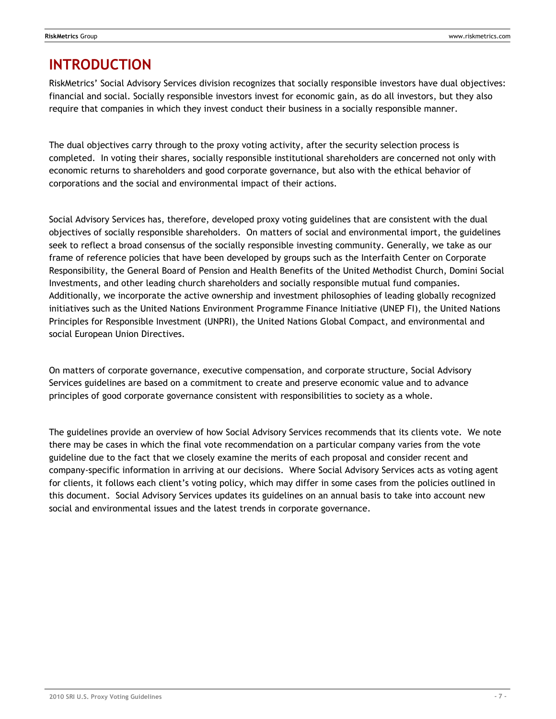# <span id="page-6-0"></span>**INTRODUCTION**

RiskMetrics' Social Advisory Services division recognizes that socially responsible investors have dual objectives: financial and social. Socially responsible investors invest for economic gain, as do all investors, but they also require that companies in which they invest conduct their business in a socially responsible manner.

The dual objectives carry through to the proxy voting activity, after the security selection process is completed. In voting their shares, socially responsible institutional shareholders are concerned not only with economic returns to shareholders and good corporate governance, but also with the ethical behavior of corporations and the social and environmental impact of their actions.

Social Advisory Services has, therefore, developed proxy voting guidelines that are consistent with the dual objectives of socially responsible shareholders. On matters of social and environmental import, the guidelines seek to reflect a broad consensus of the socially responsible investing community. Generally, we take as our frame of reference policies that have been developed by groups such as the Interfaith Center on Corporate Responsibility, the General Board of Pension and Health Benefits of the United Methodist Church, Domini Social Investments, and other leading church shareholders and socially responsible mutual fund companies. Additionally, we incorporate the active ownership and investment philosophies of leading globally recognized initiatives such as the United Nations Environment Programme Finance Initiative (UNEP FI), the United Nations Principles for Responsible Investment (UNPRI), the United Nations Global Compact, and environmental and social European Union Directives.

On matters of corporate governance, executive compensation, and corporate structure, Social Advisory Services guidelines are based on a commitment to create and preserve economic value and to advance principles of good corporate governance consistent with responsibilities to society as a whole.

The guidelines provide an overview of how Social Advisory Services recommends that its clients vote. We note there may be cases in which the final vote recommendation on a particular company varies from the vote guideline due to the fact that we closely examine the merits of each proposal and consider recent and company-specific information in arriving at our decisions. Where Social Advisory Services acts as voting agent for clients, it follows each client's voting policy, which may differ in some cases from the policies outlined in this document. Social Advisory Services updates its guidelines on an annual basis to take into account new social and environmental issues and the latest trends in corporate governance.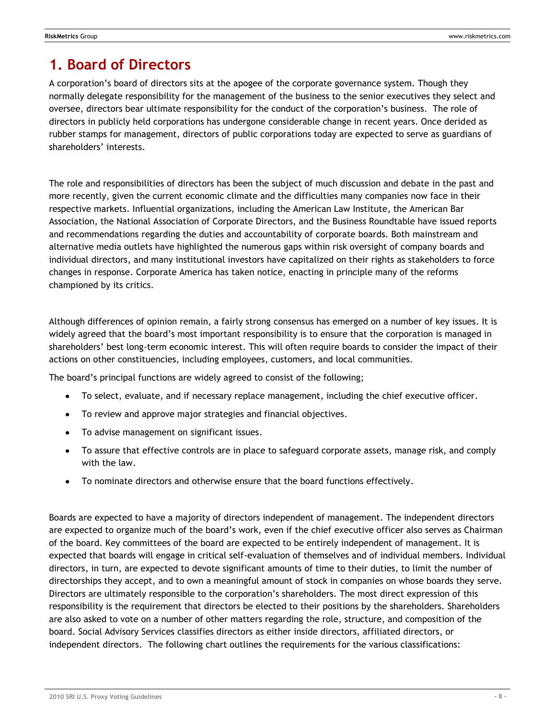# <span id="page-7-0"></span>**1. Board of Directors**

A corporation's board of directors sits at the apogee of the corporate governance system. Though they normally delegate responsibility for the management of the business to the senior executives they select and oversee, directors bear ultimate responsibility for the conduct of the corporation's business. The role of directors in publicly held corporations has undergone considerable change in recent years. Once derided as rubber stamps for management, directors of public corporations today are expected to serve as guardians of shareholders' interests.

The role and responsibilities of directors has been the subject of much discussion and debate in the past and more recently, given the current economic climate and the difficulties many companies now face in their respective markets. Influential organizations, including the American Law Institute, the American Bar Association, the National Association of Corporate Directors, and the Business Roundtable have issued reports and recommendations regarding the duties and accountability of corporate boards. Both mainstream and alternative media outlets have highlighted the numerous gaps within risk oversight of company boards and individual directors, and many institutional investors have capitalized on their rights as stakeholders to force changes in response. Corporate America has taken notice, enacting in principle many of the reforms championed by its critics.

Although differences of opinion remain, a fairly strong consensus has emerged on a number of key issues. It is widely agreed that the board's most important responsibility is to ensure that the corporation is managed in shareholders' best long-term economic interest. This will often require boards to consider the impact of their actions on other constituencies, including employees, customers, and local communities.

The board's principal functions are widely agreed to consist of the following;

- To select, evaluate, and if necessary replace management, including the chief executive officer.
- To review and approve major strategies and financial objectives.
- To advise management on significant issues.  $\bullet$
- To assure that effective controls are in place to safeguard corporate assets, manage risk, and comply with the law.
- To nominate directors and otherwise ensure that the board functions effectively.

Boards are expected to have a majority of directors independent of management. The independent directors are expected to organize much of the board's work, even if the chief executive officer also serves as Chairman of the board. Key committees of the board are expected to be entirely independent of management. It is expected that boards will engage in critical self-evaluation of themselves and of individual members. Individual directors, in turn, are expected to devote significant amounts of time to their duties, to limit the number of directorships they accept, and to own a meaningful amount of stock in companies on whose boards they serve. Directors are ultimately responsible to the corporation's shareholders. The most direct expression of this responsibility is the requirement that directors be elected to their positions by the shareholders. Shareholders are also asked to vote on a number of other matters regarding the role, structure, and composition of the board. Social Advisory Services classifies directors as either inside directors, affiliated directors, or independent directors. The following chart outlines the requirements for the various classifications: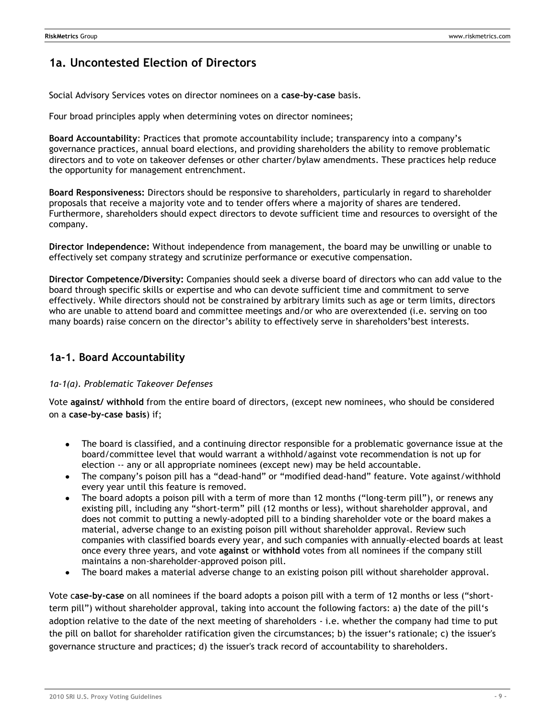## **1a. Uncontested Election of Directors**

Social Advisory Services votes on director nominees on a **case-by-case** basis.

Four broad principles apply when determining votes on director nominees;

**Board Accountability**: Practices that promote accountability include; transparency into a company's governance practices, annual board elections, and providing shareholders the ability to remove problematic directors and to vote on takeover defenses or other charter/bylaw amendments. These practices help reduce the opportunity for management entrenchment.

**Board Responsiveness:** Directors should be responsive to shareholders, particularly in regard to shareholder proposals that receive a majority vote and to tender offers where a majority of shares are tendered. Furthermore, shareholders should expect directors to devote sufficient time and resources to oversight of the company.

**Director Independence:** Without independence from management, the board may be unwilling or unable to effectively set company strategy and scrutinize performance or executive compensation.

**Director Competence/Diversity:** Companies should seek a diverse board of directors who can add value to the board through specific skills or expertise and who can devote sufficient time and commitment to serve effectively. While directors should not be constrained by arbitrary limits such as age or term limits, directors who are unable to attend board and committee meetings and/or who are overextended (i.e. serving on too many boards) raise concern on the director's ability to effectively serve in shareholders'best interests.

### <span id="page-8-0"></span>**1a-1. Board Accountability**

### <span id="page-8-1"></span>*1a-1(a). Problematic Takeover Defenses*

Vote **against/ withhold** from the entire board of directors, (except new nominees, who should be considered on a **case-by-case basis**) if;

- The board is classified, and a continuing director responsible for a problematic governance issue at the board/committee level that would warrant a withhold/against vote recommendation is not up for election -- any or all appropriate nominees (except new) may be held accountable.
- The company's poison pill has a "dead-hand" or "modified dead-hand" feature. Vote against/withhold every year until this feature is removed.
- The board adopts a poison pill with a term of more than 12 months ("long-term pill"), or renews any existing pill, including any "short-term" pill (12 months or less), without shareholder approval, and does not commit to putting a newly-adopted pill to a binding shareholder vote or the board makes a material, adverse change to an existing poison pill without shareholder approval. Review such companies with classified boards every year, and such companies with annually-elected boards at least once every three years, and vote **against** or **withhold** votes from all nominees if the company still maintains a non-shareholder-approved poison pill.
- The board makes a material adverse change to an existing poison pill without shareholder approval.

Vote case-by-case on all nominees if the board adopts a poison pill with a term of 12 months or less ("shortterm pill") without shareholder approval, taking into account the following factors: a) the date of the pill's adoption relative to the date of the next meeting of shareholders - i.e. whether the company had time to put the pill on ballot for shareholder ratification given the circumstances; b) the issuer's rationale; c) the issuer's governance structure and practices; d) the issuer's track record of accountability to shareholders.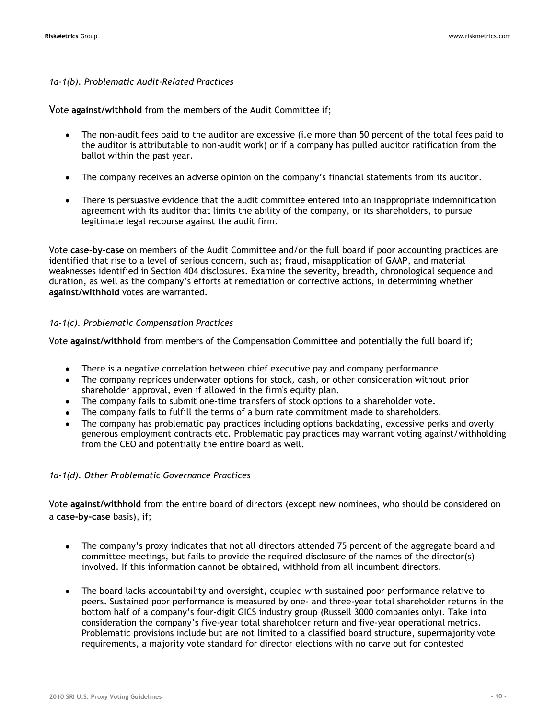<span id="page-9-0"></span>*1a-1(b). Problematic Audit-Related Practices*

Vote **against/withhold** from the members of the Audit Committee if;

- The non-audit fees paid to the auditor are excessive (i.e more than 50 percent of the total fees paid to the auditor is attributable to non-audit work) or if a company has pulled auditor ratification from the ballot within the past year.
- The company receives an adverse opinion on the company's financial statements from its auditor.
- There is persuasive evidence that the audit committee entered into an inappropriate indemnification agreement with its auditor that limits the ability of the company, or its shareholders, to pursue legitimate legal recourse against the audit firm.

Vote **case-by-case** on members of the Audit Committee and/or the full board if poor accounting practices are identified that rise to a level of serious concern, such as; fraud, misapplication of GAAP, and material weaknesses identified in Section 404 disclosures. Examine the severity, breadth, chronological sequence and duration, as well as the company's efforts at remediation or corrective actions, in determining whether **against/withhold** votes are warranted.

### <span id="page-9-1"></span>*1a-1(c). Problematic Compensation Practices*

Vote **against/withhold** from members of the Compensation Committee and potentially the full board if;

- There is a negative correlation between chief executive pay and company performance.
- The company reprices underwater options for stock, cash, or other consideration without prior  $\bullet$ shareholder approval, even if allowed in the firm's equity plan.
- The company fails to submit one-time transfers of stock options to a shareholder vote.
- The company fails to fulfill the terms of a burn rate commitment made to shareholders.
- The company has problematic pay practices including options backdating, excessive perks and overly generous employment contracts etc. Problematic pay practices may warrant voting against/withholding from the CEO and potentially the entire board as well.

#### <span id="page-9-2"></span>*1a-1(d). Other Problematic Governance Practices*

Vote **against/withhold** from the entire board of directors (except new nominees, who should be considered on a **case-by-case** basis), if;

- The company's proxy indicates that not all directors attended 75 percent of the aggregate board and committee meetings, but fails to provide the required disclosure of the names of the director(s) involved. If this information cannot be obtained, withhold from all incumbent directors.
- The board lacks accountability and oversight, coupled with sustained poor performance relative to peers. Sustained poor performance is measured by one- and three-year total shareholder returns in the bottom half of a company's four-digit GICS industry group (Russell 3000 companies only). Take into consideration the company's five-year total shareholder return and five-year operational metrics. Problematic provisions include but are not limited to a classified board structure, supermajority vote requirements, a majority vote standard for director elections with no carve out for contested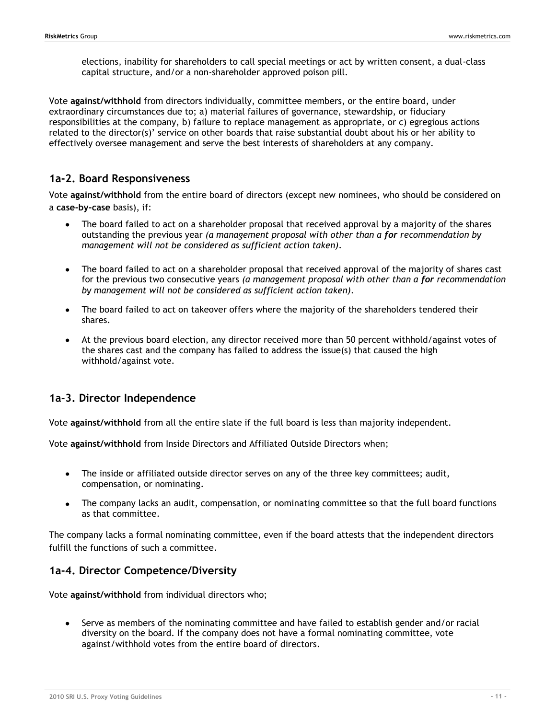elections, inability for shareholders to call special meetings or act by written consent, a dual-class capital structure, and/or a non-shareholder approved poison pill.

Vote **against/withhold** from directors individually, committee members, or the entire board, under extraordinary circumstances due to; a) material failures of governance, stewardship, or fiduciary responsibilities at the company, b) failure to replace management as appropriate, or c) egregious actions related to the director(s)' service on other boards that raise substantial doubt about his or her ability to effectively oversee management and serve the best interests of shareholders at any company.

### <span id="page-10-0"></span>**1a-2. Board Responsiveness**

Vote **against/withhold** from the entire board of directors (except new nominees, who should be considered on a **case-by-case** basis), if:

- The board failed to act on a shareholder proposal that received approval by a majority of the shares outstanding the previous year *(a management proposal with other than a for recommendation by management will not be considered as sufficient action taken).*
- $\bullet$ The board failed to act on a shareholder proposal that received approval of the majority of shares cast for the previous two consecutive years *(a management proposal with other than a for recommendation by management will not be considered as sufficient action taken).*
- The board failed to act on takeover offers where the majority of the shareholders tendered their shares.
- At the previous board election, any director received more than 50 percent withhold/against votes of the shares cast and the company has failed to address the issue(s) that caused the high withhold/against vote.

### <span id="page-10-1"></span>**1a-3. Director Independence**

Vote **against/withhold** from all the entire slate if the full board is less than majority independent.

Vote **against/withhold** from Inside Directors and Affiliated Outside Directors when;

- The inside or affiliated outside director serves on any of the three key committees; audit, compensation, or nominating.
- The company lacks an audit, compensation, or nominating committee so that the full board functions as that committee.

The company lacks a formal nominating committee, even if the board attests that the independent directors fulfill the functions of such a committee.

### <span id="page-10-2"></span>**1a-4. Director Competence/Diversity**

Vote **against/withhold** from individual directors who;

Serve as members of the nominating committee and have failed to establish gender and/or racial diversity on the board. If the company does not have a formal nominating committee, vote against/withhold votes from the entire board of directors.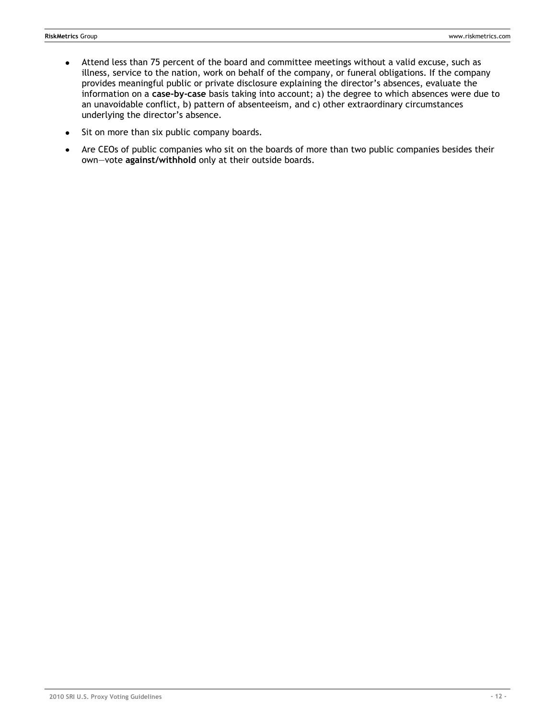- Attend less than 75 percent of the board and committee meetings without a valid excuse, such as  $\bullet$ illness, service to the nation, work on behalf of the company, or funeral obligations. If the company provides meaningful public or private disclosure explaining the director's absences, evaluate the information on a **case-by-case** basis taking into account; a) the degree to which absences were due to an unavoidable conflict, b) pattern of absenteeism, and c) other extraordinary circumstances underlying the director's absence.
- Sit on more than six public company boards.  $\bullet$
- Are CEOs of public companies who sit on the boards of more than two public companies besides their  $\bullet$ own—vote **against/withhold** only at their outside boards.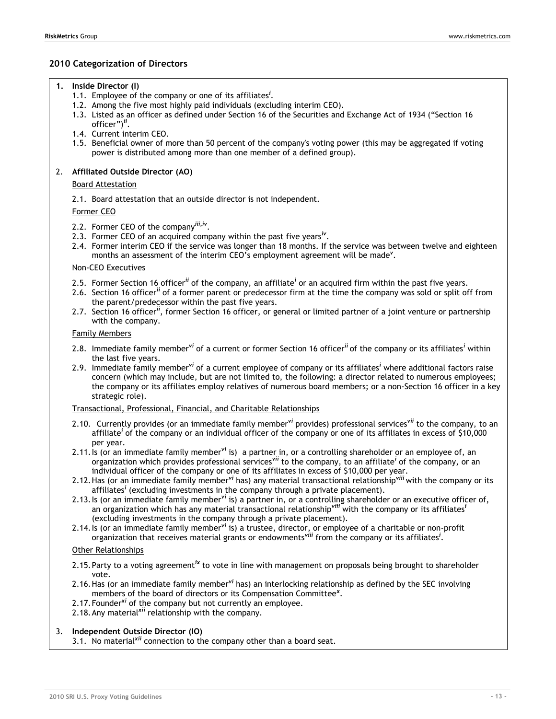### **2010 Categorization of Directors**

- **1. Inside Director (I)**
	- 1.1. Employee of the company or one of its affiliates*<sup>i</sup>* .
	- 1.2. Among the five most highly paid individuals (excluding interim CEO).
	- 1.3. Listed as an officer as defined under Section 16 of the Securities and Exchange Act of 1934 ("Section 16 officer")<sup>ii</sup>.
	- 1.4. Current interim CEO.
	- 1.5. Beneficial owner of more than 50 percent of the company's voting power (this may be aggregated if voting power is distributed among more than one member of a defined group).

#### 2. **Affiliated Outside Director (AO)**

#### Board Attestation

2.1. Board attestation that an outside director is not independent.

Former CEO

- 2.2. Former CEO of the company*iii,iv* .
- 2.3. Former CEO of an acquired company within the past five years*iv* .
- 2.4. Former interim CEO if the service was longer than 18 months. If the service was between twelve and eighteen months an assessment of the interim CEO's employment agreement will be made*<sup>v</sup>* .

#### Non-CEO Executives

- 2.5. Former Section 16 officer*ii* of the company, an affiliate*<sup>i</sup>* or an acquired firm within the past five years.
- 2.6. Section 16 officer*ii* of a former parent or predecessor firm at the time the company was sold or split off from the parent/predecessor within the past five years.
- 2.7. Section 16 officer*ii*, former Section 16 officer, or general or limited partner of a joint venture or partnership with the company.

#### Family Members

- 2.8. Immediate family member*vi* of a current or former Section 16 officer*ii* of the company or its affiliates*<sup>i</sup>* within the last five years.
- 2.9. Immediate family member*vi* of a current employee of company or its affiliates*<sup>i</sup>* where additional factors raise concern (which may include, but are not limited to, the following: a director related to numerous employees; the company or its affiliates employ relatives of numerous board members; or a non-Section 16 officer in a key strategic role).

#### Transactional, Professional, Financial, and Charitable Relationships

- 2.10. Currently provides (or an immediate family member*vi* provides) professional services*vii* to the company, to an affiliate*<sup>i</sup>* of the company or an individual officer of the company or one of its affiliates in excess of \$10,000 per year.
- 2.11.Is (or an immediate family member*vi* is) a partner in, or a controlling shareholder or an employee of, an organization which provides professional services*vii* to the company, to an affiliate*<sup>i</sup>* of the company, or an individual officer of the company or one of its affiliates in excess of \$10,000 per year.
- 2.12.Has (or an immediate family member*vi* has) any material transactional relationship*viii* with the company or its affiliates*<sup>i</sup>* (excluding investments in the company through a private placement).
- 2.13.Is (or an immediate family member*vi* is) a partner in, or a controlling shareholder or an executive officer of, an organization which has any material transactional relationship*viii* with the company or its affiliates*<sup>i</sup>* (excluding investments in the company through a private placement).
- 2.14.Is (or an immediate family member*vi* is) a trustee, director, or employee of a charitable or non-profit organization that receives material grants or endowments*viii* from the company or its affiliates*<sup>i</sup>* .

#### Other Relationships

- 2.15.Party to a voting agreement*ix* to vote in line with management on proposals being brought to shareholder vote.
- 2.16.Has (or an immediate family member*vi* has) an interlocking relationship as defined by the SEC involving members of the board of directors or its Compensation Committee*<sup>x</sup>* .
- 2.17.Founder*xi* of the company but not currently an employee.
- 2.18.Any material*xii* relationship with the company.

#### 3. **Independent Outside Director (IO)**

3.1. No material*xii* connection to the company other than a board seat.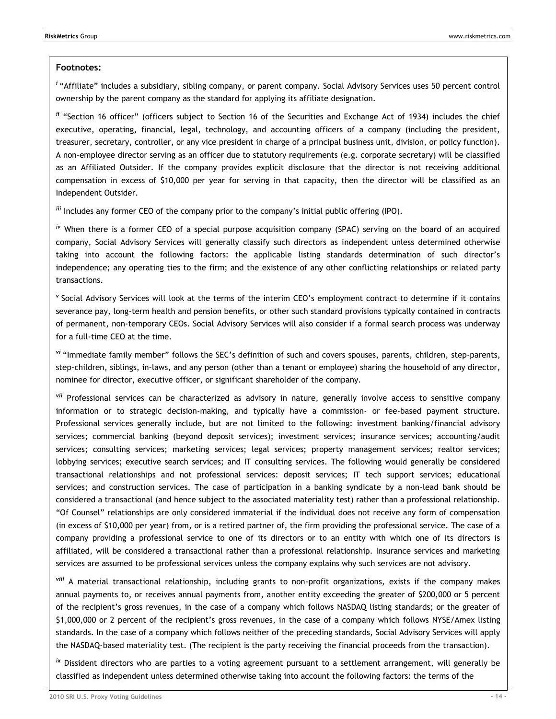#### **Footnotes:**

<sup>*i*</sup> "Affiliate" includes a subsidiary, sibling company, or parent company. Social Advisory Services uses 50 percent control ownership by the parent company as the standard for applying its affiliate designation.

<sup>*ii*</sup> "Section 16 officer" (officers subject to Section 16 of the Securities and Exchange Act of 1934) includes the chief executive, operating, financial, legal, technology, and accounting officers of a company (including the president, treasurer, secretary, controller, or any vice president in charge of a principal business unit, division, or policy function). A non-employee director serving as an officer due to statutory requirements (e.g. corporate secretary) will be classified as an Affiliated Outsider. If the company provides explicit disclosure that the director is not receiving additional compensation in excess of \$10,000 per year for serving in that capacity, then the director will be classified as an Independent Outsider.

*iii* Includes any former CEO of the company prior to the company's initial public offering (IPO).

*iv* When there is a former CEO of a special purpose acquisition company (SPAC) serving on the board of an acquired company, Social Advisory Services will generally classify such directors as independent unless determined otherwise taking into account the following factors: the applicable listing standards determination of such director's independence; any operating ties to the firm; and the existence of any other conflicting relationships or related party transactions.

<sup>v</sup> Social Advisory Services will look at the terms of the interim CEO's employment contract to determine if it contains severance pay, long-term health and pension benefits, or other such standard provisions typically contained in contracts of permanent, non-temporary CEOs. Social Advisory Services will also consider if a formal search process was underway for a full-time CEO at the time.

vi "Immediate family member" follows the SEC's definition of such and covers spouses, parents, children, step-parents, step-children, siblings, in-laws, and any person (other than a tenant or employee) sharing the household of any director, nominee for director, executive officer, or significant shareholder of the company.

*vii* Professional services can be characterized as advisory in nature, generally involve access to sensitive company information or to strategic decision-making, and typically have a commission- or fee-based payment structure. Professional services generally include, but are not limited to the following: investment banking/financial advisory services; commercial banking (beyond deposit services); investment services; insurance services; accounting/audit services; consulting services; marketing services; legal services; property management services; realtor services; lobbying services; executive search services; and IT consulting services. The following would generally be considered transactional relationships and not professional services: deposit services; IT tech support services; educational services; and construction services. The case of participation in a banking syndicate by a non-lead bank should be considered a transactional (and hence subject to the associated materiality test) rather than a professional relationship. ―Of Counsel‖ relationships are only considered immaterial if the individual does not receive any form of compensation (in excess of \$10,000 per year) from, or is a retired partner of, the firm providing the professional service. The case of a company providing a professional service to one of its directors or to an entity with which one of its directors is affiliated, will be considered a transactional rather than a professional relationship. Insurance services and marketing services are assumed to be professional services unless the company explains why such services are not advisory.

*viii* A material transactional relationship, including grants to non-profit organizations, exists if the company makes annual payments to, or receives annual payments from, another entity exceeding the greater of \$200,000 or 5 percent of the recipient's gross revenues, in the case of a company which follows NASDAQ listing standards; or the greater of \$1,000,000 or 2 percent of the recipient's gross revenues, in the case of a company which follows NYSE/Amex listing standards. In the case of a company which follows neither of the preceding standards, Social Advisory Services will apply the NASDAQ-based materiality test. (The recipient is the party receiving the financial proceeds from the transaction).

*ix* Dissident directors who are parties to a voting agreement pursuant to a settlement arrangement, will generally be classified as independent unless determined otherwise taking into account the following factors: the terms of the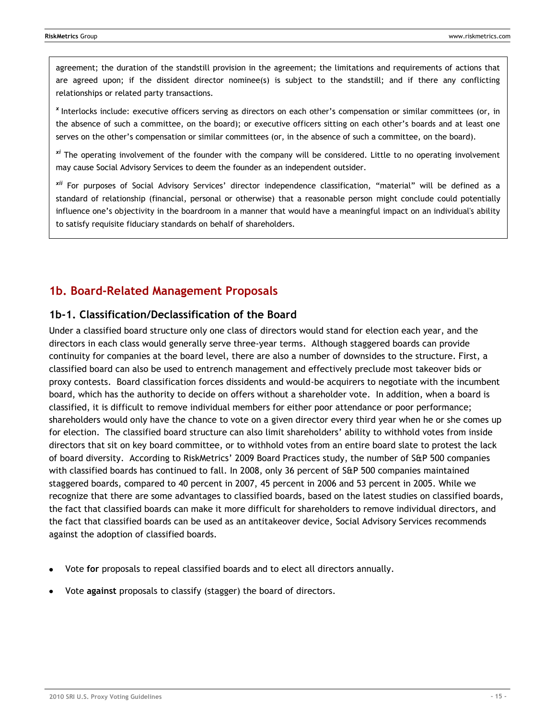agreement; the duration of the standstill provision in the agreement; the limitations and requirements of actions that are agreed upon; if the dissident director nominee(s) is subject to the standstill; and if there any conflicting relationships or related party transactions.

*<sup>x</sup>*Interlocks include: executive officers serving as directors on each other's compensation or similar committees (or, in the absence of such a committee, on the board); or executive officers sitting on each other's boards and at least one serves on the other's compensation or similar committees (or, in the absence of such a committee, on the board).

*xi* The operating involvement of the founder with the company will be considered. Little to no operating involvement may cause Social Advisory Services to deem the founder as an independent outsider.

*xii* For purposes of Social Advisory Services' director independence classification, "material" will be defined as a standard of relationship (financial, personal or otherwise) that a reasonable person might conclude could potentially influence one's objectivity in the boardroom in a manner that would have a meaningful impact on an individual's ability to satisfy requisite fiduciary standards on behalf of shareholders.

### <span id="page-14-0"></span>**1b. Board-Related Management Proposals**

### <span id="page-14-1"></span>**1b-1. Classification/Declassification of the Board**

Under a classified board structure only one class of directors would stand for election each year, and the directors in each class would generally serve three-year terms. Although staggered boards can provide continuity for companies at the board level, there are also a number of downsides to the structure. First, a classified board can also be used to entrench management and effectively preclude most takeover bids or proxy contests. Board classification forces dissidents and would-be acquirers to negotiate with the incumbent board, which has the authority to decide on offers without a shareholder vote. In addition, when a board is classified, it is difficult to remove individual members for either poor attendance or poor performance; shareholders would only have the chance to vote on a given director every third year when he or she comes up for election. The classified board structure can also limit shareholders' ability to withhold votes from inside directors that sit on key board committee, or to withhold votes from an entire board slate to protest the lack of board diversity. According to RiskMetrics' 2009 Board Practices study, the number of S&P 500 companies with classified boards has continued to fall. In 2008, only 36 percent of S&P 500 companies maintained staggered boards, compared to 40 percent in 2007, 45 percent in 2006 and 53 percent in 2005. While we recognize that there are some advantages to classified boards, based on the latest studies on classified boards, the fact that classified boards can make it more difficult for shareholders to remove individual directors, and the fact that classified boards can be used as an antitakeover device, Social Advisory Services recommends against the adoption of classified boards.

- Vote **for** proposals to repeal classified boards and to elect all directors annually.
- Vote **against** proposals to classify (stagger) the board of directors.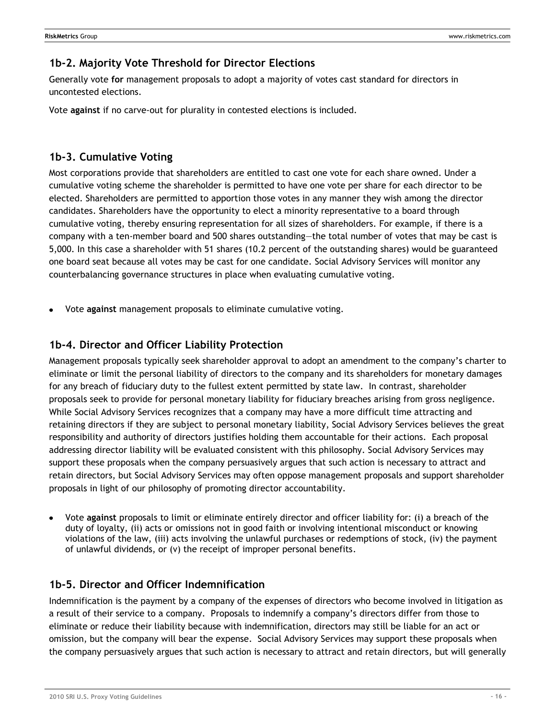### <span id="page-15-0"></span>**1b-2. Majority Vote Threshold for Director Elections**

Generally vote **for** management proposals to adopt a majority of votes cast standard for directors in uncontested elections.

Vote **against** if no carve-out for plurality in contested elections is included.

### <span id="page-15-1"></span>**1b-3. Cumulative Voting**

Most corporations provide that shareholders are entitled to cast one vote for each share owned. Under a cumulative voting scheme the shareholder is permitted to have one vote per share for each director to be elected. Shareholders are permitted to apportion those votes in any manner they wish among the director candidates. Shareholders have the opportunity to elect a minority representative to a board through cumulative voting, thereby ensuring representation for all sizes of shareholders. For example, if there is a company with a ten-member board and 500 shares outstanding—the total number of votes that may be cast is 5,000. In this case a shareholder with 51 shares (10.2 percent of the outstanding shares) would be guaranteed one board seat because all votes may be cast for one candidate. Social Advisory Services will monitor any counterbalancing governance structures in place when evaluating cumulative voting.

Vote **against** management proposals to eliminate cumulative voting.

### <span id="page-15-2"></span>**1b-4. Director and Officer Liability Protection**

Management proposals typically seek shareholder approval to adopt an amendment to the company's charter to eliminate or limit the personal liability of directors to the company and its shareholders for monetary damages for any breach of fiduciary duty to the fullest extent permitted by state law. In contrast, shareholder proposals seek to provide for personal monetary liability for fiduciary breaches arising from gross negligence. While Social Advisory Services recognizes that a company may have a more difficult time attracting and retaining directors if they are subject to personal monetary liability, Social Advisory Services believes the great responsibility and authority of directors justifies holding them accountable for their actions. Each proposal addressing director liability will be evaluated consistent with this philosophy. Social Advisory Services may support these proposals when the company persuasively argues that such action is necessary to attract and retain directors, but Social Advisory Services may often oppose management proposals and support shareholder proposals in light of our philosophy of promoting director accountability.

Vote **against** proposals to limit or eliminate entirely director and officer liability for: (i) a breach of the duty of loyalty, (ii) acts or omissions not in good faith or involving intentional misconduct or knowing violations of the law, (iii) acts involving the unlawful purchases or redemptions of stock, (iv) the payment of unlawful dividends, or (v) the receipt of improper personal benefits.

### <span id="page-15-3"></span>**1b-5. Director and Officer Indemnification**

Indemnification is the payment by a company of the expenses of directors who become involved in litigation as a result of their service to a company. Proposals to indemnify a company's directors differ from those to eliminate or reduce their liability because with indemnification, directors may still be liable for an act or omission, but the company will bear the expense. Social Advisory Services may support these proposals when the company persuasively argues that such action is necessary to attract and retain directors, but will generally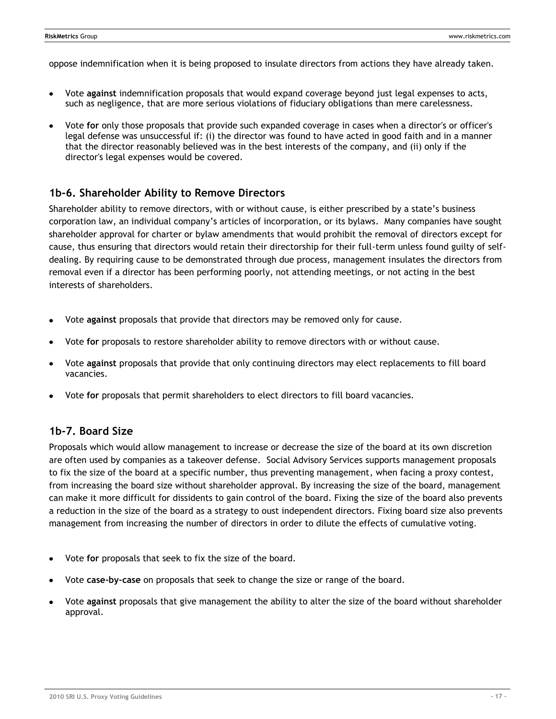oppose indemnification when it is being proposed to insulate directors from actions they have already taken.

- Vote **against** indemnification proposals that would expand coverage beyond just legal expenses to acts, such as negligence, that are more serious violations of fiduciary obligations than mere carelessness.
- Vote **for** only those proposals that provide such expanded coverage in cases when a director's or officer's legal defense was unsuccessful if: (i) the director was found to have acted in good faith and in a manner that the director reasonably believed was in the best interests of the company, and (ii) only if the director's legal expenses would be covered.

### <span id="page-16-0"></span>**1b-6. Shareholder Ability to Remove Directors**

Shareholder ability to remove directors, with or without cause, is either prescribed by a state's business corporation law, an individual company's articles of incorporation, or its bylaws. Many companies have sought shareholder approval for charter or bylaw amendments that would prohibit the removal of directors except for cause, thus ensuring that directors would retain their directorship for their full-term unless found guilty of selfdealing. By requiring cause to be demonstrated through due process, management insulates the directors from removal even if a director has been performing poorly, not attending meetings, or not acting in the best interests of shareholders.

- Vote **against** proposals that provide that directors may be removed only for cause.
- Vote **for** proposals to restore shareholder ability to remove directors with or without cause.
- Vote **against** proposals that provide that only continuing directors may elect replacements to fill board vacancies.
- Vote **for** proposals that permit shareholders to elect directors to fill board vacancies.

### <span id="page-16-1"></span>**1b-7. Board Size**

Proposals which would allow management to increase or decrease the size of the board at its own discretion are often used by companies as a takeover defense. Social Advisory Services supports management proposals to fix the size of the board at a specific number, thus preventing management, when facing a proxy contest, from increasing the board size without shareholder approval. By increasing the size of the board, management can make it more difficult for dissidents to gain control of the board. Fixing the size of the board also prevents a reduction in the size of the board as a strategy to oust independent directors. Fixing board size also prevents management from increasing the number of directors in order to dilute the effects of cumulative voting.

- Vote **for** proposals that seek to fix the size of the board.
- Vote **case-by-case** on proposals that seek to change the size or range of the board.
- Vote **against** proposals that give management the ability to alter the size of the board without shareholder approval.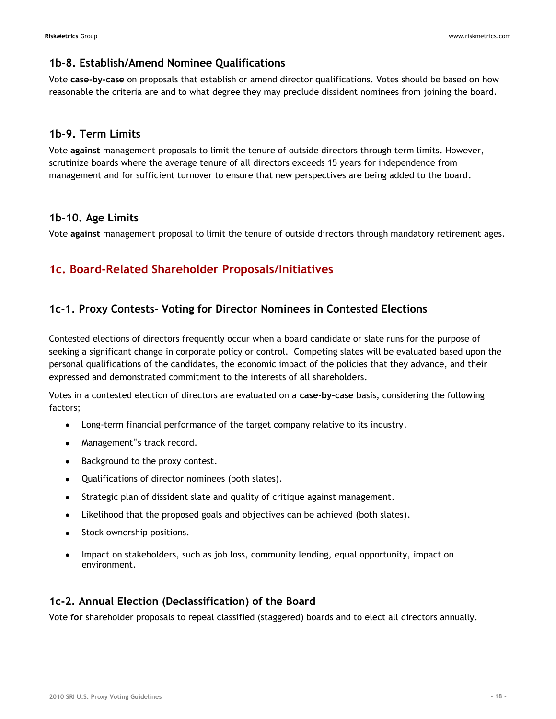### <span id="page-17-0"></span>**1b-8. Establish/Amend Nominee Qualifications**

Vote **case-by-case** on proposals that establish or amend director qualifications. Votes should be based on how reasonable the criteria are and to what degree they may preclude dissident nominees from joining the board.

### <span id="page-17-1"></span>**1b-9. Term Limits**

Vote **against** management proposals to limit the tenure of outside directors through term limits. However, scrutinize boards where the average tenure of all directors exceeds 15 years for independence from management and for sufficient turnover to ensure that new perspectives are being added to the board.

### <span id="page-17-2"></span>**1b-10. Age Limits**

Vote **against** management proposal to limit the tenure of outside directors through mandatory retirement ages.

# <span id="page-17-3"></span>**1c. Board-Related Shareholder Proposals/Initiatives**

### <span id="page-17-4"></span>**1c-1. Proxy Contests- Voting for Director Nominees in Contested Elections**

Contested elections of directors frequently occur when a board candidate or slate runs for the purpose of seeking a significant change in corporate policy or control. Competing slates will be evaluated based upon the personal qualifications of the candidates, the economic impact of the policies that they advance, and their expressed and demonstrated commitment to the interests of all shareholders.

Votes in a contested election of directors are evaluated on a **case-by-case** basis, considering the following factors;

- Long-term financial performance of the target company relative to its industry.
- Management"s track record.
- Background to the proxy contest.
- Qualifications of director nominees (both slates).
- Strategic plan of dissident slate and quality of critique against management.  $\bullet$
- Likelihood that the proposed goals and objectives can be achieved (both slates).
- Stock ownership positions.
- Impact on stakeholders, such as job loss, community lending, equal opportunity, impact on environment.

### <span id="page-17-5"></span>**1c-2. Annual Election (Declassification) of the Board**

Vote **for** shareholder proposals to repeal classified (staggered) boards and to elect all directors annually.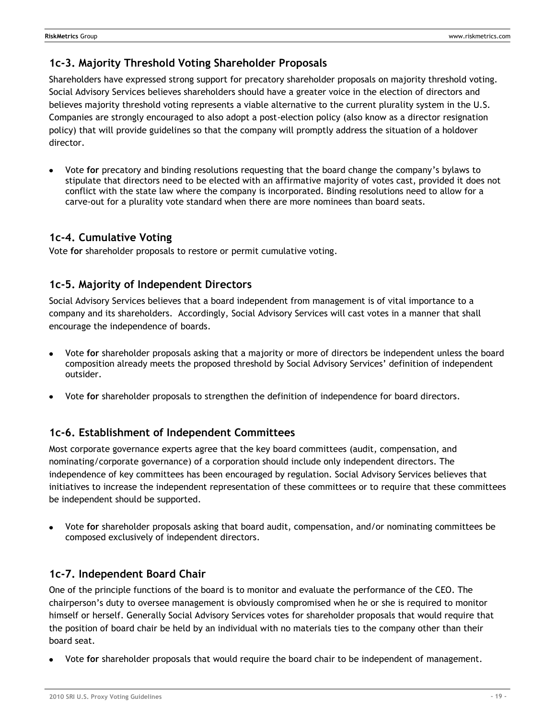### <span id="page-18-0"></span>**1c-3. Majority Threshold Voting Shareholder Proposals**

Shareholders have expressed strong support for precatory shareholder proposals on majority threshold voting. Social Advisory Services believes shareholders should have a greater voice in the election of directors and believes majority threshold voting represents a viable alternative to the current plurality system in the U.S. Companies are strongly encouraged to also adopt a post-election policy (also know as a director resignation policy) that will provide guidelines so that the company will promptly address the situation of a holdover director.

Vote **for** precatory and binding resolutions requesting that the board change the company's bylaws to stipulate that directors need to be elected with an affirmative majority of votes cast, provided it does not conflict with the state law where the company is incorporated. Binding resolutions need to allow for a carve-out for a plurality vote standard when there are more nominees than board seats.

### <span id="page-18-1"></span>**1c-4. Cumulative Voting**

Vote **for** shareholder proposals to restore or permit cumulative voting.

### <span id="page-18-2"></span>**1c-5. Majority of Independent Directors**

Social Advisory Services believes that a board independent from management is of vital importance to a company and its shareholders. Accordingly, Social Advisory Services will cast votes in a manner that shall encourage the independence of boards.

- Vote **for** shareholder proposals asking that a majority or more of directors be independent unless the board composition already meets the proposed threshold by Social Advisory Services' definition of independent outsider.
- Vote **for** shareholder proposals to strengthen the definition of independence for board directors.

### <span id="page-18-3"></span>**1c-6. Establishment of Independent Committees**

Most corporate governance experts agree that the key board committees (audit, compensation, and nominating/corporate governance) of a corporation should include only independent directors. The independence of key committees has been encouraged by regulation. Social Advisory Services believes that initiatives to increase the independent representation of these committees or to require that these committees be independent should be supported.

Vote **for** shareholder proposals asking that board audit, compensation, and/or nominating committees be composed exclusively of independent directors.

### <span id="page-18-4"></span>**1c-7. Independent Board Chair**

One of the principle functions of the board is to monitor and evaluate the performance of the CEO. The chairperson's duty to oversee management is obviously compromised when he or she is required to monitor himself or herself. Generally Social Advisory Services votes for shareholder proposals that would require that the position of board chair be held by an individual with no materials ties to the company other than their board seat.

Vote **for** shareholder proposals that would require the board chair to be independent of management.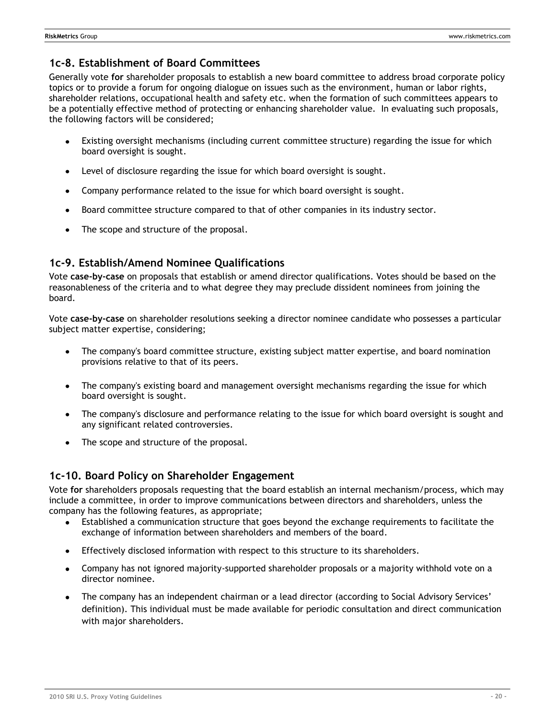### <span id="page-19-0"></span>**1c-8. Establishment of Board Committees**

Generally vote **for** shareholder proposals to establish a new board committee to address broad corporate policy topics or to provide a forum for ongoing dialogue on issues such as the environment, human or labor rights, shareholder relations, occupational health and safety etc. when the formation of such committees appears to be a potentially effective method of protecting or enhancing shareholder value. In evaluating such proposals, the following factors will be considered;

- Existing oversight mechanisms (including current committee structure) regarding the issue for which board oversight is sought.
- Level of disclosure regarding the issue for which board oversight is sought.
- Company performance related to the issue for which board oversight is sought.  $\bullet$
- Board committee structure compared to that of other companies in its industry sector.
- The scope and structure of the proposal.

### <span id="page-19-1"></span>**1c-9. Establish/Amend Nominee Qualifications**

Vote **case-by-case** on proposals that establish or amend director qualifications. Votes should be based on the reasonableness of the criteria and to what degree they may preclude dissident nominees from joining the board.

Vote **case-by-case** on shareholder resolutions seeking a director nominee candidate who possesses a particular subject matter expertise, considering;

- The company's board committee structure, existing subject matter expertise, and board nomination  $\bullet$ provisions relative to that of its peers.
- The company's existing board and management oversight mechanisms regarding the issue for which board oversight is sought.
- The company's disclosure and performance relating to the issue for which board oversight is sought and any significant related controversies.
- The scope and structure of the proposal.

### <span id="page-19-2"></span>**1c-10. Board Policy on Shareholder Engagement**

Vote **for** shareholders proposals requesting that the board establish an internal mechanism/process, which may include a committee, in order to improve communications between directors and shareholders, unless the company has the following features, as appropriate;

- Established a communication structure that goes beyond the exchange requirements to facilitate the  $\bullet$ exchange of information between shareholders and members of the board.
- Effectively disclosed information with respect to this structure to its shareholders.
- Company has not ignored majority-supported shareholder proposals or a majority withhold vote on a director nominee.
- The company has an independent chairman or a lead director (according to Social Advisory Services' definition). This individual must be made available for periodic consultation and direct communication with major shareholders.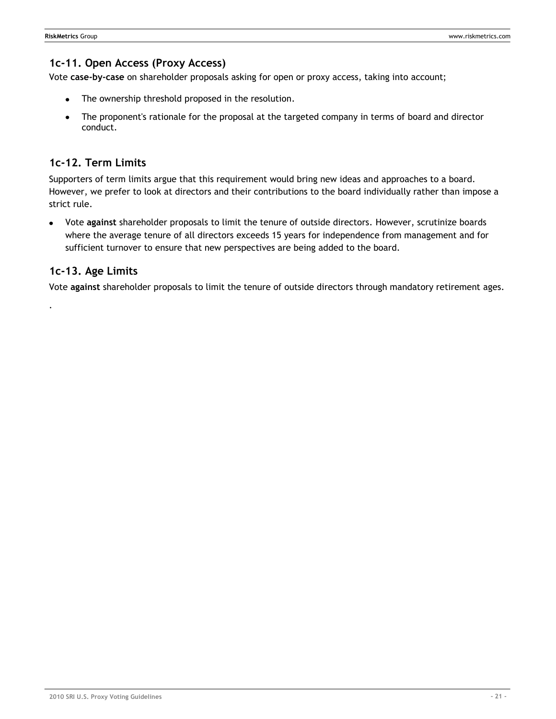### <span id="page-20-0"></span>**1c-11. Open Access (Proxy Access)**

Vote **case-by-case** on shareholder proposals asking for open or proxy access, taking into account;

- The ownership threshold proposed in the resolution.
- The proponent's rationale for the proposal at the targeted company in terms of board and director  $\bullet$ conduct.

### <span id="page-20-1"></span>**1c-12. Term Limits**

Supporters of term limits argue that this requirement would bring new ideas and approaches to a board. However, we prefer to look at directors and their contributions to the board individually rather than impose a strict rule.

Vote **against** shareholder proposals to limit the tenure of outside directors. However, scrutinize boards where the average tenure of all directors exceeds 15 years for independence from management and for sufficient turnover to ensure that new perspectives are being added to the board.

### <span id="page-20-2"></span>**1c-13. Age Limits**

.

Vote **against** shareholder proposals to limit the tenure of outside directors through mandatory retirement ages.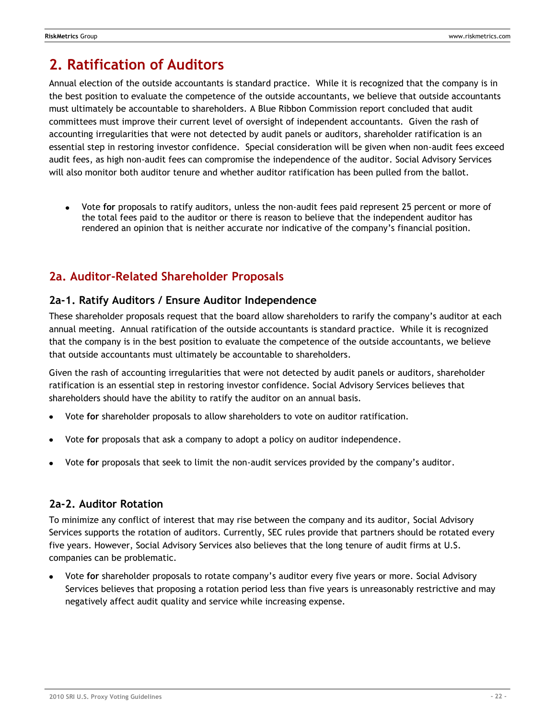# <span id="page-21-0"></span>**2. Ratification of Auditors**

Annual election of the outside accountants is standard practice. While it is recognized that the company is in the best position to evaluate the competence of the outside accountants, we believe that outside accountants must ultimately be accountable to shareholders. A Blue Ribbon Commission report concluded that audit committees must improve their current level of oversight of independent accountants. Given the rash of accounting irregularities that were not detected by audit panels or auditors, shareholder ratification is an essential step in restoring investor confidence. Special consideration will be given when non-audit fees exceed audit fees, as high non-audit fees can compromise the independence of the auditor. Social Advisory Services will also monitor both auditor tenure and whether auditor ratification has been pulled from the ballot.

 $\bullet$ Vote **for** proposals to ratify auditors, unless the non-audit fees paid represent 25 percent or more of the total fees paid to the auditor or there is reason to believe that the independent auditor has rendered an opinion that is neither accurate nor indicative of the company's financial position.

# <span id="page-21-1"></span>**2a. Auditor-Related Shareholder Proposals**

### <span id="page-21-2"></span>**2a-1. Ratify Auditors / Ensure Auditor Independence**

These shareholder proposals request that the board allow shareholders to rarify the company's auditor at each annual meeting. Annual ratification of the outside accountants is standard practice. While it is recognized that the company is in the best position to evaluate the competence of the outside accountants, we believe that outside accountants must ultimately be accountable to shareholders.

Given the rash of accounting irregularities that were not detected by audit panels or auditors, shareholder ratification is an essential step in restoring investor confidence. Social Advisory Services believes that shareholders should have the ability to ratify the auditor on an annual basis.

- Vote **for** shareholder proposals to allow shareholders to vote on auditor ratification.
- Vote **for** proposals that ask a company to adopt a policy on auditor independence.
- Vote **for** proposals that seek to limit the non-audit services provided by the company's auditor.

### <span id="page-21-3"></span>**2a-2. Auditor Rotation**

To minimize any conflict of interest that may rise between the company and its auditor, Social Advisory Services supports the rotation of auditors. Currently, SEC rules provide that partners should be rotated every five years. However, Social Advisory Services also believes that the long tenure of audit firms at U.S. companies can be problematic.

Vote **for** shareholder proposals to rotate company's auditor every five years or more. Social Advisory Services believes that proposing a rotation period less than five years is unreasonably restrictive and may negatively affect audit quality and service while increasing expense.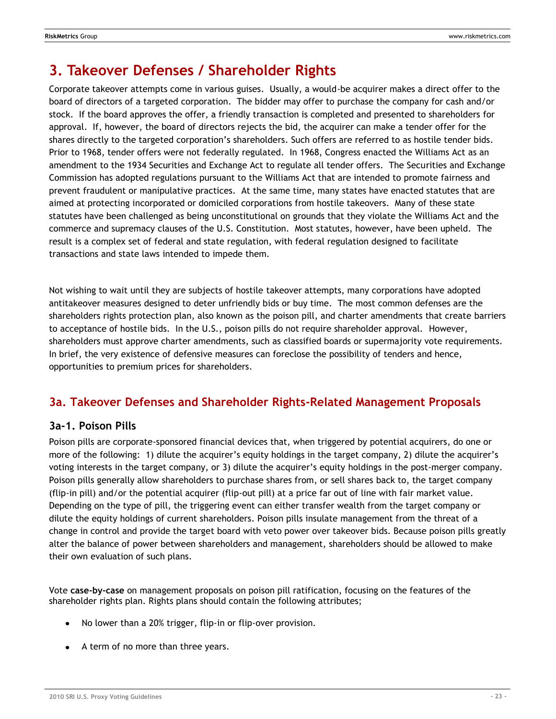# <span id="page-22-0"></span>**3. Takeover Defenses / Shareholder Rights**

Corporate takeover attempts come in various guises. Usually, a would-be acquirer makes a direct offer to the board of directors of a targeted corporation. The bidder may offer to purchase the company for cash and/or stock. If the board approves the offer, a friendly transaction is completed and presented to shareholders for approval. If, however, the board of directors rejects the bid, the acquirer can make a tender offer for the shares directly to the targeted corporation's shareholders. Such offers are referred to as hostile tender bids. Prior to 1968, tender offers were not federally regulated. In 1968, Congress enacted the Williams Act as an amendment to the 1934 Securities and Exchange Act to regulate all tender offers. The Securities and Exchange Commission has adopted regulations pursuant to the Williams Act that are intended to promote fairness and prevent fraudulent or manipulative practices. At the same time, many states have enacted statutes that are aimed at protecting incorporated or domiciled corporations from hostile takeovers. Many of these state statutes have been challenged as being unconstitutional on grounds that they violate the Williams Act and the commerce and supremacy clauses of the U.S. Constitution. Most statutes, however, have been upheld. The result is a complex set of federal and state regulation, with federal regulation designed to facilitate transactions and state laws intended to impede them.

Not wishing to wait until they are subjects of hostile takeover attempts, many corporations have adopted antitakeover measures designed to deter unfriendly bids or buy time. The most common defenses are the shareholders rights protection plan, also known as the poison pill, and charter amendments that create barriers to acceptance of hostile bids. In the U.S., poison pills do not require shareholder approval. However, shareholders must approve charter amendments, such as classified boards or supermajority vote requirements. In brief, the very existence of defensive measures can foreclose the possibility of tenders and hence, opportunities to premium prices for shareholders.

### <span id="page-22-1"></span>**3a. Takeover Defenses and Shareholder Rights-Related Management Proposals**

### <span id="page-22-2"></span>**3a-1. Poison Pills**

Poison pills are corporate-sponsored financial devices that, when triggered by potential acquirers, do one or more of the following: 1) dilute the acquirer's equity holdings in the target company, 2) dilute the acquirer's voting interests in the target company, or 3) dilute the acquirer's equity holdings in the post-merger company. Poison pills generally allow shareholders to purchase shares from, or sell shares back to, the target company (flip-in pill) and/or the potential acquirer (flip-out pill) at a price far out of line with fair market value. Depending on the type of pill, the triggering event can either transfer wealth from the target company or dilute the equity holdings of current shareholders. Poison pills insulate management from the threat of a change in control and provide the target board with veto power over takeover bids. Because poison pills greatly alter the balance of power between shareholders and management, shareholders should be allowed to make their own evaluation of such plans.

Vote **case-by-case** on management proposals on poison pill ratification, focusing on the features of the shareholder rights plan. Rights plans should contain the following attributes;

- No lower than a 20% trigger, flip-in or flip-over provision.  $\bullet$
- A term of no more than three years.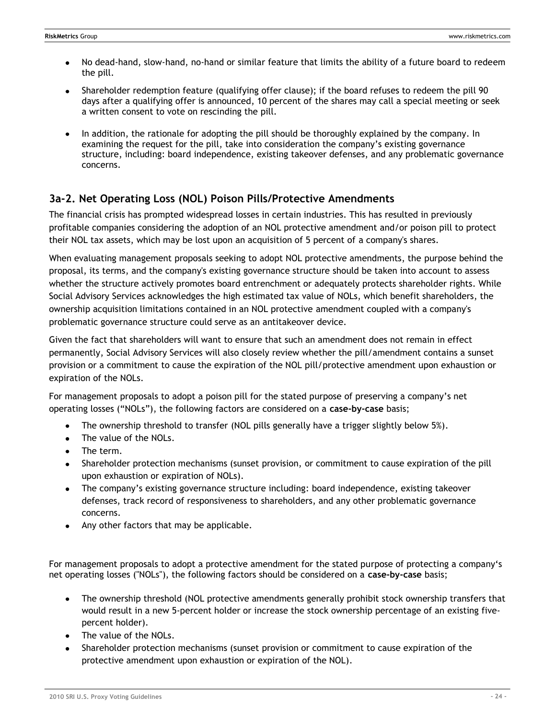- No dead-hand, slow-hand, no-hand or similar feature that limits the ability of a future board to redeem the pill.
- Shareholder redemption feature (qualifying offer clause); if the board refuses to redeem the pill 90 days after a qualifying offer is announced, 10 percent of the shares may call a special meeting or seek a written consent to vote on rescinding the pill.
- In addition, the rationale for adopting the pill should be thoroughly explained by the company. In examining the request for the pill, take into consideration the company's existing governance structure, including: board independence, existing takeover defenses, and any problematic governance concerns.

### <span id="page-23-0"></span>**3a-2. Net Operating Loss (NOL) Poison Pills/Protective Amendments**

The financial crisis has prompted widespread losses in certain industries. This has resulted in previously profitable companies considering the adoption of an NOL protective amendment and/or poison pill to protect their NOL tax assets, which may be lost upon an acquisition of 5 percent of a company's shares.

When evaluating management proposals seeking to adopt NOL protective amendments, the purpose behind the proposal, its terms, and the company's existing governance structure should be taken into account to assess whether the structure actively promotes board entrenchment or adequately protects shareholder rights. While Social Advisory Services acknowledges the high estimated tax value of NOLs, which benefit shareholders, the ownership acquisition limitations contained in an NOL protective amendment coupled with a company's problematic governance structure could serve as an antitakeover device.

Given the fact that shareholders will want to ensure that such an amendment does not remain in effect permanently, Social Advisory Services will also closely review whether the pill/amendment contains a sunset provision or a commitment to cause the expiration of the NOL pill/protective amendment upon exhaustion or expiration of the NOLs.

For management proposals to adopt a poison pill for the stated purpose of preserving a company's net operating losses ("NOLs"), the following factors are considered on a case-by-case basis;

- The ownership threshold to transfer (NOL pills generally have a trigger slightly below 5%).
- The value of the NOLs.
- The term.
- Shareholder protection mechanisms (sunset provision, or commitment to cause expiration of the pill upon exhaustion or expiration of NOLs).
- The company's existing governance structure including: board independence, existing takeover defenses, track record of responsiveness to shareholders, and any other problematic governance concerns.
- Any other factors that may be applicable.

For management proposals to adopt a protective amendment for the stated purpose of protecting a company's net operating losses ("NOLs"), the following factors should be considered on a **case-by-case** basis;

- The ownership threshold (NOL protective amendments generally prohibit stock ownership transfers that would result in a new 5-percent holder or increase the stock ownership percentage of an existing fivepercent holder).
- The value of the NOLs.
- Shareholder protection mechanisms (sunset provision or commitment to cause expiration of the protective amendment upon exhaustion or expiration of the NOL).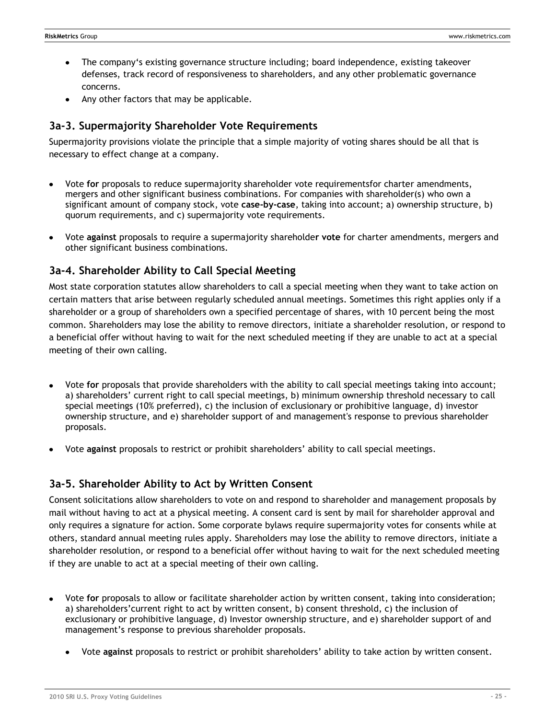- The company's existing governance structure including; board independence, existing takeover defenses, track record of responsiveness to shareholders, and any other problematic governance concerns.
- Any other factors that may be applicable.

### <span id="page-24-0"></span>**3a-3. Supermajority Shareholder Vote Requirements**

Supermajority provisions violate the principle that a simple majority of voting shares should be all that is necessary to effect change at a company.

- Vote **for** proposals to reduce supermajority shareholder vote requirementsfor charter amendments, mergers and other significant business combinations. For companies with shareholder(s) who own a significant amount of company stock, vote **case-by-case**, taking into account; a) ownership structure, b) quorum requirements, and c) supermajority vote requirements.
- Vote **against** proposals to require a supermajority shareholde**r vote** for charter amendments, mergers and other significant business combinations.

### <span id="page-24-1"></span>**3a-4. Shareholder Ability to Call Special Meeting**

Most state corporation statutes allow shareholders to call a special meeting when they want to take action on certain matters that arise between regularly scheduled annual meetings. Sometimes this right applies only if a shareholder or a group of shareholders own a specified percentage of shares, with 10 percent being the most common. Shareholders may lose the ability to remove directors, initiate a shareholder resolution, or respond to a beneficial offer without having to wait for the next scheduled meeting if they are unable to act at a special meeting of their own calling.

- Vote **for** proposals that provide shareholders with the ability to call special meetings taking into account; a) shareholders' current right to call special meetings, b) minimum ownership threshold necessary to call special meetings (10% preferred), c) the inclusion of exclusionary or prohibitive language, d) investor ownership structure, and e) shareholder support of and management's response to previous shareholder proposals.
- Vote **against** proposals to restrict or prohibit shareholders' ability to call special meetings.

### <span id="page-24-2"></span>**3a-5. Shareholder Ability to Act by Written Consent**

Consent solicitations allow shareholders to vote on and respond to shareholder and management proposals by mail without having to act at a physical meeting. A consent card is sent by mail for shareholder approval and only requires a signature for action. Some corporate bylaws require supermajority votes for consents while at others, standard annual meeting rules apply. Shareholders may lose the ability to remove directors, initiate a shareholder resolution, or respond to a beneficial offer without having to wait for the next scheduled meeting if they are unable to act at a special meeting of their own calling.

- Vote **for** proposals to allow or facilitate shareholder action by written consent, taking into consideration; a) shareholders'current right to act by written consent, b) consent threshold, c) the inclusion of exclusionary or prohibitive language, d) Investor ownership structure, and e) shareholder support of and management's response to previous shareholder proposals.
	- Vote **against** proposals to restrict or prohibit shareholders' ability to take action by written consent.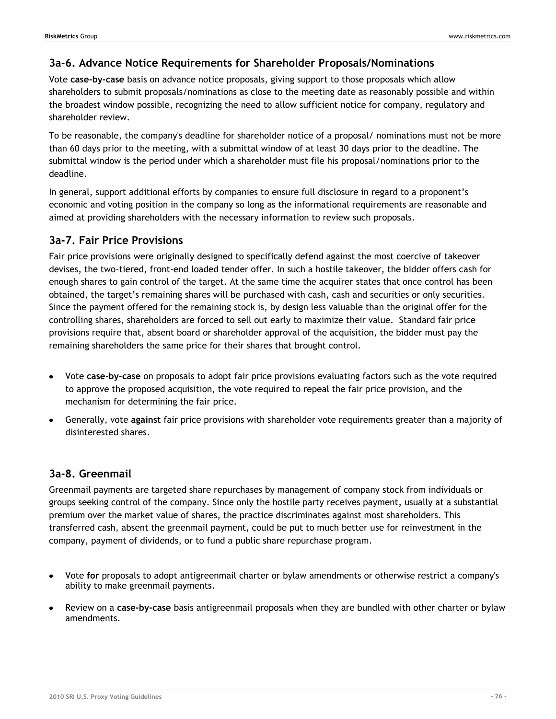### <span id="page-25-0"></span>**3a-6. Advance Notice Requirements for Shareholder Proposals/Nominations**

Vote **case-by-case** basis on advance notice proposals, giving support to those proposals which allow shareholders to submit proposals/nominations as close to the meeting date as reasonably possible and within the broadest window possible, recognizing the need to allow sufficient notice for company, regulatory and shareholder review.

To be reasonable, the company's deadline for shareholder notice of a proposal/ nominations must not be more than 60 days prior to the meeting, with a submittal window of at least 30 days prior to the deadline. The submittal window is the period under which a shareholder must file his proposal/nominations prior to the deadline.

In general, support additional efforts by companies to ensure full disclosure in regard to a proponent's economic and voting position in the company so long as the informational requirements are reasonable and aimed at providing shareholders with the necessary information to review such proposals.

### <span id="page-25-1"></span>**3a-7. Fair Price Provisions**

Fair price provisions were originally designed to specifically defend against the most coercive of takeover devises, the two-tiered, front-end loaded tender offer. In such a hostile takeover, the bidder offers cash for enough shares to gain control of the target. At the same time the acquirer states that once control has been obtained, the target's remaining shares will be purchased with cash, cash and securities or only securities. Since the payment offered for the remaining stock is, by design less valuable than the original offer for the controlling shares, shareholders are forced to sell out early to maximize their value. Standard fair price provisions require that, absent board or shareholder approval of the acquisition, the bidder must pay the remaining shareholders the same price for their shares that brought control.

- Vote **case-by-case** on proposals to adopt fair price provisions evaluating factors such as the vote required to approve the proposed acquisition, the vote required to repeal the fair price provision, and the mechanism for determining the fair price.
- Generally, vote **against** fair price provisions with shareholder vote requirements greater than a majority of disinterested shares.

### <span id="page-25-2"></span>**3a-8. Greenmail**

Greenmail payments are targeted share repurchases by management of company stock from individuals or groups seeking control of the company. Since only the hostile party receives payment, usually at a substantial premium over the market value of shares, the practice discriminates against most shareholders. This transferred cash, absent the greenmail payment, could be put to much better use for reinvestment in the company, payment of dividends, or to fund a public share repurchase program.

- Vote **for** proposals to adopt antigreenmail charter or bylaw amendments or otherwise restrict a company's ability to make greenmail payments.
- Review on a **case-by-case** basis antigreenmail proposals when they are bundled with other charter or bylaw amendments.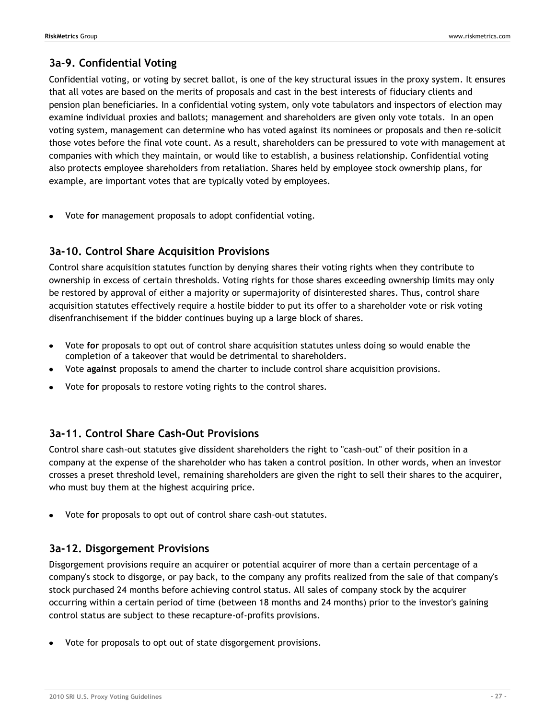### <span id="page-26-0"></span>**3a-9. Confidential Voting**

Confidential voting, or voting by secret ballot, is one of the key structural issues in the proxy system. It ensures that all votes are based on the merits of proposals and cast in the best interests of fiduciary clients and pension plan beneficiaries. In a confidential voting system, only vote tabulators and inspectors of election may examine individual proxies and ballots; management and shareholders are given only vote totals. In an open voting system, management can determine who has voted against its nominees or proposals and then re-solicit those votes before the final vote count. As a result, shareholders can be pressured to vote with management at companies with which they maintain, or would like to establish, a business relationship. Confidential voting also protects employee shareholders from retaliation. Shares held by employee stock ownership plans, for example, are important votes that are typically voted by employees.

Vote **for** management proposals to adopt confidential voting.

### <span id="page-26-1"></span>**3a-10. Control Share Acquisition Provisions**

Control share acquisition statutes function by denying shares their voting rights when they contribute to ownership in excess of certain thresholds. Voting rights for those shares exceeding ownership limits may only be restored by approval of either a majority or supermajority of disinterested shares. Thus, control share acquisition statutes effectively require a hostile bidder to put its offer to a shareholder vote or risk voting disenfranchisement if the bidder continues buying up a large block of shares.

- Vote **for** proposals to opt out of control share acquisition statutes unless doing so would enable the completion of a takeover that would be detrimental to shareholders.
- Vote **against** proposals to amend the charter to include control share acquisition provisions.
- Vote **for** proposals to restore voting rights to the control shares.

### <span id="page-26-2"></span>**3a-11. Control Share Cash-Out Provisions**

Control share cash-out statutes give dissident shareholders the right to "cash-out" of their position in a company at the expense of the shareholder who has taken a control position. In other words, when an investor crosses a preset threshold level, remaining shareholders are given the right to sell their shares to the acquirer, who must buy them at the highest acquiring price.

Vote **for** proposals to opt out of control share cash-out statutes.

### <span id="page-26-3"></span>**3a-12. Disgorgement Provisions**

Disgorgement provisions require an acquirer or potential acquirer of more than a certain percentage of a company's stock to disgorge, or pay back, to the company any profits realized from the sale of that company's stock purchased 24 months before achieving control status. All sales of company stock by the acquirer occurring within a certain period of time (between 18 months and 24 months) prior to the investor's gaining control status are subject to these recapture-of-profits provisions.

Vote for proposals to opt out of state disgorgement provisions.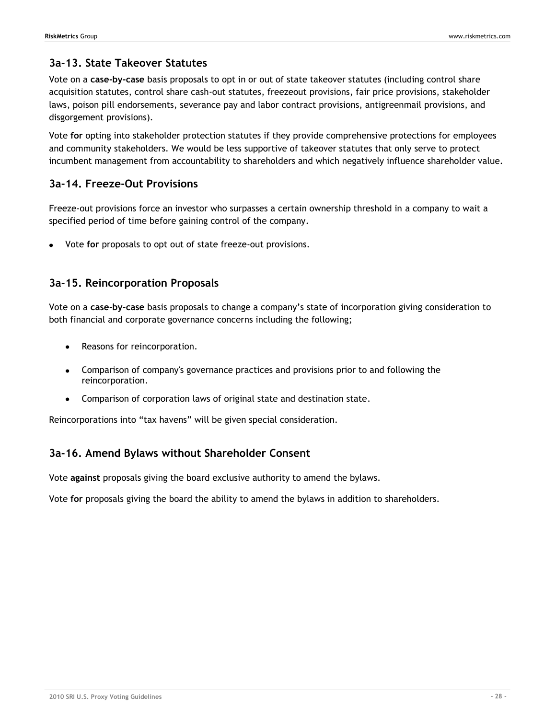### <span id="page-27-0"></span>**3a-13. State Takeover Statutes**

Vote on a **case-by-case** basis proposals to opt in or out of state takeover statutes (including control share acquisition statutes, control share cash-out statutes, freezeout provisions, fair price provisions, stakeholder laws, poison pill endorsements, severance pay and labor contract provisions, antigreenmail provisions, and disgorgement provisions).

Vote **for** opting into stakeholder protection statutes if they provide comprehensive protections for employees and community stakeholders. We would be less supportive of takeover statutes that only serve to protect incumbent management from accountability to shareholders and which negatively influence shareholder value.

### <span id="page-27-1"></span>**3a-14. Freeze-Out Provisions**

Freeze-out provisions force an investor who surpasses a certain ownership threshold in a company to wait a specified period of time before gaining control of the company.

Vote **for** proposals to opt out of state freeze-out provisions.

### <span id="page-27-2"></span>**3a-15. Reincorporation Proposals**

Vote on a **case-by-case** basis proposals to change a company's state of incorporation giving consideration to both financial and corporate governance concerns including the following;

- Reasons for reincorporation.  $\bullet$
- Comparison of company's governance practices and provisions prior to and following the reincorporation.
- Comparison of corporation laws of original state and destination state.

Reincorporations into "tax havens" will be given special consideration.

### <span id="page-27-3"></span>**3a-16. Amend Bylaws without Shareholder Consent**

Vote **against** proposals giving the board exclusive authority to amend the bylaws.

Vote **for** proposals giving the board the ability to amend the bylaws in addition to shareholders.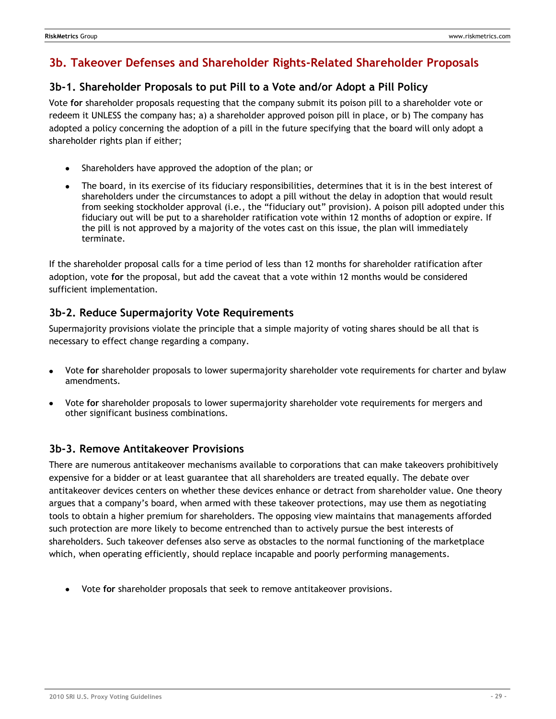## <span id="page-28-0"></span>**3b. Takeover Defenses and Shareholder Rights-Related Shareholder Proposals**

### <span id="page-28-1"></span>**3b-1. Shareholder Proposals to put Pill to a Vote and/or Adopt a Pill Policy**

Vote **for** shareholder proposals requesting that the company submit its poison pill to a shareholder vote or redeem it UNLESS the company has; a) a shareholder approved poison pill in place, or b) The company has adopted a policy concerning the adoption of a pill in the future specifying that the board will only adopt a shareholder rights plan if either;

- Shareholders have approved the adoption of the plan; or
- The board, in its exercise of its fiduciary responsibilities, determines that it is in the best interest of shareholders under the circumstances to adopt a pill without the delay in adoption that would result from seeking stockholder approval (i.e., the "fiduciary out" provision). A poison pill adopted under this fiduciary out will be put to a shareholder ratification vote within 12 months of adoption or expire. If the pill is not approved by a majority of the votes cast on this issue, the plan will immediately terminate.

If the shareholder proposal calls for a time period of less than 12 months for shareholder ratification after adoption, vote **for** the proposal, but add the caveat that a vote within 12 months would be considered sufficient implementation.

### <span id="page-28-2"></span>**3b-2. Reduce Supermajority Vote Requirements**

Supermajority provisions violate the principle that a simple majority of voting shares should be all that is necessary to effect change regarding a company.

- Vote **for** shareholder proposals to lower supermajority shareholder vote requirements for charter and bylaw amendments.
- Vote **for** shareholder proposals to lower supermajority shareholder vote requirements for mergers and other significant business combinations.

### <span id="page-28-3"></span>**3b-3. Remove Antitakeover Provisions**

There are numerous antitakeover mechanisms available to corporations that can make takeovers prohibitively expensive for a bidder or at least guarantee that all shareholders are treated equally. The debate over antitakeover devices centers on whether these devices enhance or detract from shareholder value. One theory argues that a company's board, when armed with these takeover protections, may use them as negotiating tools to obtain a higher premium for shareholders. The opposing view maintains that managements afforded such protection are more likely to become entrenched than to actively pursue the best interests of shareholders. Such takeover defenses also serve as obstacles to the normal functioning of the marketplace which, when operating efficiently, should replace incapable and poorly performing managements.

Vote **for** shareholder proposals that seek to remove antitakeover provisions.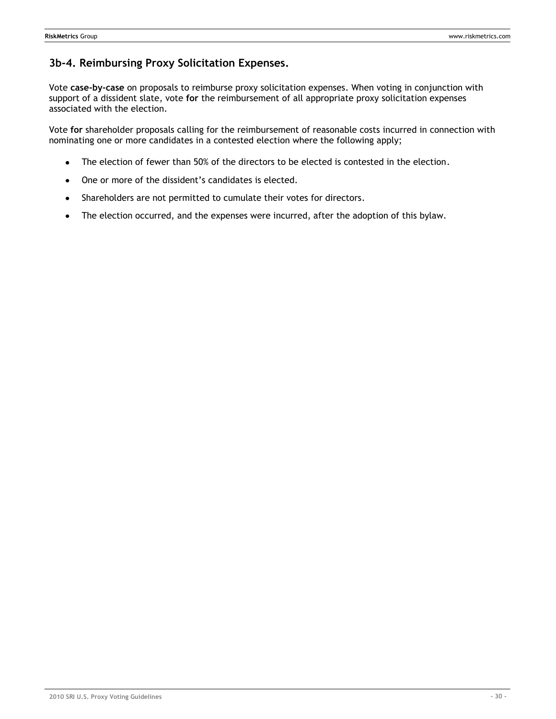### <span id="page-29-0"></span>**3b-4. Reimbursing Proxy Solicitation Expenses.**

Vote **case-by-case** on proposals to reimburse proxy solicitation expenses. When voting in conjunction with support of a dissident slate, vote **for** the reimbursement of all appropriate proxy solicitation expenses associated with the election.

Vote **for** shareholder proposals calling for the reimbursement of reasonable costs incurred in connection with nominating one or more candidates in a contested election where the following apply;

- The election of fewer than 50% of the directors to be elected is contested in the election.  $\bullet$
- One or more of the dissident's candidates is elected.
- Shareholders are not permitted to cumulate their votes for directors.  $\bullet$
- The election occurred, and the expenses were incurred, after the adoption of this bylaw.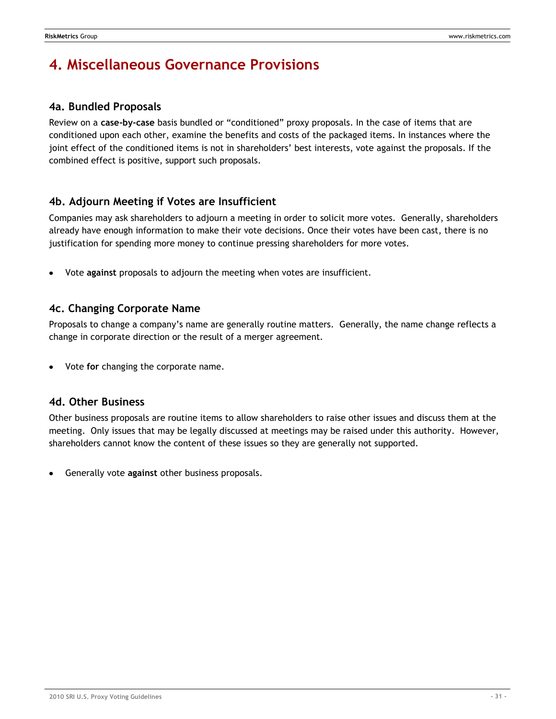# <span id="page-30-0"></span>**4. Miscellaneous Governance Provisions**

### <span id="page-30-1"></span>**4a. Bundled Proposals**

Review on a **case-by-case** basis bundled or "conditioned" proxy proposals. In the case of items that are conditioned upon each other, examine the benefits and costs of the packaged items. In instances where the joint effect of the conditioned items is not in shareholders' best interests, vote against the proposals. If the combined effect is positive, support such proposals.

### <span id="page-30-2"></span>**4b. Adjourn Meeting if Votes are Insufficient**

Companies may ask shareholders to adjourn a meeting in order to solicit more votes. Generally, shareholders already have enough information to make their vote decisions. Once their votes have been cast, there is no justification for spending more money to continue pressing shareholders for more votes.

Vote **against** proposals to adjourn the meeting when votes are insufficient.

### <span id="page-30-3"></span>**4c. Changing Corporate Name**

Proposals to change a company's name are generally routine matters. Generally, the name change reflects a change in corporate direction or the result of a merger agreement.

Vote **for** changing the corporate name.

### <span id="page-30-4"></span>**4d. Other Business**

Other business proposals are routine items to allow shareholders to raise other issues and discuss them at the meeting. Only issues that may be legally discussed at meetings may be raised under this authority. However, shareholders cannot know the content of these issues so they are generally not supported.

Generally vote **against** other business proposals.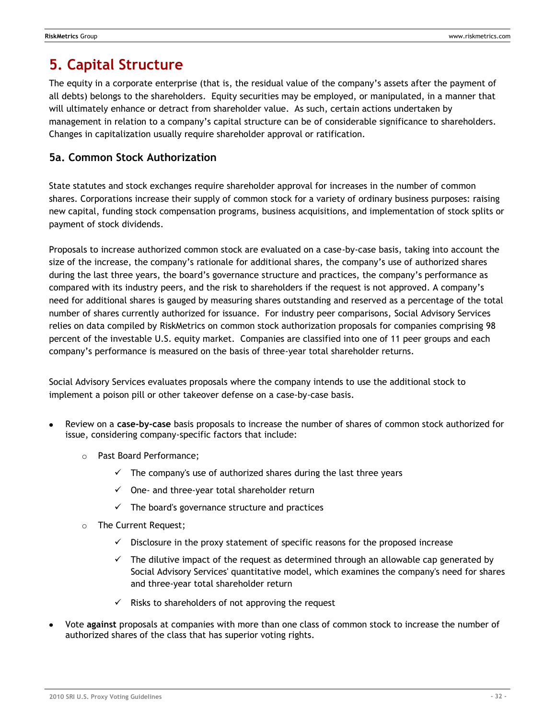# <span id="page-31-0"></span>**5. Capital Structure**

The equity in a corporate enterprise (that is, the residual value of the company's assets after the payment of all debts) belongs to the shareholders. Equity securities may be employed, or manipulated, in a manner that will ultimately enhance or detract from shareholder value. As such, certain actions undertaken by management in relation to a company's capital structure can be of considerable significance to shareholders. Changes in capitalization usually require shareholder approval or ratification.

### <span id="page-31-1"></span>**5a. Common Stock Authorization**

State statutes and stock exchanges require shareholder approval for increases in the number of common shares. Corporations increase their supply of common stock for a variety of ordinary business purposes: raising new capital, funding stock compensation programs, business acquisitions, and implementation of stock splits or payment of stock dividends.

Proposals to increase authorized common stock are evaluated on a case-by-case basis, taking into account the size of the increase, the company's rationale for additional shares, the company's use of authorized shares during the last three years, the board's governance structure and practices, the company's performance as compared with its industry peers, and the risk to shareholders if the request is not approved. A company's need for additional shares is gauged by measuring shares outstanding and reserved as a percentage of the total number of shares currently authorized for issuance. For industry peer comparisons, Social Advisory Services relies on data compiled by RiskMetrics on common stock authorization proposals for companies comprising 98 percent of the investable U.S. equity market. Companies are classified into one of 11 peer groups and each company's performance is measured on the basis of three-year total shareholder returns.

Social Advisory Services evaluates proposals where the company intends to use the additional stock to implement a poison pill or other takeover defense on a case-by-case basis.

- Review on a **case-by-case** basis proposals to increase the number of shares of common stock authorized for issue, considering company-specific factors that include:
	- o Past Board Performance;
		- $\checkmark$  The company's use of authorized shares during the last three years
		- $\checkmark$  One- and three-year total shareholder return
		- $\checkmark$  The board's governance structure and practices
	- o The Current Request;
		- $\checkmark$  Disclosure in the proxy statement of specific reasons for the proposed increase
		- $\checkmark$  The dilutive impact of the request as determined through an allowable cap generated by Social Advisory Services' quantitative model, which examines the company's need for shares and three-year total shareholder return
		- $\checkmark$  Risks to shareholders of not approving the request
- Vote **against** proposals at companies with more than one class of common stock to increase the number of authorized shares of the class that has superior voting rights.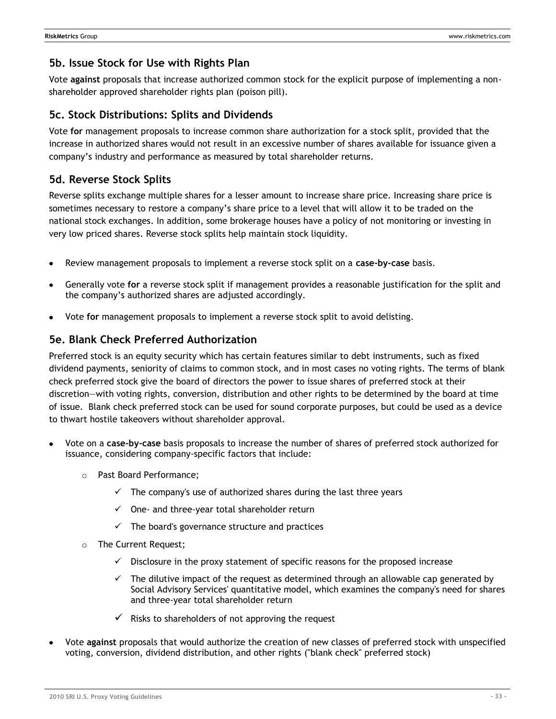### <span id="page-32-0"></span>**5b. Issue Stock for Use with Rights Plan**

Vote **against** proposals that increase authorized common stock for the explicit purpose of implementing a nonshareholder approved shareholder rights plan (poison pill).

### <span id="page-32-1"></span>**5c. Stock Distributions: Splits and Dividends**

Vote **for** management proposals to increase common share authorization for a stock split, provided that the increase in authorized shares would not result in an excessive number of shares available for issuance given a company's industry and performance as measured by total shareholder returns.

### <span id="page-32-2"></span>**5d. Reverse Stock Splits**

Reverse splits exchange multiple shares for a lesser amount to increase share price. Increasing share price is sometimes necessary to restore a company's share price to a level that will allow it to be traded on the national stock exchanges. In addition, some brokerage houses have a policy of not monitoring or investing in very low priced shares. Reverse stock splits help maintain stock liquidity.

- Review management proposals to implement a reverse stock split on a **case-by-case** basis.
- Generally vote **for** a reverse stock split if management provides a reasonable justification for the split and the company's authorized shares are adjusted accordingly.
- Vote **for** management proposals to implement a reverse stock split to avoid delisting.

### <span id="page-32-3"></span>**5e. Blank Check Preferred Authorization**

Preferred stock is an equity security which has certain features similar to debt instruments, such as fixed dividend payments, seniority of claims to common stock, and in most cases no voting rights. The terms of blank check preferred stock give the board of directors the power to issue shares of preferred stock at their discretion—with voting rights, conversion, distribution and other rights to be determined by the board at time of issue. Blank check preferred stock can be used for sound corporate purposes, but could be used as a device to thwart hostile takeovers without shareholder approval.

- Vote on a **case-by-case** basis proposals to increase the number of shares of preferred stock authorized for issuance, considering company-specific factors that include:
	- o Past Board Performance;
		- $\checkmark$  The company's use of authorized shares during the last three years
		- $\checkmark$  One- and three-year total shareholder return
		- $\checkmark$  The board's governance structure and practices
	- o The Current Request;
		- $\checkmark$  Disclosure in the proxy statement of specific reasons for the proposed increase
		- $\checkmark$  The dilutive impact of the request as determined through an allowable cap generated by Social Advisory Services' quantitative model, which examines the company's need for shares and three-year total shareholder return
		- $\checkmark$  Risks to shareholders of not approving the request
- Vote **against** proposals that would authorize the creation of new classes of preferred stock with unspecified voting, conversion, dividend distribution, and other rights ("blank check" preferred stock)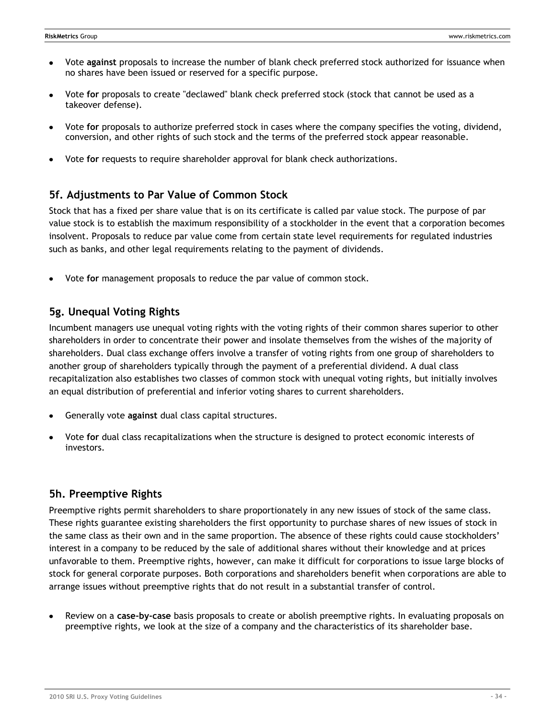- Vote **against** proposals to increase the number of blank check preferred stock authorized for issuance when no shares have been issued or reserved for a specific purpose.
- Vote **for** proposals to create "declawed" blank check preferred stock (stock that cannot be used as a takeover defense).
- Vote **for** proposals to authorize preferred stock in cases where the company specifies the voting, dividend, conversion, and other rights of such stock and the terms of the preferred stock appear reasonable.
- Vote **for** requests to require shareholder approval for blank check authorizations.

### <span id="page-33-0"></span>**5f. Adjustments to Par Value of Common Stock**

Stock that has a fixed per share value that is on its certificate is called par value stock. The purpose of par value stock is to establish the maximum responsibility of a stockholder in the event that a corporation becomes insolvent. Proposals to reduce par value come from certain state level requirements for regulated industries such as banks, and other legal requirements relating to the payment of dividends.

Vote **for** management proposals to reduce the par value of common stock.

### <span id="page-33-1"></span>**5g. Unequal Voting Rights**

Incumbent managers use unequal voting rights with the voting rights of their common shares superior to other shareholders in order to concentrate their power and insolate themselves from the wishes of the majority of shareholders. Dual class exchange offers involve a transfer of voting rights from one group of shareholders to another group of shareholders typically through the payment of a preferential dividend. A dual class recapitalization also establishes two classes of common stock with unequal voting rights, but initially involves an equal distribution of preferential and inferior voting shares to current shareholders.

- Generally vote **against** dual class capital structures.
- Vote **for** dual class recapitalizations when the structure is designed to protect economic interests of investors.

### <span id="page-33-2"></span>**5h. Preemptive Rights**

Preemptive rights permit shareholders to share proportionately in any new issues of stock of the same class. These rights guarantee existing shareholders the first opportunity to purchase shares of new issues of stock in the same class as their own and in the same proportion. The absence of these rights could cause stockholders' interest in a company to be reduced by the sale of additional shares without their knowledge and at prices unfavorable to them. Preemptive rights, however, can make it difficult for corporations to issue large blocks of stock for general corporate purposes. Both corporations and shareholders benefit when corporations are able to arrange issues without preemptive rights that do not result in a substantial transfer of control.

Review on a **case-by-case** basis proposals to create or abolish preemptive rights. In evaluating proposals on preemptive rights, we look at the size of a company and the characteristics of its shareholder base.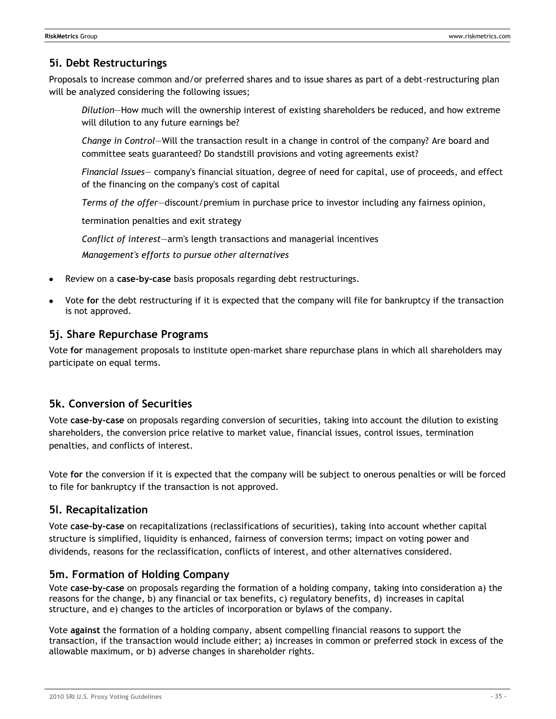### <span id="page-34-0"></span>**5i. Debt Restructurings**

Proposals to increase common and/or preferred shares and to issue shares as part of a debt-restructuring plan will be analyzed considering the following issues;

*Dilution*—How much will the ownership interest of existing shareholders be reduced, and how extreme will dilution to any future earnings be?

*Change in Control*—Will the transaction result in a change in control of the company? Are board and committee seats guaranteed? Do standstill provisions and voting agreements exist?

*Financial Issues*— company's financial situation, degree of need for capital, use of proceeds, and effect of the financing on the company's cost of capital

*Terms of the offer*—discount/premium in purchase price to investor including any fairness opinion,

termination penalties and exit strategy

*Conflict of interest*—arm's length transactions and managerial incentives *Management's efforts to pursue other alternatives*

- Review on a **case-by-case** basis proposals regarding debt restructurings.
- Vote **for** the debt restructuring if it is expected that the company will file for bankruptcy if the transaction is not approved.

### <span id="page-34-1"></span>**5j. Share Repurchase Programs**

Vote **for** management proposals to institute open-market share repurchase plans in which all shareholders may participate on equal terms.

### <span id="page-34-2"></span>**5k. Conversion of Securities**

Vote **case-by-case** on proposals regarding conversion of securities, taking into account the dilution to existing shareholders, the conversion price relative to market value, financial issues, control issues, termination penalties, and conflicts of interest.

Vote **for** the conversion if it is expected that the company will be subject to onerous penalties or will be forced to file for bankruptcy if the transaction is not approved.

### <span id="page-34-3"></span>**5l. Recapitalization**

Vote **case-by-case** on recapitalizations (reclassifications of securities), taking into account whether capital structure is simplified, liquidity is enhanced, fairness of conversion terms; impact on voting power and dividends, reasons for the reclassification, conflicts of interest, and other alternatives considered.

### <span id="page-34-4"></span>**5m. Formation of Holding Company**

Vote **case-by-case** on proposals regarding the formation of a holding company, taking into consideration a) the reasons for the change, b) any financial or tax benefits, c) regulatory benefits, d) increases in capital structure, and e) changes to the articles of incorporation or bylaws of the company.

Vote **against** the formation of a holding company, absent compelling financial reasons to support the transaction, if the transaction would include either; a) increases in common or preferred stock in excess of the allowable maximum, or b) adverse changes in shareholder rights.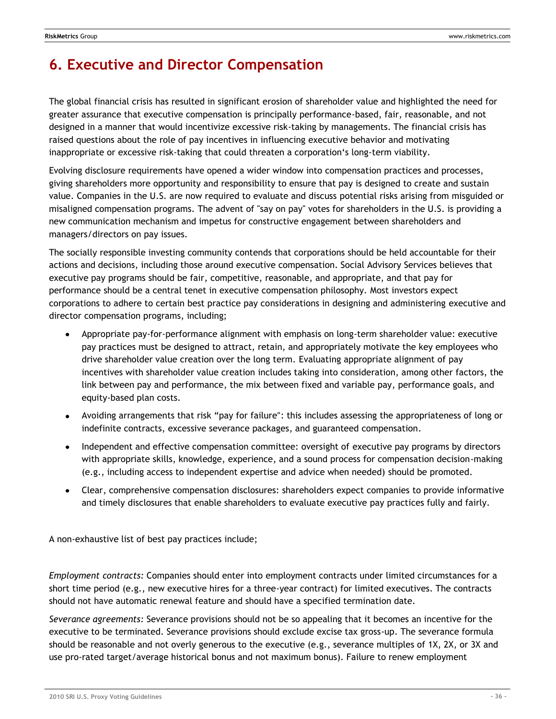# <span id="page-35-0"></span>**6. Executive and Director Compensation**

The global financial crisis has resulted in significant erosion of shareholder value and highlighted the need for greater assurance that executive compensation is principally performance-based, fair, reasonable, and not designed in a manner that would incentivize excessive risk-taking by managements. The financial crisis has raised questions about the role of pay incentives in influencing executive behavior and motivating inappropriate or excessive risk-taking that could threaten a corporation's long-term viability.

Evolving disclosure requirements have opened a wider window into compensation practices and processes, giving shareholders more opportunity and responsibility to ensure that pay is designed to create and sustain value. Companies in the U.S. are now required to evaluate and discuss potential risks arising from misguided or misaligned compensation programs. The advent of "say on pay" votes for shareholders in the U.S. is providing a new communication mechanism and impetus for constructive engagement between shareholders and managers/directors on pay issues.

The socially responsible investing community contends that corporations should be held accountable for their actions and decisions, including those around executive compensation. Social Advisory Services believes that executive pay programs should be fair, competitive, reasonable, and appropriate, and that pay for performance should be a central tenet in executive compensation philosophy. Most investors expect corporations to adhere to certain best practice pay considerations in designing and administering executive and director compensation programs, including;

- Appropriate pay-for-performance alignment with emphasis on long-term shareholder value: executive pay practices must be designed to attract, retain, and appropriately motivate the key employees who drive shareholder value creation over the long term. Evaluating appropriate alignment of pay incentives with shareholder value creation includes taking into consideration, among other factors, the link between pay and performance, the mix between fixed and variable pay, performance goals, and equity-based plan costs.
- Avoiding arrangements that risk "pay for failure": this includes assessing the appropriateness of long or indefinite contracts, excessive severance packages, and guaranteed compensation.
- Independent and effective compensation committee: oversight of executive pay programs by directors with appropriate skills, knowledge, experience, and a sound process for compensation decision-making (e.g., including access to independent expertise and advice when needed) should be promoted.
- Clear, comprehensive compensation disclosures: shareholders expect companies to provide informative and timely disclosures that enable shareholders to evaluate executive pay practices fully and fairly.

A non-exhaustive list of best pay practices include;

*Employment contracts:* Companies should enter into employment contracts under limited circumstances for a short time period (e.g., new executive hires for a three-year contract) for limited executives. The contracts should not have automatic renewal feature and should have a specified termination date.

*Severance agreements:* Severance provisions should not be so appealing that it becomes an incentive for the executive to be terminated. Severance provisions should exclude excise tax gross-up. The severance formula should be reasonable and not overly generous to the executive (e.g., severance multiples of 1X, 2X, or 3X and use pro-rated target/average historical bonus and not maximum bonus). Failure to renew employment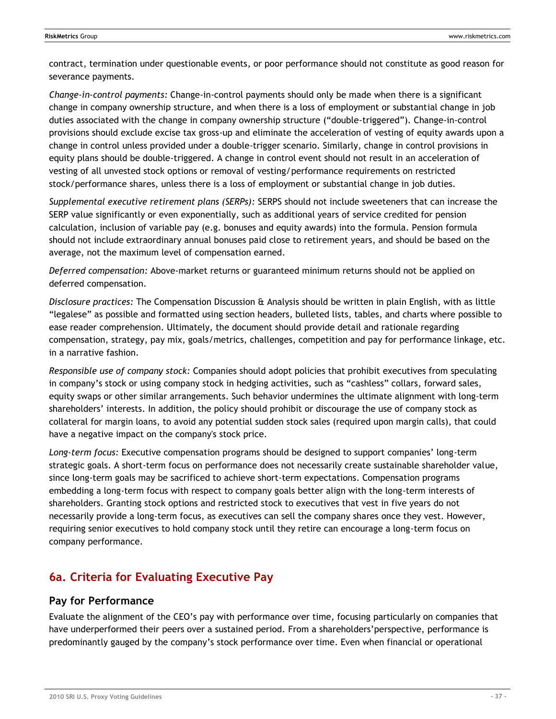contract, termination under questionable events, or poor performance should not constitute as good reason for severance payments.

*Change-in-control payments:* Change-in-control payments should only be made when there is a significant change in company ownership structure, and when there is a loss of employment or substantial change in job duties associated with the change in company ownership structure ("double-triggered"). Change-in-control provisions should exclude excise tax gross-up and eliminate the acceleration of vesting of equity awards upon a change in control unless provided under a double-trigger scenario. Similarly, change in control provisions in equity plans should be double-triggered. A change in control event should not result in an acceleration of vesting of all unvested stock options or removal of vesting/performance requirements on restricted stock/performance shares, unless there is a loss of employment or substantial change in job duties.

*Supplemental executive retirement plans (SERPs):* SERPS should not include sweeteners that can increase the SERP value significantly or even exponentially, such as additional years of service credited for pension calculation, inclusion of variable pay (e.g. bonuses and equity awards) into the formula. Pension formula should not include extraordinary annual bonuses paid close to retirement years, and should be based on the average, not the maximum level of compensation earned.

*Deferred compensation:* Above-market returns or guaranteed minimum returns should not be applied on deferred compensation.

*Disclosure practices:* The Compensation Discussion & Analysis should be written in plain English, with as little ―legalese‖ as possible and formatted using section headers, bulleted lists, tables, and charts where possible to ease reader comprehension. Ultimately, the document should provide detail and rationale regarding compensation, strategy, pay mix, goals/metrics, challenges, competition and pay for performance linkage, etc. in a narrative fashion.

*Responsible use of company stock:* Companies should adopt policies that prohibit executives from speculating in company's stock or using company stock in hedging activities, such as "cashless" collars, forward sales, equity swaps or other similar arrangements. Such behavior undermines the ultimate alignment with long-term shareholders' interests. In addition, the policy should prohibit or discourage the use of company stock as collateral for margin loans, to avoid any potential sudden stock sales (required upon margin calls), that could have a negative impact on the company's stock price.

*Long-term focus:* Executive compensation programs should be designed to support companies' long-term strategic goals. A short-term focus on performance does not necessarily create sustainable shareholder value, since long-term goals may be sacrificed to achieve short-term expectations. Compensation programs embedding a long-term focus with respect to company goals better align with the long-term interests of shareholders. Granting stock options and restricted stock to executives that vest in five years do not necessarily provide a long-term focus, as executives can sell the company shares once they vest. However, requiring senior executives to hold company stock until they retire can encourage a long-term focus on company performance.

# **6a. Criteria for Evaluating Executive Pay**

## **Pay for Performance**

Evaluate the alignment of the CEO's pay with performance over time, focusing particularly on companies that have underperformed their peers over a sustained period. From a shareholders'perspective, performance is predominantly gauged by the company's stock performance over time. Even when financial or operational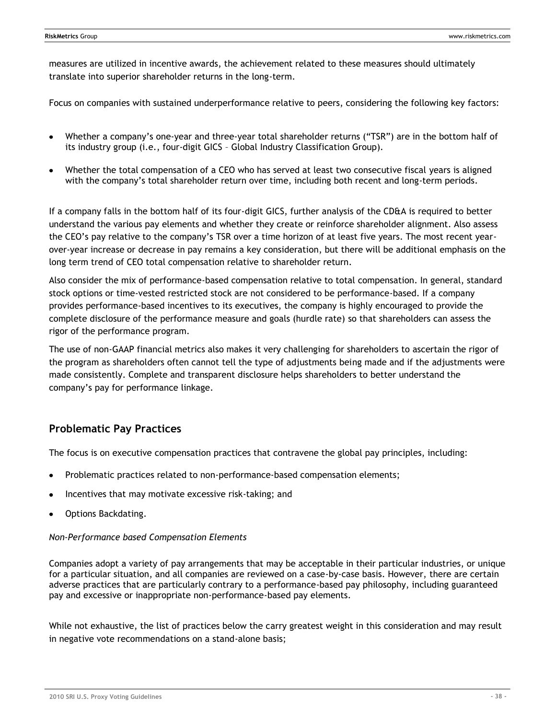measures are utilized in incentive awards, the achievement related to these measures should ultimately translate into superior shareholder returns in the long-term.

Focus on companies with sustained underperformance relative to peers, considering the following key factors:

- Whether a company's one-year and three-year total shareholder returns ("TSR") are in the bottom half of its industry group (i.e., four-digit GICS – Global Industry Classification Group).
- Whether the total compensation of a CEO who has served at least two consecutive fiscal years is aligned with the company's total shareholder return over time, including both recent and long-term periods.

If a company falls in the bottom half of its four-digit GICS, further analysis of the CD&A is required to better understand the various pay elements and whether they create or reinforce shareholder alignment. Also assess the CEO's pay relative to the company's TSR over a time horizon of at least five years. The most recent yearover-year increase or decrease in pay remains a key consideration, but there will be additional emphasis on the long term trend of CEO total compensation relative to shareholder return.

Also consider the mix of performance-based compensation relative to total compensation. In general, standard stock options or time-vested restricted stock are not considered to be performance-based. If a company provides performance-based incentives to its executives, the company is highly encouraged to provide the complete disclosure of the performance measure and goals (hurdle rate) so that shareholders can assess the rigor of the performance program.

The use of non-GAAP financial metrics also makes it very challenging for shareholders to ascertain the rigor of the program as shareholders often cannot tell the type of adjustments being made and if the adjustments were made consistently. Complete and transparent disclosure helps shareholders to better understand the company's pay for performance linkage.

# **Problematic Pay Practices**

The focus is on executive compensation practices that contravene the global pay principles, including:

- Problematic practices related to non-performance-based compensation elements;
- Incentives that may motivate excessive risk-taking; and
- Options Backdating.

### *Non-Performance based Compensation Elements*

Companies adopt a variety of pay arrangements that may be acceptable in their particular industries, or unique for a particular situation, and all companies are reviewed on a case-by-case basis. However, there are certain adverse practices that are particularly contrary to a performance-based pay philosophy, including guaranteed pay and excessive or inappropriate non-performance-based pay elements.

While not exhaustive, the list of practices below the carry greatest weight in this consideration and may result in negative vote recommendations on a stand-alone basis;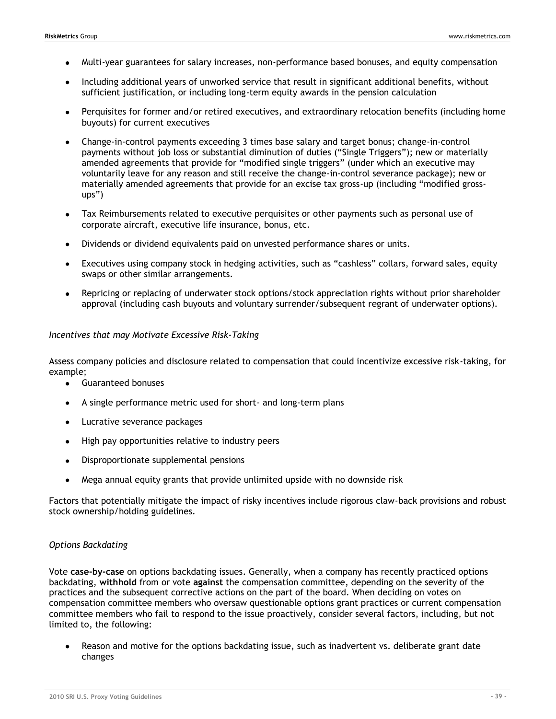- Multi-year guarantees for salary increases, non-performance based bonuses, and equity compensation
- Including additional years of unworked service that result in significant additional benefits, without  $\bullet$ sufficient justification, or including long-term equity awards in the pension calculation
- Perquisites for former and/or retired executives, and extraordinary relocation benefits (including home buyouts) for current executives
- Change-in-control payments exceeding 3 times base salary and target bonus; change-in-control payments without job loss or substantial diminution of duties ("Single Triggers"); new or materially amended agreements that provide for "modified single triggers" (under which an executive may voluntarily leave for any reason and still receive the change-in-control severance package); new or materially amended agreements that provide for an excise tax gross-up (including "modified gross $ups'$ )
- Tax Reimbursements related to executive perquisites or other payments such as personal use of  $\bullet$ corporate aircraft, executive life insurance, bonus, etc.
- Dividends or dividend equivalents paid on unvested performance shares or units.
- Executives using company stock in hedging activities, such as "cashless" collars, forward sales, equity swaps or other similar arrangements.
- Repricing or replacing of underwater stock options/stock appreciation rights without prior shareholder approval (including cash buyouts and voluntary surrender/subsequent regrant of underwater options).

### *Incentives that may Motivate Excessive Risk-Taking*

Assess company policies and disclosure related to compensation that could incentivize excessive risk-taking, for example;

- $\bullet$ Guaranteed bonuses
- A single performance metric used for short- and long-term plans
- Lucrative severance packages
- High pay opportunities relative to industry peers
- Disproportionate supplemental pensions
- Mega annual equity grants that provide unlimited upside with no downside risk

Factors that potentially mitigate the impact of risky incentives include rigorous claw-back provisions and robust stock ownership/holding guidelines.

### *Options Backdating*

Vote **case-by-case** on options backdating issues. Generally, when a company has recently practiced options backdating, **withhold** from or vote **against** the compensation committee, depending on the severity of the practices and the subsequent corrective actions on the part of the board. When deciding on votes on compensation committee members who oversaw questionable options grant practices or current compensation committee members who fail to respond to the issue proactively, consider several factors, including, but not limited to, the following:

Reason and motive for the options backdating issue, such as inadvertent vs. deliberate grant date changes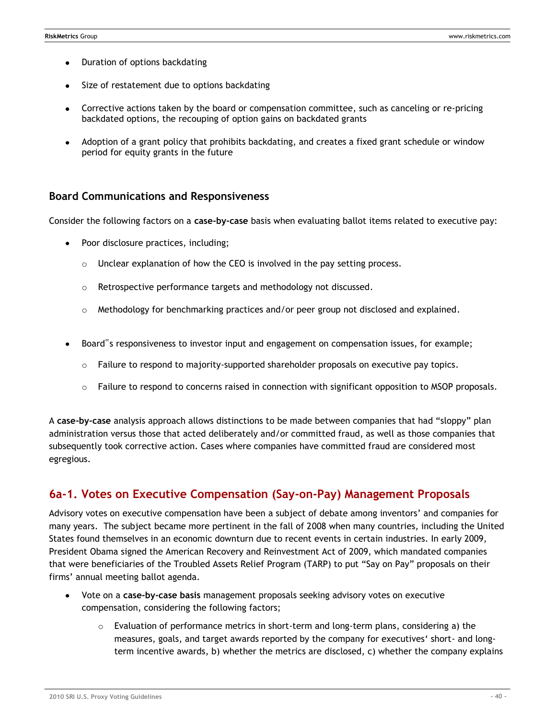- Duration of options backdating
- Size of restatement due to options backdating
- Corrective actions taken by the board or compensation committee, such as canceling or re-pricing backdated options, the recouping of option gains on backdated grants
- Adoption of a grant policy that prohibits backdating, and creates a fixed grant schedule or window period for equity grants in the future

### **Board Communications and Responsiveness**

Consider the following factors on a **case-by-case** basis when evaluating ballot items related to executive pay:

- Poor disclosure practices, including;
	- o Unclear explanation of how the CEO is involved in the pay setting process.
	- o Retrospective performance targets and methodology not discussed.
	- o Methodology for benchmarking practices and/or peer group not disclosed and explained.
- Board"s responsiveness to investor input and engagement on compensation issues, for example;
	- $\circ$  Failure to respond to majority-supported shareholder proposals on executive pay topics.
	- $\circ$  Failure to respond to concerns raised in connection with significant opposition to MSOP proposals.

A case-by-case analysis approach allows distinctions to be made between companies that had "sloppy" plan administration versus those that acted deliberately and/or committed fraud, as well as those companies that subsequently took corrective action. Cases where companies have committed fraud are considered most egregious.

## **6a-1. Votes on Executive Compensation (Say-on-Pay) Management Proposals**

Advisory votes on executive compensation have been a subject of debate among inventors' and companies for many years. The subject became more pertinent in the fall of 2008 when many countries, including the United States found themselves in an economic downturn due to recent events in certain industries. In early 2009, President Obama signed the American Recovery and Reinvestment Act of 2009, which mandated companies that were beneficiaries of the Troubled Assets Relief Program (TARP) to put "Say on Pay" proposals on their firms' annual meeting ballot agenda.

- Vote on a **case-by-case basis** management proposals seeking advisory votes on executive compensation, considering the following factors;
	- $\circ$  Evaluation of performance metrics in short-term and long-term plans, considering a) the measures, goals, and target awards reported by the company for executives‗ short- and longterm incentive awards, b) whether the metrics are disclosed, c) whether the company explains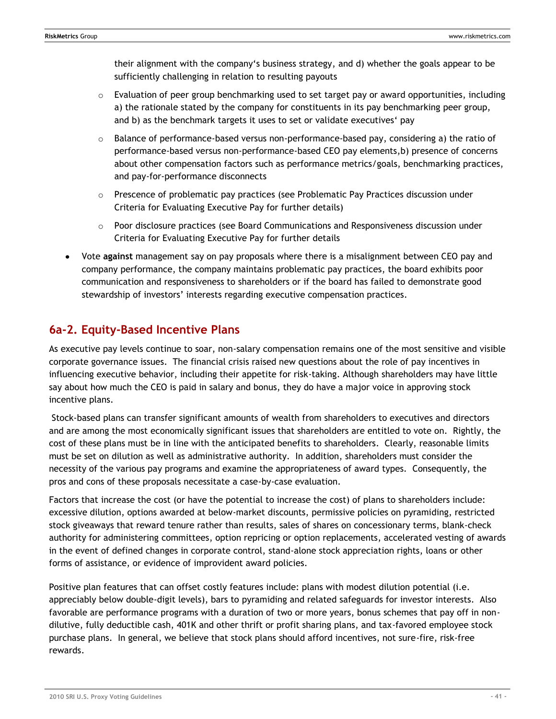their alignment with the company's business strategy, and d) whether the goals appear to be sufficiently challenging in relation to resulting payouts

- $\circ$  Evaluation of peer group benchmarking used to set target pay or award opportunities, including a) the rationale stated by the company for constituents in its pay benchmarking peer group, and b) as the benchmark targets it uses to set or validate executives' pay
- $\circ$  Balance of performance-based versus non-performance-based pay, considering a) the ratio of performance-based versus non-performance-based CEO pay elements,b) presence of concerns about other compensation factors such as performance metrics/goals, benchmarking practices, and pay-for-performance disconnects
- o Prescence of problematic pay practices (see Problematic Pay Practices discussion under Criteria for Evaluating Executive Pay for further details)
- $\circ$  Poor disclosure practices (see Board Communications and Responsiveness discussion under Criteria for Evaluating Executive Pay for further details
- Vote **against** management say on pay proposals where there is a misalignment between CEO pay and company performance, the company maintains problematic pay practices, the board exhibits poor communication and responsiveness to shareholders or if the board has failed to demonstrate good stewardship of investors' interests regarding executive compensation practices.

# **6a-2. Equity-Based Incentive Plans**

As executive pay levels continue to soar, non-salary compensation remains one of the most sensitive and visible corporate governance issues. The financial crisis raised new questions about the role of pay incentives in influencing executive behavior, including their appetite for risk-taking. Although shareholders may have little say about how much the CEO is paid in salary and bonus, they do have a major voice in approving stock incentive plans.

Stock-based plans can transfer significant amounts of wealth from shareholders to executives and directors and are among the most economically significant issues that shareholders are entitled to vote on. Rightly, the cost of these plans must be in line with the anticipated benefits to shareholders. Clearly, reasonable limits must be set on dilution as well as administrative authority. In addition, shareholders must consider the necessity of the various pay programs and examine the appropriateness of award types. Consequently, the pros and cons of these proposals necessitate a case-by-case evaluation.

Factors that increase the cost (or have the potential to increase the cost) of plans to shareholders include: excessive dilution, options awarded at below-market discounts, permissive policies on pyramiding, restricted stock giveaways that reward tenure rather than results, sales of shares on concessionary terms, blank-check authority for administering committees, option repricing or option replacements, accelerated vesting of awards in the event of defined changes in corporate control, stand-alone stock appreciation rights, loans or other forms of assistance, or evidence of improvident award policies.

Positive plan features that can offset costly features include: plans with modest dilution potential (i.e. appreciably below double-digit levels), bars to pyramiding and related safeguards for investor interests. Also favorable are performance programs with a duration of two or more years, bonus schemes that pay off in nondilutive, fully deductible cash, 401K and other thrift or profit sharing plans, and tax-favored employee stock purchase plans. In general, we believe that stock plans should afford incentives, not sure-fire, risk-free rewards.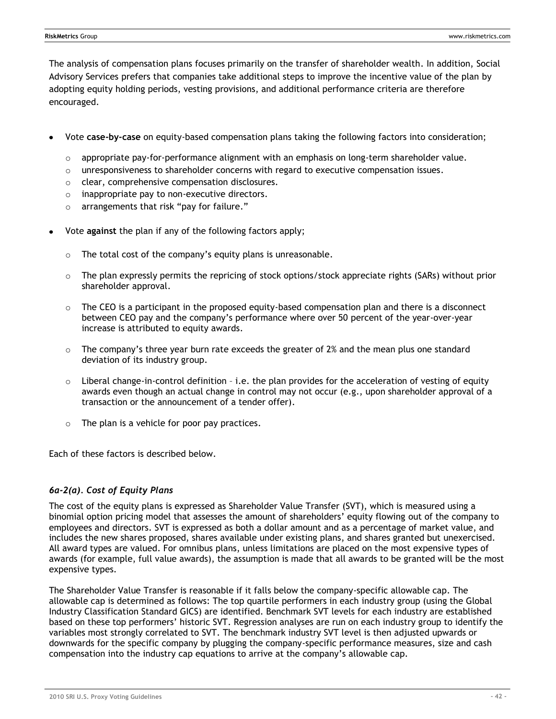The analysis of compensation plans focuses primarily on the transfer of shareholder wealth. In addition, Social Advisory Services prefers that companies take additional steps to improve the incentive value of the plan by adopting equity holding periods, vesting provisions, and additional performance criteria are therefore encouraged.

- Vote **case-by-case** on equity-based compensation plans taking the following factors into consideration;
	- $\circ$  appropriate pay-for-performance alignment with an emphasis on long-term shareholder value.
	- $\circ$  unresponsiveness to shareholder concerns with regard to executive compensation issues.
	- o clear, comprehensive compensation disclosures.
	- o inappropriate pay to non-executive directors.
	- o arrangements that risk "pay for failure."
- Vote **against** the plan if any of the following factors apply;
	- $\circ$  The total cost of the company's equity plans is unreasonable.
	- $\circ$  The plan expressly permits the repricing of stock options/stock appreciate rights (SARs) without prior shareholder approval.
	- $\circ$  The CEO is a participant in the proposed equity-based compensation plan and there is a disconnect between CEO pay and the company's performance where over 50 percent of the year-over-year increase is attributed to equity awards.
	- $\circ$  The company's three year burn rate exceeds the greater of 2% and the mean plus one standard deviation of its industry group.
	- o Liberal change-in-control definition i.e. the plan provides for the acceleration of vesting of equity awards even though an actual change in control may not occur (e.g., upon shareholder approval of a transaction or the announcement of a tender offer).
	- o The plan is a vehicle for poor pay practices.

Each of these factors is described below.

### *6a-2(a). Cost of Equity Plans*

The cost of the equity plans is expressed as Shareholder Value Transfer (SVT), which is measured using a binomial option pricing model that assesses the amount of shareholders' equity flowing out of the company to employees and directors. SVT is expressed as both a dollar amount and as a percentage of market value, and includes the new shares proposed, shares available under existing plans, and shares granted but unexercised. All award types are valued. For omnibus plans, unless limitations are placed on the most expensive types of awards (for example, full value awards), the assumption is made that all awards to be granted will be the most expensive types.

The Shareholder Value Transfer is reasonable if it falls below the company-specific allowable cap. The allowable cap is determined as follows: The top quartile performers in each industry group (using the Global Industry Classification Standard GICS) are identified. Benchmark SVT levels for each industry are established based on these top performers' historic SVT. Regression analyses are run on each industry group to identify the variables most strongly correlated to SVT. The benchmark industry SVT level is then adjusted upwards or downwards for the specific company by plugging the company-specific performance measures, size and cash compensation into the industry cap equations to arrive at the company's allowable cap.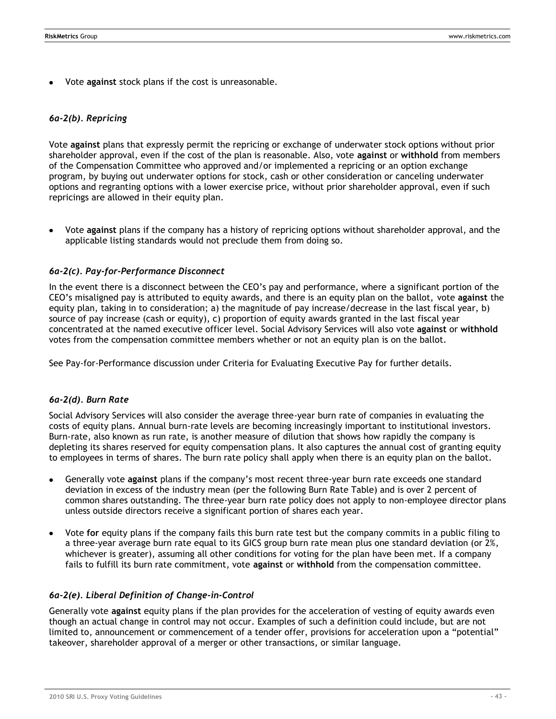Vote **against** stock plans if the cost is unreasonable.

### *6a-2(b). Repricing*

Vote **against** plans that expressly permit the repricing or exchange of underwater stock options without prior shareholder approval, even if the cost of the plan is reasonable. Also, vote **against** or **withhold** from members of the Compensation Committee who approved and/or implemented a repricing or an option exchange program, by buying out underwater options for stock, cash or other consideration or canceling underwater options and regranting options with a lower exercise price, without prior shareholder approval, even if such repricings are allowed in their equity plan.

Vote **against** plans if the company has a history of repricing options without shareholder approval, and the applicable listing standards would not preclude them from doing so.

### *6a-2(c). Pay-for-Performance Disconnect*

In the event there is a disconnect between the CEO's pay and performance, where a significant portion of the CEO's misaligned pay is attributed to equity awards, and there is an equity plan on the ballot, vote **against** the equity plan, taking in to consideration; a) the magnitude of pay increase/decrease in the last fiscal year, b) source of pay increase (cash or equity), c) proportion of equity awards granted in the last fiscal year concentrated at the named executive officer level. Social Advisory Services will also vote **against** or **withhold** votes from the compensation committee members whether or not an equity plan is on the ballot.

See Pay-for-Performance discussion under Criteria for Evaluating Executive Pay for further details.

### *6a-2(d). Burn Rate*

Social Advisory Services will also consider the average three-year burn rate of companies in evaluating the costs of equity plans. Annual burn-rate levels are becoming increasingly important to institutional investors. Burn-rate, also known as run rate, is another measure of dilution that shows how rapidly the company is depleting its shares reserved for equity compensation plans. It also captures the annual cost of granting equity to employees in terms of shares. The burn rate policy shall apply when there is an equity plan on the ballot.

- Generally vote **against** plans if the company's most recent three-year burn rate exceeds one standard deviation in excess of the industry mean (per the following Burn Rate Table) and is over 2 percent of common shares outstanding. The three-year burn rate policy does not apply to non-employee director plans unless outside directors receive a significant portion of shares each year.
- $\bullet$ Vote **for** equity plans if the company fails this burn rate test but the company commits in a public filing to a three-year average burn rate equal to its GICS group burn rate mean plus one standard deviation (or 2%, whichever is greater), assuming all other conditions for voting for the plan have been met. If a company fails to fulfill its burn rate commitment, vote **against** or **withhold** from the compensation committee.

### *6a-2(e). Liberal Definition of Change-in-Control*

Generally vote **against** equity plans if the plan provides for the acceleration of vesting of equity awards even though an actual change in control may not occur. Examples of such a definition could include, but are not limited to, announcement or commencement of a tender offer, provisions for acceleration upon a "potential" takeover, shareholder approval of a merger or other transactions, or similar language.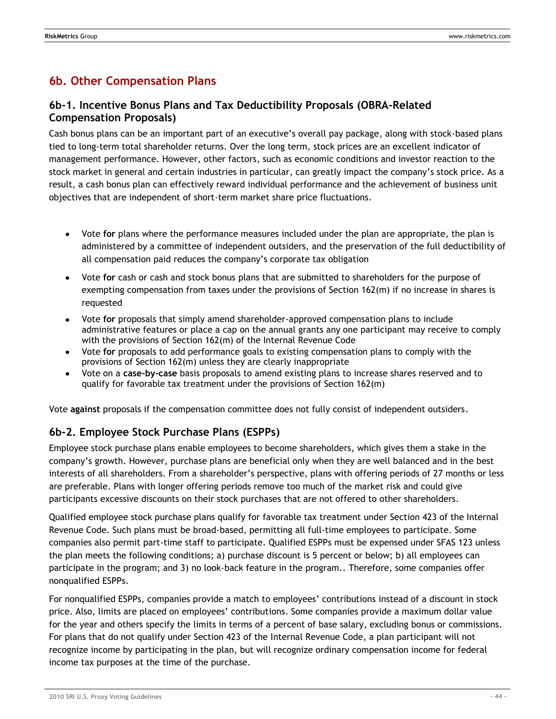# **6b. Other Compensation Plans**

# **6b-1. Incentive Bonus Plans and Tax Deductibility Proposals (OBRA-Related Compensation Proposals)**

Cash bonus plans can be an important part of an executive's overall pay package, along with stock-based plans tied to long-term total shareholder returns. Over the long term, stock prices are an excellent indicator of management performance. However, other factors, such as economic conditions and investor reaction to the stock market in general and certain industries in particular, can greatly impact the company's stock price. As a result, a cash bonus plan can effectively reward individual performance and the achievement of business unit objectives that are independent of short-term market share price fluctuations.

- Vote **for** plans where the performance measures included under the plan are appropriate, the plan is administered by a committee of independent outsiders, and the preservation of the full deductibility of all compensation paid reduces the company's corporate tax obligation
- Vote **for** cash or cash and stock bonus plans that are submitted to shareholders for the purpose of exempting compensation from taxes under the provisions of Section 162(m) if no increase in shares is requested
- Vote **for** proposals that simply amend shareholder-approved compensation plans to include administrative features or place a cap on the annual grants any one participant may receive to comply with the provisions of Section 162(m) of the Internal Revenue Code
- Vote **for** proposals to add performance goals to existing compensation plans to comply with the provisions of Section 162(m) unless they are clearly inappropriate
- Vote on a **case-by-case** basis proposals to amend existing plans to increase shares reserved and to qualify for favorable tax treatment under the provisions of Section 162(m)

Vote **against** proposals if the compensation committee does not fully consist of independent outsiders.

# **6b-2. Employee Stock Purchase Plans (ESPPs)**

Employee stock purchase plans enable employees to become shareholders, which gives them a stake in the company's growth. However, purchase plans are beneficial only when they are well balanced and in the best interests of all shareholders. From a shareholder's perspective, plans with offering periods of 27 months or less are preferable. Plans with longer offering periods remove too much of the market risk and could give participants excessive discounts on their stock purchases that are not offered to other shareholders.

Qualified employee stock purchase plans qualify for favorable tax treatment under Section 423 of the Internal Revenue Code. Such plans must be broad-based, permitting all full-time employees to participate. Some companies also permit part-time staff to participate. Qualified ESPPs must be expensed under SFAS 123 unless the plan meets the following conditions; a) purchase discount is 5 percent or below; b) all employees can participate in the program; and 3) no look-back feature in the program.. Therefore, some companies offer nonqualified ESPPs.

For nonqualified ESPPs, companies provide a match to employees' contributions instead of a discount in stock price. Also, limits are placed on employees' contributions. Some companies provide a maximum dollar value for the year and others specify the limits in terms of a percent of base salary, excluding bonus or commissions. For plans that do not qualify under Section 423 of the Internal Revenue Code, a plan participant will not recognize income by participating in the plan, but will recognize ordinary compensation income for federal income tax purposes at the time of the purchase.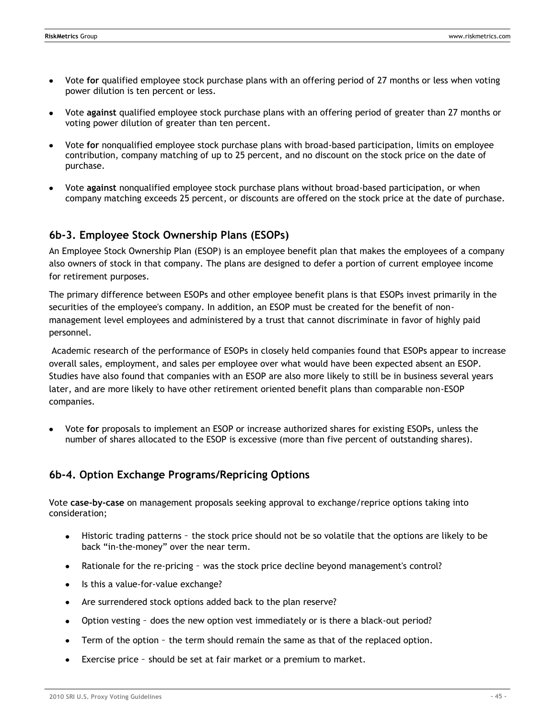- Vote **for** qualified employee stock purchase plans with an offering period of 27 months or less when voting power dilution is ten percent or less.
- Vote **against** qualified employee stock purchase plans with an offering period of greater than 27 months or  $\bullet$ voting power dilution of greater than ten percent.
- Vote **for** nonqualified employee stock purchase plans with broad-based participation, limits on employee contribution, company matching of up to 25 percent, and no discount on the stock price on the date of purchase.
- Vote **against** nonqualified employee stock purchase plans without broad-based participation, or when company matching exceeds 25 percent, or discounts are offered on the stock price at the date of purchase.

## **6b-3. Employee Stock Ownership Plans (ESOPs)**

An Employee Stock Ownership Plan (ESOP) is an employee benefit plan that makes the employees of a company also owners of stock in that company. The plans are designed to defer a portion of current employee income for retirement purposes.

The primary difference between ESOPs and other employee benefit plans is that ESOPs invest primarily in the securities of the employee's company. In addition, an ESOP must be created for the benefit of nonmanagement level employees and administered by a trust that cannot discriminate in favor of highly paid personnel.

Academic research of the performance of ESOPs in closely held companies found that ESOPs appear to increase overall sales, employment, and sales per employee over what would have been expected absent an ESOP. Studies have also found that companies with an ESOP are also more likely to still be in business several years later, and are more likely to have other retirement oriented benefit plans than comparable non-ESOP companies.

Vote **for** proposals to implement an ESOP or increase authorized shares for existing ESOPs, unless the number of shares allocated to the ESOP is excessive (more than five percent of outstanding shares).

# **6b-4. Option Exchange Programs/Repricing Options**

Vote **case-by-case** on management proposals seeking approval to exchange/reprice options taking into consideration;

- Historic trading patterns the stock price should not be so volatile that the options are likely to be back "in-the-money" over the near term.
- Rationale for the re-pricing was the stock price decline beyond management's control?
- Is this a value-for-value exchange?
- Are surrendered stock options added back to the plan reserve?
- Option vesting does the new option vest immediately or is there a black-out period?  $\bullet$
- Term of the option the term should remain the same as that of the replaced option.
- Exercise price should be set at fair market or a premium to market. $\bullet$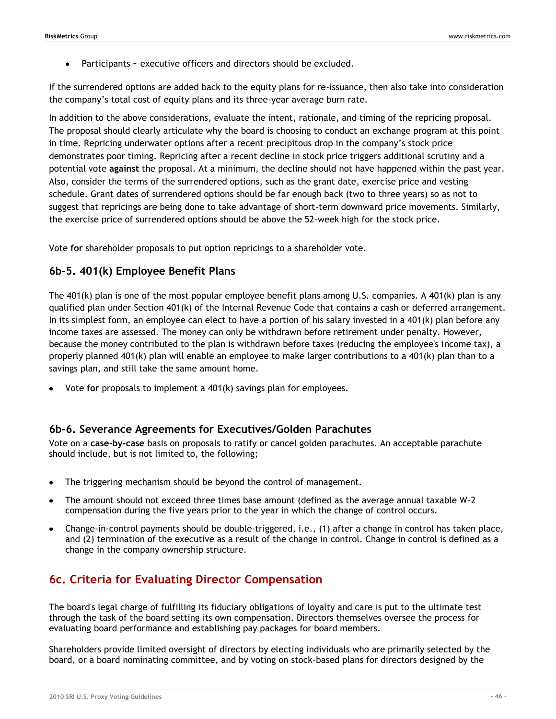Participants – executive officers and directors should be excluded.

If the surrendered options are added back to the equity plans for re-issuance, then also take into consideration the company's total cost of equity plans and its three-year average burn rate.

In addition to the above considerations, evaluate the intent, rationale, and timing of the repricing proposal. The proposal should clearly articulate why the board is choosing to conduct an exchange program at this point in time. Repricing underwater options after a recent precipitous drop in the company's stock price demonstrates poor timing. Repricing after a recent decline in stock price triggers additional scrutiny and a potential vote **against** the proposal. At a minimum, the decline should not have happened within the past year. Also, consider the terms of the surrendered options, such as the grant date, exercise price and vesting schedule. Grant dates of surrendered options should be far enough back (two to three years) so as not to suggest that repricings are being done to take advantage of short-term downward price movements. Similarly, the exercise price of surrendered options should be above the 52-week high for the stock price.

Vote **for** shareholder proposals to put option repricings to a shareholder vote.

## **6b-5. 401(k) Employee Benefit Plans**

The 401(k) plan is one of the most popular employee benefit plans among U.S. companies. A 401(k) plan is any qualified plan under Section 401(k) of the Internal Revenue Code that contains a cash or deferred arrangement. In its simplest form, an employee can elect to have a portion of his salary invested in a 401(k) plan before any income taxes are assessed. The money can only be withdrawn before retirement under penalty. However, because the money contributed to the plan is withdrawn before taxes (reducing the employee's income tax), a properly planned 401(k) plan will enable an employee to make larger contributions to a 401(k) plan than to a savings plan, and still take the same amount home.

Vote **for** proposals to implement a 401(k) savings plan for employees.

### **6b-6. Severance Agreements for Executives/Golden Parachutes**

Vote on a **case-by-case** basis on proposals to ratify or cancel golden parachutes. An acceptable parachute should include, but is not limited to, the following;

- The triggering mechanism should be beyond the control of management.
- The amount should not exceed three times base amount (defined as the average annual taxable W-2 compensation during the five years prior to the year in which the change of control occurs.
- Change-in-control payments should be double-triggered, i.e., (1) after a change in control has taken place, and (2) termination of the executive as a result of the change in control. Change in control is defined as a change in the company ownership structure.

# **6c. Criteria for Evaluating Director Compensation**

The board's legal charge of fulfilling its fiduciary obligations of loyalty and care is put to the ultimate test through the task of the board setting its own compensation. Directors themselves oversee the process for evaluating board performance and establishing pay packages for board members.

Shareholders provide limited oversight of directors by electing individuals who are primarily selected by the board, or a board nominating committee, and by voting on stock-based plans for directors designed by the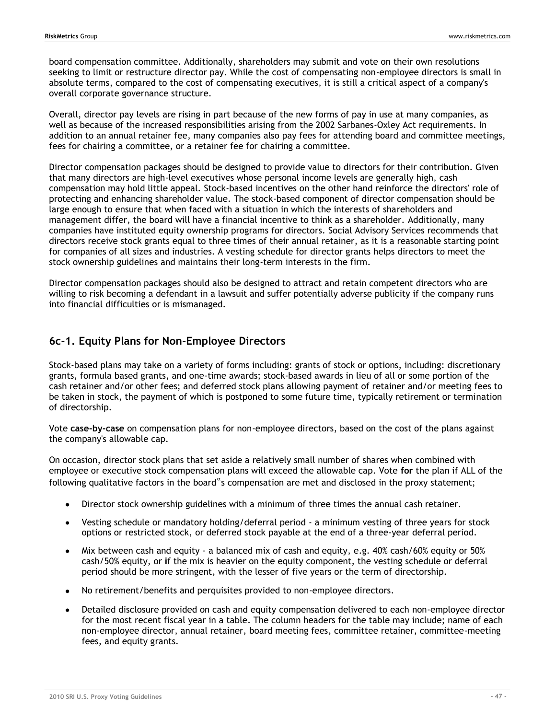board compensation committee. Additionally, shareholders may submit and vote on their own resolutions seeking to limit or restructure director pay. While the cost of compensating non-employee directors is small in absolute terms, compared to the cost of compensating executives, it is still a critical aspect of a company's overall corporate governance structure.

Overall, director pay levels are rising in part because of the new forms of pay in use at many companies, as well as because of the increased responsibilities arising from the 2002 Sarbanes-Oxley Act requirements. In addition to an annual retainer fee, many companies also pay fees for attending board and committee meetings, fees for chairing a committee, or a retainer fee for chairing a committee.

Director compensation packages should be designed to provide value to directors for their contribution. Given that many directors are high-level executives whose personal income levels are generally high, cash compensation may hold little appeal. Stock-based incentives on the other hand reinforce the directors' role of protecting and enhancing shareholder value. The stock-based component of director compensation should be large enough to ensure that when faced with a situation in which the interests of shareholders and management differ, the board will have a financial incentive to think as a shareholder. Additionally, many companies have instituted equity ownership programs for directors. Social Advisory Services recommends that directors receive stock grants equal to three times of their annual retainer, as it is a reasonable starting point for companies of all sizes and industries. A vesting schedule for director grants helps directors to meet the stock ownership guidelines and maintains their long-term interests in the firm.

Director compensation packages should also be designed to attract and retain competent directors who are willing to risk becoming a defendant in a lawsuit and suffer potentially adverse publicity if the company runs into financial difficulties or is mismanaged.

# **6c-1. Equity Plans for Non-Employee Directors**

Stock-based plans may take on a variety of forms including: grants of stock or options, including: discretionary grants, formula based grants, and one-time awards; stock-based awards in lieu of all or some portion of the cash retainer and/or other fees; and deferred stock plans allowing payment of retainer and/or meeting fees to be taken in stock, the payment of which is postponed to some future time, typically retirement or termination of directorship.

Vote **case-by-case** on compensation plans for non-employee directors, based on the cost of the plans against the company's allowable cap.

On occasion, director stock plans that set aside a relatively small number of shares when combined with employee or executive stock compensation plans will exceed the allowable cap. Vote **for** the plan if ALL of the following qualitative factors in the board"s compensation are met and disclosed in the proxy statement;

- Director stock ownership guidelines with a minimum of three times the annual cash retainer.  $\bullet$
- Vesting schedule or mandatory holding/deferral period a minimum vesting of three years for stock options or restricted stock, or deferred stock payable at the end of a three-year deferral period.
- Mix between cash and equity a balanced mix of cash and equity, e.g. 40% cash/60% equity or 50% cash/50% equity, or **i**f the mix is heavier on the equity component, the vesting schedule or deferral period should be more stringent, with the lesser of five years or the term of directorship.
- No retirement/benefits and perquisites provided to non-employee directors.  $\bullet$
- Detailed disclosure provided on cash and equity compensation delivered to each non-employee director for the most recent fiscal year in a table. The column headers for the table may include; name of each non-employee director, annual retainer, board meeting fees, committee retainer, committee-meeting fees, and equity grants.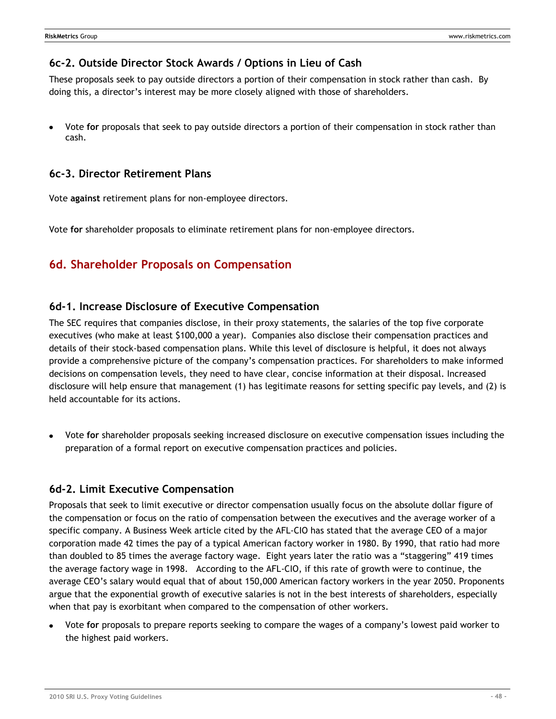## **6c-2. Outside Director Stock Awards / Options in Lieu of Cash**

These proposals seek to pay outside directors a portion of their compensation in stock rather than cash. By doing this, a director's interest may be more closely aligned with those of shareholders.

Vote **for** proposals that seek to pay outside directors a portion of their compensation in stock rather than cash.

## **6c-3. Director Retirement Plans**

Vote **against** retirement plans for non-employee directors.

Vote **for** shareholder proposals to eliminate retirement plans for non-employee directors.

# **6d. Shareholder Proposals on Compensation**

## **6d-1. Increase Disclosure of Executive Compensation**

The SEC requires that companies disclose, in their proxy statements, the salaries of the top five corporate executives (who make at least \$100,000 a year). Companies also disclose their compensation practices and details of their stock-based compensation plans. While this level of disclosure is helpful, it does not always provide a comprehensive picture of the company's compensation practices. For shareholders to make informed decisions on compensation levels, they need to have clear, concise information at their disposal. Increased disclosure will help ensure that management (1) has legitimate reasons for setting specific pay levels, and (2) is held accountable for its actions.

Vote **for** shareholder proposals seeking increased disclosure on executive compensation issues including the preparation of a formal report on executive compensation practices and policies.

## **6d-2. Limit Executive Compensation**

Proposals that seek to limit executive or director compensation usually focus on the absolute dollar figure of the compensation or focus on the ratio of compensation between the executives and the average worker of a specific company. A Business Week article cited by the AFL-CIO has stated that the average CEO of a major corporation made 42 times the pay of a typical American factory worker in 1980. By 1990, that ratio had more than doubled to 85 times the average factory wage. Eight years later the ratio was a "staggering" 419 times the average factory wage in 1998. According to the AFL-CIO, if this rate of growth were to continue, the average CEO's salary would equal that of about 150,000 American factory workers in the year 2050. Proponents argue that the exponential growth of executive salaries is not in the best interests of shareholders, especially when that pay is exorbitant when compared to the compensation of other workers.

Vote **for** proposals to prepare reports seeking to compare the wages of a company's lowest paid worker to the highest paid workers.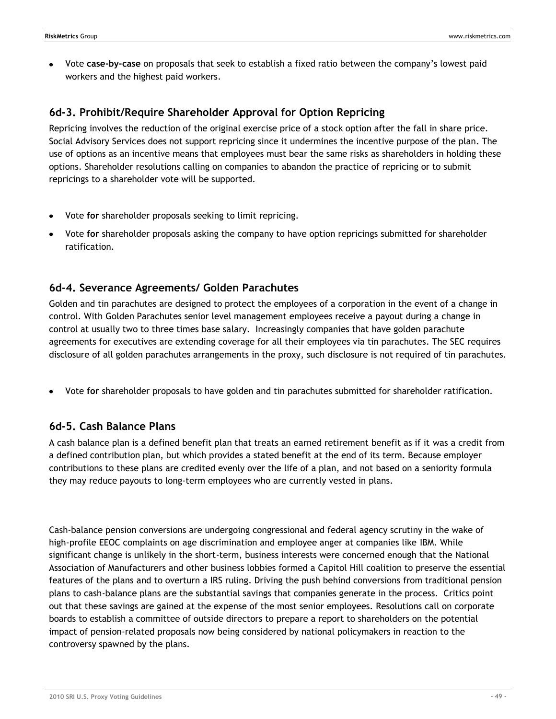Vote **case-by-case** on proposals that seek to establish a fixed ratio between the company's lowest paid workers and the highest paid workers.

## **6d-3. Prohibit/Require Shareholder Approval for Option Repricing**

Repricing involves the reduction of the original exercise price of a stock option after the fall in share price. Social Advisory Services does not support repricing since it undermines the incentive purpose of the plan. The use of options as an incentive means that employees must bear the same risks as shareholders in holding these options. Shareholder resolutions calling on companies to abandon the practice of repricing or to submit repricings to a shareholder vote will be supported.

- Vote **for** shareholder proposals seeking to limit repricing.
- Vote **for** shareholder proposals asking the company to have option repricings submitted for shareholder ratification.

# **6d-4. Severance Agreements/ Golden Parachutes**

Golden and tin parachutes are designed to protect the employees of a corporation in the event of a change in control. With Golden Parachutes senior level management employees receive a payout during a change in control at usually two to three times base salary. Increasingly companies that have golden parachute agreements for executives are extending coverage for all their employees via tin parachutes. The SEC requires disclosure of all golden parachutes arrangements in the proxy, such disclosure is not required of tin parachutes.

Vote **for** shareholder proposals to have golden and tin parachutes submitted for shareholder ratification.

## **6d-5. Cash Balance Plans**

A cash balance plan is a defined benefit plan that treats an earned retirement benefit as if it was a credit from a defined contribution plan, but which provides a stated benefit at the end of its term. Because employer contributions to these plans are credited evenly over the life of a plan, and not based on a seniority formula they may reduce payouts to long-term employees who are currently vested in plans.

Cash-balance pension conversions are undergoing congressional and federal agency scrutiny in the wake of high-profile EEOC complaints on age discrimination and employee anger at companies like IBM. While significant change is unlikely in the short-term, business interests were concerned enough that the National Association of Manufacturers and other business lobbies formed a Capitol Hill coalition to preserve the essential features of the plans and to overturn a IRS ruling. Driving the push behind conversions from traditional pension plans to cash-balance plans are the substantial savings that companies generate in the process. Critics point out that these savings are gained at the expense of the most senior employees. Resolutions call on corporate boards to establish a committee of outside directors to prepare a report to shareholders on the potential impact of pension-related proposals now being considered by national policymakers in reaction to the controversy spawned by the plans.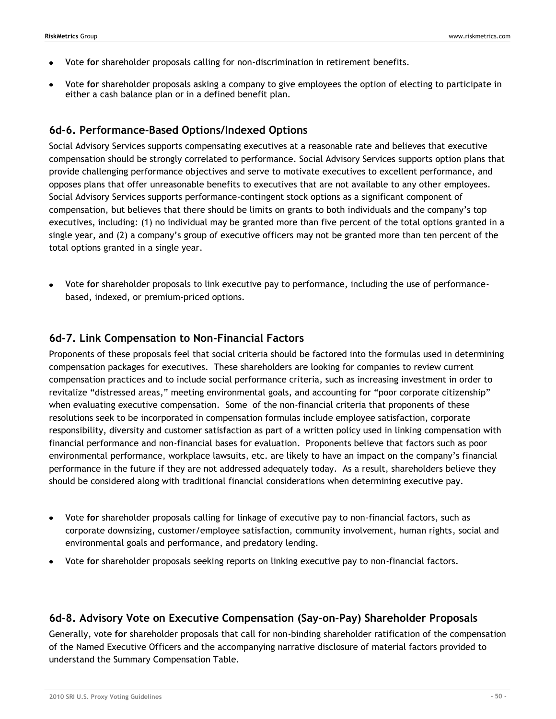- Vote **for** shareholder proposals calling for non-discrimination in retirement benefits.
- Vote **for** shareholder proposals asking a company to give employees the option of electing to participate in either a cash balance plan or in a defined benefit plan.

## **6d-6. Performance-Based Options/Indexed Options**

Social Advisory Services supports compensating executives at a reasonable rate and believes that executive compensation should be strongly correlated to performance. Social Advisory Services supports option plans that provide challenging performance objectives and serve to motivate executives to excellent performance, and opposes plans that offer unreasonable benefits to executives that are not available to any other employees. Social Advisory Services supports performance-contingent stock options as a significant component of compensation, but believes that there should be limits on grants to both individuals and the company's top executives, including: (1) no individual may be granted more than five percent of the total options granted in a single year, and (2) a company's group of executive officers may not be granted more than ten percent of the total options granted in a single year.

Vote **for** shareholder proposals to link executive pay to performance, including the use of performancebased, indexed, or premium-priced options.

### **6d-7. Link Compensation to Non-Financial Factors**

Proponents of these proposals feel that social criteria should be factored into the formulas used in determining compensation packages for executives. These shareholders are looking for companies to review current compensation practices and to include social performance criteria, such as increasing investment in order to revitalize "distressed areas," meeting environmental goals, and accounting for "poor corporate citizenship" when evaluating executive compensation. Some of the non-financial criteria that proponents of these resolutions seek to be incorporated in compensation formulas include employee satisfaction, corporate responsibility, diversity and customer satisfaction as part of a written policy used in linking compensation with financial performance and non-financial bases for evaluation. Proponents believe that factors such as poor environmental performance, workplace lawsuits, etc. are likely to have an impact on the company's financial performance in the future if they are not addressed adequately today. As a result, shareholders believe they should be considered along with traditional financial considerations when determining executive pay.

- Vote **for** shareholder proposals calling for linkage of executive pay to non-financial factors, such as corporate downsizing, customer/employee satisfaction, community involvement, human rights, social and environmental goals and performance, and predatory lending.
- Vote **for** shareholder proposals seeking reports on linking executive pay to non-financial factors.

## **6d-8. Advisory Vote on Executive Compensation (Say-on-Pay) Shareholder Proposals**

Generally, vote **for** shareholder proposals that call for non-binding shareholder ratification of the compensation of the Named Executive Officers and the accompanying narrative disclosure of material factors provided to understand the Summary Compensation Table.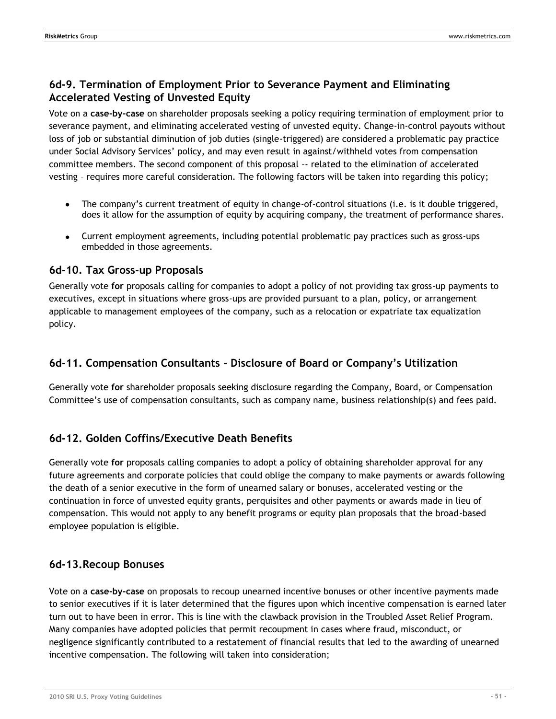# **6d-9. Termination of Employment Prior to Severance Payment and Eliminating Accelerated Vesting of Unvested Equity**

Vote on a **case-by-case** on shareholder proposals seeking a policy requiring termination of employment prior to severance payment, and eliminating accelerated vesting of unvested equity. Change-in-control payouts without loss of job or substantial diminution of job duties (single-triggered) are considered a problematic pay practice under Social Advisory Services' policy, and may even result in against/withheld votes from compensation committee members. The second component of this proposal –- related to the elimination of accelerated vesting – requires more careful consideration. The following factors will be taken into regarding this policy;

- The company's current treatment of equity in change-of-control situations (i.e. is it double triggered, does it allow for the assumption of equity by acquiring company, the treatment of performance shares.
- Current employment agreements, including potential problematic pay practices such as gross-ups embedded in those agreements.

## **6d-10. Tax Gross-up Proposals**

Generally vote **for** proposals calling for companies to adopt a policy of not providing tax gross-up payments to executives, except in situations where gross-ups are provided pursuant to a plan, policy, or arrangement applicable to management employees of the company, such as a relocation or expatriate tax equalization policy.

# **6d-11. Compensation Consultants - Disclosure of Board or Company's Utilization**

Generally vote **for** shareholder proposals seeking disclosure regarding the Company, Board, or Compensation Committee's use of compensation consultants, such as company name, business relationship(s) and fees paid.

# **6d-12. Golden Coffins/Executive Death Benefits**

Generally vote **for** proposals calling companies to adopt a policy of obtaining shareholder approval for any future agreements and corporate policies that could oblige the company to make payments or awards following the death of a senior executive in the form of unearned salary or bonuses, accelerated vesting or the continuation in force of unvested equity grants, perquisites and other payments or awards made in lieu of compensation. This would not apply to any benefit programs or equity plan proposals that the broad-based employee population is eligible.

# **6d-13.Recoup Bonuses**

Vote on a **case-by-case** on proposals to recoup unearned incentive bonuses or other incentive payments made to senior executives if it is later determined that the figures upon which incentive compensation is earned later turn out to have been in error. This is line with the clawback provision in the Troubled Asset Relief Program. Many companies have adopted policies that permit recoupment in cases where fraud, misconduct, or negligence significantly contributed to a restatement of financial results that led to the awarding of unearned incentive compensation. The following will taken into consideration;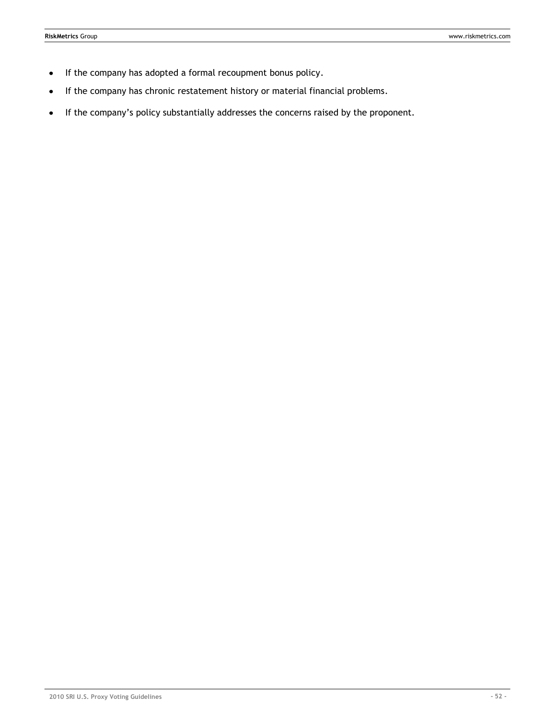- If the company has adopted a formal recoupment bonus policy.  $\bullet$
- If the company has chronic restatement history or material financial problems.
- If the company's policy substantially addresses the concerns raised by the proponent.  $\bullet$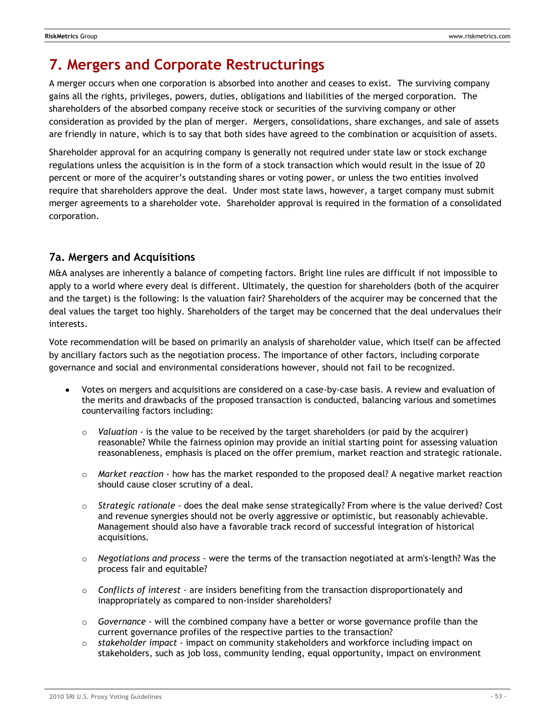# **7. Mergers and Corporate Restructurings**

A merger occurs when one corporation is absorbed into another and ceases to exist. The surviving company gains all the rights, privileges, powers, duties, obligations and liabilities of the merged corporation. The shareholders of the absorbed company receive stock or securities of the surviving company or other consideration as provided by the plan of merger. Mergers, consolidations, share exchanges, and sale of assets are friendly in nature, which is to say that both sides have agreed to the combination or acquisition of assets.

Shareholder approval for an acquiring company is generally not required under state law or stock exchange regulations unless the acquisition is in the form of a stock transaction which would result in the issue of 20 percent or more of the acquirer's outstanding shares or voting power, or unless the two entities involved require that shareholders approve the deal. Under most state laws, however, a target company must submit merger agreements to a shareholder vote. Shareholder approval is required in the formation of a consolidated corporation.

# **7a. Mergers and Acquisitions**

M&A analyses are inherently a balance of competing factors. Bright line rules are difficult if not impossible to apply to a world where every deal is different. Ultimately, the question for shareholders (both of the acquirer and the target) is the following: Is the valuation fair? Shareholders of the acquirer may be concerned that the deal values the target too highly. Shareholders of the target may be concerned that the deal undervalues their interests.

Vote recommendation will be based on primarily an analysis of shareholder value, which itself can be affected by ancillary factors such as the negotiation process. The importance of other factors, including corporate governance and social and environmental considerations however, should not fail to be recognized.

- Votes on mergers and acquisitions are considered on a case-by-case basis. A review and evaluation of the merits and drawbacks of the proposed transaction is conducted, balancing various and sometimes countervailing factors including:
	- o *Valuation* is the value to be received by the target shareholders (or paid by the acquirer) reasonable? While the fairness opinion may provide an initial starting point for assessing valuation reasonableness, emphasis is placed on the offer premium, market reaction and strategic rationale.
	- o *Market reaction* how has the market responded to the proposed deal? A negative market reaction should cause closer scrutiny of a deal.
	- o *Strategic rationale* does the deal make sense strategically? From where is the value derived? Cost and revenue synergies should not be overly aggressive or optimistic, but reasonably achievable. Management should also have a favorable track record of successful integration of historical acquisitions.
	- o *Negotiations and process* were the terms of the transaction negotiated at arm's-length? Was the process fair and equitable?
	- o *Conflicts of interest* are insiders benefiting from the transaction disproportionately and inappropriately as compared to non-insider shareholders?
	- o *Governance* will the combined company have a better or worse governance profile than the current governance profiles of the respective parties to the transaction?
	- o *stakeholder impact* impact on community stakeholders and workforce including impact on stakeholders, such as job loss, community lending, equal opportunity, impact on environment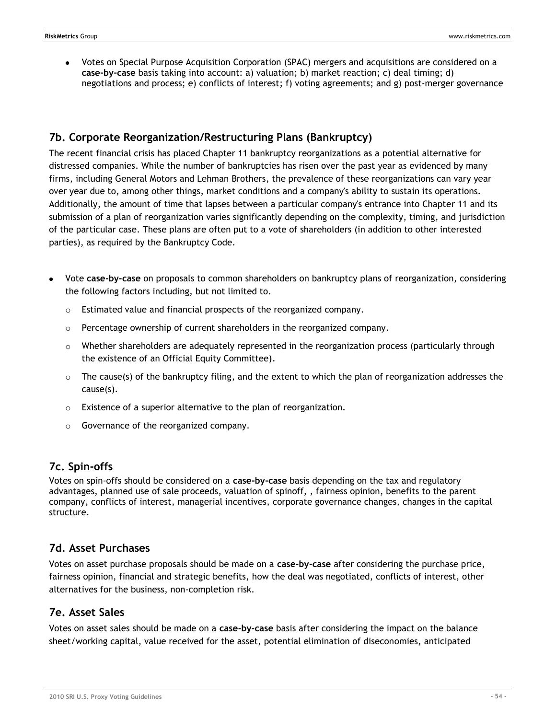Votes on Special Purpose Acquisition Corporation (SPAC) mergers and acquisitions are considered on a **case-by-case** basis taking into account: a) valuation; b) market reaction; c) deal timing; d) negotiations and process; e) conflicts of interest; f) voting agreements; and g) post-merger governance

# **7b. Corporate Reorganization/Restructuring Plans (Bankruptcy)**

The recent financial crisis has placed Chapter 11 bankruptcy reorganizations as a potential alternative for distressed companies. While the number of bankruptcies has risen over the past year as evidenced by many firms, including General Motors and Lehman Brothers, the prevalence of these reorganizations can vary year over year due to, among other things, market conditions and a company's ability to sustain its operations. Additionally, the amount of time that lapses between a particular company's entrance into Chapter 11 and its submission of a plan of reorganization varies significantly depending on the complexity, timing, and jurisdiction of the particular case. These plans are often put to a vote of shareholders (in addition to other interested parties), as required by the Bankruptcy Code.

- Vote **case-by-case** on proposals to common shareholders on bankruptcy plans of reorganization, considering the following factors including, but not limited to.
	- o Estimated value and financial prospects of the reorganized company.
	- $\circ$  Percentage ownership of current shareholders in the reorganized company.
	- $\circ$  Whether shareholders are adequately represented in the reorganization process (particularly through the existence of an Official Equity Committee).
	- $\circ$  The cause(s) of the bankruptcy filing, and the extent to which the plan of reorganization addresses the cause(s).
	- o Existence of a superior alternative to the plan of reorganization.
	- o Governance of the reorganized company.

# **7c. Spin-offs**

Votes on spin-offs should be considered on a **case-by-case** basis depending on the tax and regulatory advantages, planned use of sale proceeds, valuation of spinoff, , fairness opinion, benefits to the parent company, conflicts of interest, managerial incentives, corporate governance changes, changes in the capital structure.

# **7d. Asset Purchases**

Votes on asset purchase proposals should be made on a **case-by-case** after considering the purchase price, fairness opinion, financial and strategic benefits, how the deal was negotiated, conflicts of interest, other alternatives for the business, non-completion risk.

## **7e. Asset Sales**

Votes on asset sales should be made on a **case-by-case** basis after considering the impact on the balance sheet/working capital, value received for the asset, potential elimination of diseconomies, anticipated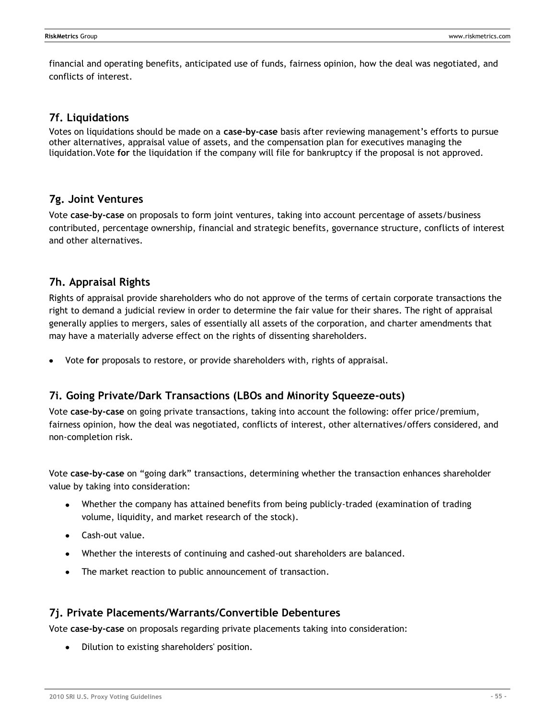financial and operating benefits, anticipated use of funds, fairness opinion, how the deal was negotiated, and conflicts of interest.

### **7f. Liquidations**

Votes on liquidations should be made on a **case-by-case** basis after reviewing management's efforts to pursue other alternatives, appraisal value of assets, and the compensation plan for executives managing the liquidation.Vote **for** the liquidation if the company will file for bankruptcy if the proposal is not approved.

### **7g. Joint Ventures**

Vote **case-by-case** on proposals to form joint ventures, taking into account percentage of assets/business contributed, percentage ownership, financial and strategic benefits, governance structure, conflicts of interest and other alternatives.

## **7h. Appraisal Rights**

Rights of appraisal provide shareholders who do not approve of the terms of certain corporate transactions the right to demand a judicial review in order to determine the fair value for their shares. The right of appraisal generally applies to mergers, sales of essentially all assets of the corporation, and charter amendments that may have a materially adverse effect on the rights of dissenting shareholders.

Vote **for** proposals to restore, or provide shareholders with, rights of appraisal.

## **7i. Going Private/Dark Transactions (LBOs and Minority Squeeze-outs)**

Vote **case-by-case** on going private transactions, taking into account the following: offer price/premium, fairness opinion, how the deal was negotiated, conflicts of interest, other alternatives/offers considered, and non-completion risk.

Vote case-by-case on "going dark" transactions, determining whether the transaction enhances shareholder value by taking into consideration:

- Whether the company has attained benefits from being publicly-traded (examination of trading volume, liquidity, and market research of the stock).
- Cash-out value.
- Whether the interests of continuing and cashed-out shareholders are balanced.
- The market reaction to public announcement of transaction.

## **7j. Private Placements/Warrants/Convertible Debentures**

Vote **case-by-case** on proposals regarding private placements taking into consideration:

Dilution to existing shareholders' position.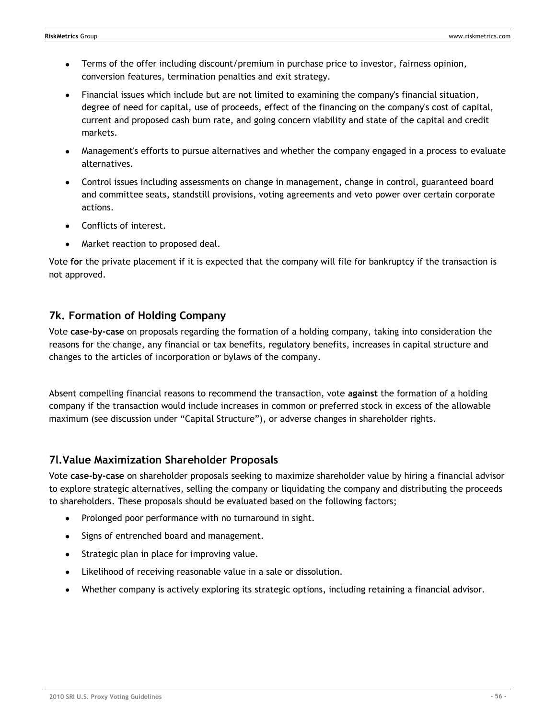- Terms of the offer including discount/premium in purchase price to investor, fairness opinion,  $\bullet$ conversion features, termination penalties and exit strategy.
- Financial issues which include but are not limited to examining the company's financial situation, degree of need for capital, use of proceeds, effect of the financing on the company's cost of capital, current and proposed cash burn rate, and going concern viability and state of the capital and credit markets.
- Management's efforts to pursue alternatives and whether the company engaged in a process to evaluate alternatives.
- Control issues including assessments on change in management, change in control, guaranteed board and committee seats, standstill provisions, voting agreements and veto power over certain corporate actions.
- Conflicts of interest.
- Market reaction to proposed deal.

Vote **for** the private placement if it is expected that the company will file for bankruptcy if the transaction is not approved.

## **7k. Formation of Holding Company**

Vote **case-by-case** on proposals regarding the formation of a holding company, taking into consideration the reasons for the change, any financial or tax benefits, regulatory benefits, increases in capital structure and changes to the articles of incorporation or bylaws of the company.

Absent compelling financial reasons to recommend the transaction, vote **against** the formation of a holding company if the transaction would include increases in common or preferred stock in excess of the allowable maximum (see discussion under "Capital Structure"), or adverse changes in shareholder rights.

# **7l.Value Maximization Shareholder Proposals**

Vote **case-by-case** on shareholder proposals seeking to maximize shareholder value by hiring a financial advisor to explore strategic alternatives, selling the company or liquidating the company and distributing the proceeds to shareholders. These proposals should be evaluated based on the following factors;

- Prolonged poor performance with no turnaround in sight.
- Signs of entrenched board and management.  $\bullet$
- Strategic plan in place for improving value.  $\bullet$
- Likelihood of receiving reasonable value in a sale or dissolution.  $\bullet$
- Whether company is actively exploring its strategic options, including retaining a financial advisor.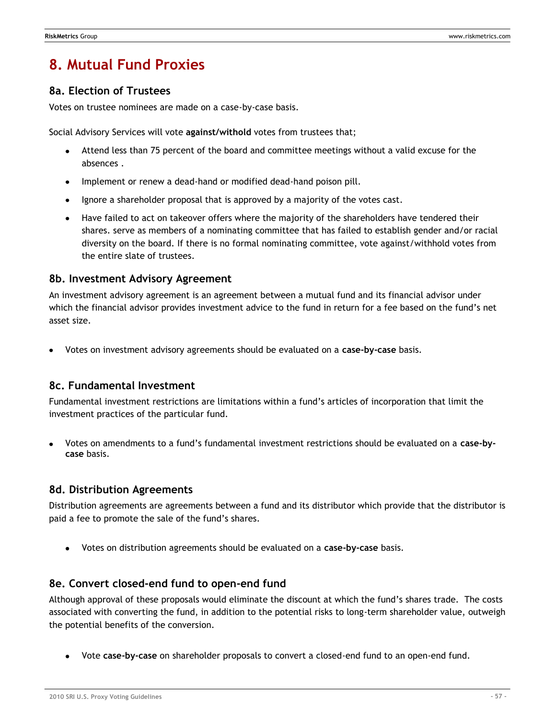# **8. Mutual Fund Proxies**

### **8a. Election of Trustees**

Votes on trustee nominees are made on a case-by-case basis.

Social Advisory Services will vote **against/withold** votes from trustees that;

- Attend less than 75 percent of the board and committee meetings without a valid excuse for the absences .
- Implement or renew a dead-hand or modified dead-hand poison pill.
- Ignore a shareholder proposal that is approved by a majority of the votes cast.
- Have failed to act on takeover offers where the majority of the shareholders have tendered their shares. serve as members of a nominating committee that has failed to establish gender and/or racial diversity on the board. If there is no formal nominating committee, vote against/withhold votes from the entire slate of trustees.

### **8b. Investment Advisory Agreement**

An investment advisory agreement is an agreement between a mutual fund and its financial advisor under which the financial advisor provides investment advice to the fund in return for a fee based on the fund's net asset size.

Votes on investment advisory agreements should be evaluated on a **case-by-case** basis.

### **8c. Fundamental Investment**

Fundamental investment restrictions are limitations within a fund's articles of incorporation that limit the investment practices of the particular fund.

Votes on amendments to a fund's fundamental investment restrictions should be evaluated on a **case-bycase** basis.

### **8d. Distribution Agreements**

Distribution agreements are agreements between a fund and its distributor which provide that the distributor is paid a fee to promote the sale of the fund's shares.

Votes on distribution agreements should be evaluated on a **case-by-case** basis.

### **8e. Convert closed-end fund to open-end fund**

Although approval of these proposals would eliminate the discount at which the fund's shares trade. The costs associated with converting the fund, in addition to the potential risks to long-term shareholder value, outweigh the potential benefits of the conversion.

Vote **case-by-case** on shareholder proposals to convert a closed-end fund to an open-end fund.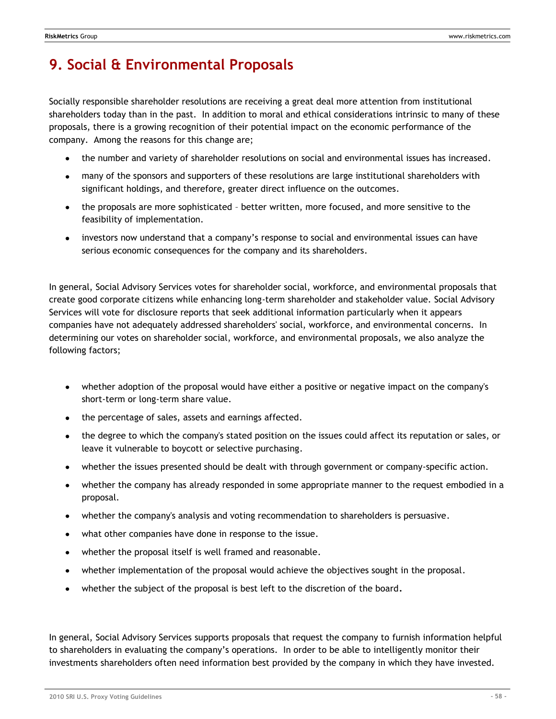# **9. Social & Environmental Proposals**

Socially responsible shareholder resolutions are receiving a great deal more attention from institutional shareholders today than in the past. In addition to moral and ethical considerations intrinsic to many of these proposals, there is a growing recognition of their potential impact on the economic performance of the company. Among the reasons for this change are;

- the number and variety of shareholder resolutions on social and environmental issues has increased.
- many of the sponsors and supporters of these resolutions are large institutional shareholders with significant holdings, and therefore, greater direct influence on the outcomes.
- the proposals are more sophisticated better written, more focused, and more sensitive to the feasibility of implementation.
- investors now understand that a company's response to social and environmental issues can have serious economic consequences for the company and its shareholders.

In general, Social Advisory Services votes for shareholder social, workforce, and environmental proposals that create good corporate citizens while enhancing long-term shareholder and stakeholder value. Social Advisory Services will vote for disclosure reports that seek additional information particularly when it appears companies have not adequately addressed shareholders' social, workforce, and environmental concerns. In determining our votes on shareholder social, workforce, and environmental proposals, we also analyze the following factors;

- whether adoption of the proposal would have either a positive or negative impact on the company's short-term or long-term share value.
- the percentage of sales, assets and earnings affected.  $\bullet$
- the degree to which the company's stated position on the issues could affect its reputation or sales, or leave it vulnerable to boycott or selective purchasing.
- whether the issues presented should be dealt with through government or company-specific action.
- whether the company has already responded in some appropriate manner to the request embodied in a proposal.
- whether the company's analysis and voting recommendation to shareholders is persuasive.
- what other companies have done in response to the issue.
- whether the proposal itself is well framed and reasonable.  $\bullet$
- whether implementation of the proposal would achieve the objectives sought in the proposal.
- whether the subject of the proposal is best left to the discretion of the board.

In general, Social Advisory Services supports proposals that request the company to furnish information helpful to shareholders in evaluating the company's operations. In order to be able to intelligently monitor their investments shareholders often need information best provided by the company in which they have invested.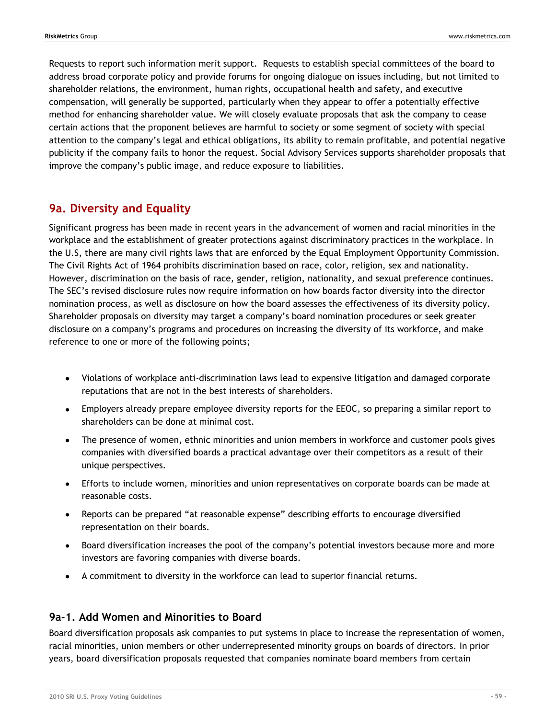Requests to report such information merit support. Requests to establish special committees of the board to address broad corporate policy and provide forums for ongoing dialogue on issues including, but not limited to shareholder relations, the environment, human rights, occupational health and safety, and executive compensation, will generally be supported, particularly when they appear to offer a potentially effective method for enhancing shareholder value. We will closely evaluate proposals that ask the company to cease certain actions that the proponent believes are harmful to society or some segment of society with special attention to the company's legal and ethical obligations, its ability to remain profitable, and potential negative publicity if the company fails to honor the request. Social Advisory Services supports shareholder proposals that improve the company's public image, and reduce exposure to liabilities.

# **9a. Diversity and Equality**

Significant progress has been made in recent years in the advancement of women and racial minorities in the workplace and the establishment of greater protections against discriminatory practices in the workplace. In the U.S, there are many civil rights laws that are enforced by the Equal Employment Opportunity Commission. The Civil Rights Act of 1964 prohibits discrimination based on race, color, religion, sex and nationality. However, discrimination on the basis of race, gender, religion, nationality, and sexual preference continues. The SEC's revised disclosure rules now require information on how boards factor diversity into the director nomination process, as well as disclosure on how the board assesses the effectiveness of its diversity policy. Shareholder proposals on diversity may target a company's board nomination procedures or seek greater disclosure on a company's programs and procedures on increasing the diversity of its workforce, and make reference to one or more of the following points;

- Violations of workplace anti-discrimination laws lead to expensive litigation and damaged corporate reputations that are not in the best interests of shareholders.
- Employers already prepare employee diversity reports for the EEOC, so preparing a similar report to shareholders can be done at minimal cost.
- The presence of women, ethnic minorities and union members in workforce and customer pools gives companies with diversified boards a practical advantage over their competitors as a result of their unique perspectives.
- Efforts to include women, minorities and union representatives on corporate boards can be made at reasonable costs.
- Reports can be prepared "at reasonable expense" describing efforts to encourage diversified representation on their boards.
- Board diversification increases the pool of the company's potential investors because more and more investors are favoring companies with diverse boards.
- A commitment to diversity in the workforce can lead to superior financial returns.

# **9a-1. Add Women and Minorities to Board**

Board diversification proposals ask companies to put systems in place to increase the representation of women, racial minorities, union members or other underrepresented minority groups on boards of directors. In prior years, board diversification proposals requested that companies nominate board members from certain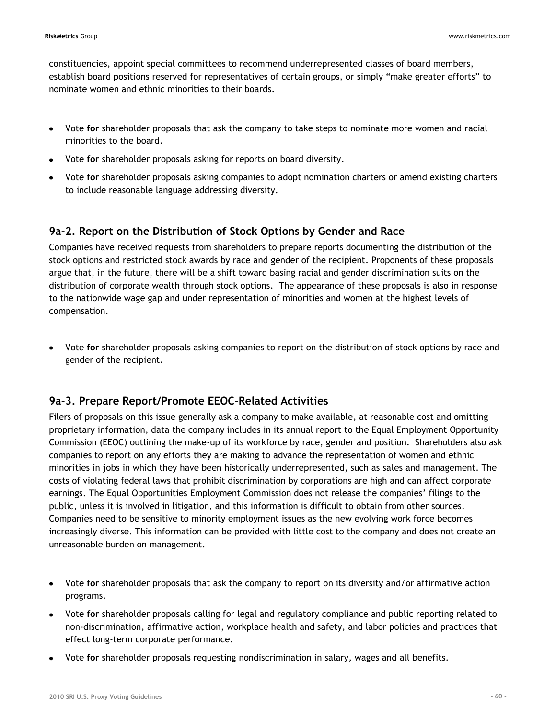constituencies, appoint special committees to recommend underrepresented classes of board members, establish board positions reserved for representatives of certain groups, or simply "make greater efforts" to nominate women and ethnic minorities to their boards.

- Vote **for** shareholder proposals that ask the company to take steps to nominate more women and racial  $\bullet$ minorities to the board.
- Vote **for** shareholder proposals asking for reports on board diversity.
- Vote **for** shareholder proposals asking companies to adopt nomination charters or amend existing charters to include reasonable language addressing diversity.

## **9a-2. Report on the Distribution of Stock Options by Gender and Race**

Companies have received requests from shareholders to prepare reports documenting the distribution of the stock options and restricted stock awards by race and gender of the recipient. Proponents of these proposals argue that, in the future, there will be a shift toward basing racial and gender discrimination suits on the distribution of corporate wealth through stock options. The appearance of these proposals is also in response to the nationwide wage gap and under representation of minorities and women at the highest levels of compensation.

Vote **for** shareholder proposals asking companies to report on the distribution of stock options by race and gender of the recipient.

## **9a-3. Prepare Report/Promote EEOC-Related Activities**

Filers of proposals on this issue generally ask a company to make available, at reasonable cost and omitting proprietary information, data the company includes in its annual report to the Equal Employment Opportunity Commission (EEOC) outlining the make-up of its workforce by race, gender and position. Shareholders also ask companies to report on any efforts they are making to advance the representation of women and ethnic minorities in jobs in which they have been historically underrepresented, such as sales and management. The costs of violating federal laws that prohibit discrimination by corporations are high and can affect corporate earnings. The Equal Opportunities Employment Commission does not release the companies' filings to the public, unless it is involved in litigation, and this information is difficult to obtain from other sources. Companies need to be sensitive to minority employment issues as the new evolving work force becomes increasingly diverse. This information can be provided with little cost to the company and does not create an unreasonable burden on management.

- Vote **for** shareholder proposals that ask the company to report on its diversity and/or affirmative action programs.
- Vote **for** shareholder proposals calling for legal and regulatory compliance and public reporting related to non-discrimination, affirmative action, workplace health and safety, and labor policies and practices that effect long-term corporate performance.
- Vote **for** shareholder proposals requesting nondiscrimination in salary, wages and all benefits.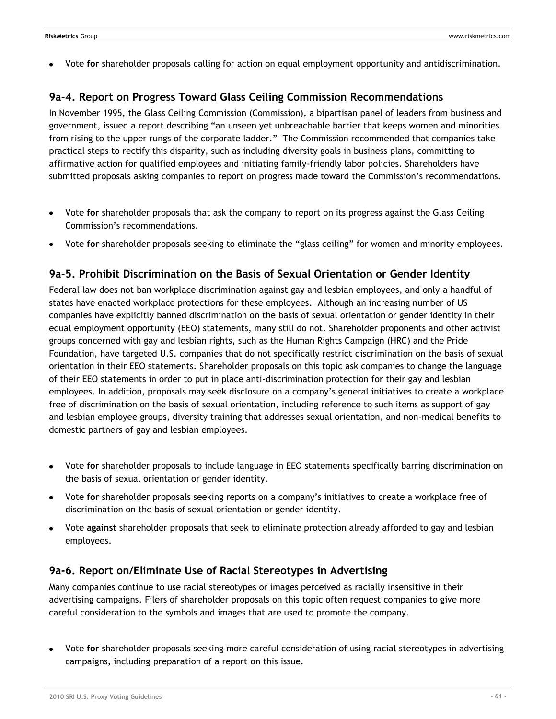Vote **for** shareholder proposals calling for action on equal employment opportunity and antidiscrimination.

# **9a-4. Report on Progress Toward Glass Ceiling Commission Recommendations**

In November 1995, the Glass Ceiling Commission (Commission), a bipartisan panel of leaders from business and government, issued a report describing "an unseen yet unbreachable barrier that keeps women and minorities from rising to the upper rungs of the corporate ladder." The Commission recommended that companies take practical steps to rectify this disparity, such as including diversity goals in business plans, committing to affirmative action for qualified employees and initiating family-friendly labor policies. Shareholders have submitted proposals asking companies to report on progress made toward the Commission's recommendations.

- Vote **for** shareholder proposals that ask the company to report on its progress against the Glass Ceiling Commission's recommendations.
- Vote for shareholder proposals seeking to eliminate the "glass ceiling" for women and minority employees.

# **9a-5. Prohibit Discrimination on the Basis of Sexual Orientation or Gender Identity**

Federal law does not ban workplace discrimination against gay and lesbian employees, and only a handful of states have enacted workplace protections for these employees. Although an increasing number of US companies have explicitly banned discrimination on the basis of sexual orientation or gender identity in their equal employment opportunity (EEO) statements, many still do not. Shareholder proponents and other activist groups concerned with gay and lesbian rights, such as the Human Rights Campaign (HRC) and the Pride Foundation, have targeted U.S. companies that do not specifically restrict discrimination on the basis of sexual orientation in their EEO statements. Shareholder proposals on this topic ask companies to change the language of their EEO statements in order to put in place anti-discrimination protection for their gay and lesbian employees. In addition, proposals may seek disclosure on a company's general initiatives to create a workplace free of discrimination on the basis of sexual orientation, including reference to such items as support of gay and lesbian employee groups, diversity training that addresses sexual orientation, and non-medical benefits to domestic partners of gay and lesbian employees.

- Vote **for** shareholder proposals to include language in EEO statements specifically barring discrimination on  $\bullet$ the basis of sexual orientation or gender identity.
- Vote **for** shareholder proposals seeking reports on a company's initiatives to create a workplace free of  $\bullet$ discrimination on the basis of sexual orientation or gender identity.
- Vote **against** shareholder proposals that seek to eliminate protection already afforded to gay and lesbian employees.

## **9a-6. Report on/Eliminate Use of Racial Stereotypes in Advertising**

Many companies continue to use racial stereotypes or images perceived as racially insensitive in their advertising campaigns. Filers of shareholder proposals on this topic often request companies to give more careful consideration to the symbols and images that are used to promote the company.

Vote **for** shareholder proposals seeking more careful consideration of using racial stereotypes in advertising campaigns, including preparation of a report on this issue.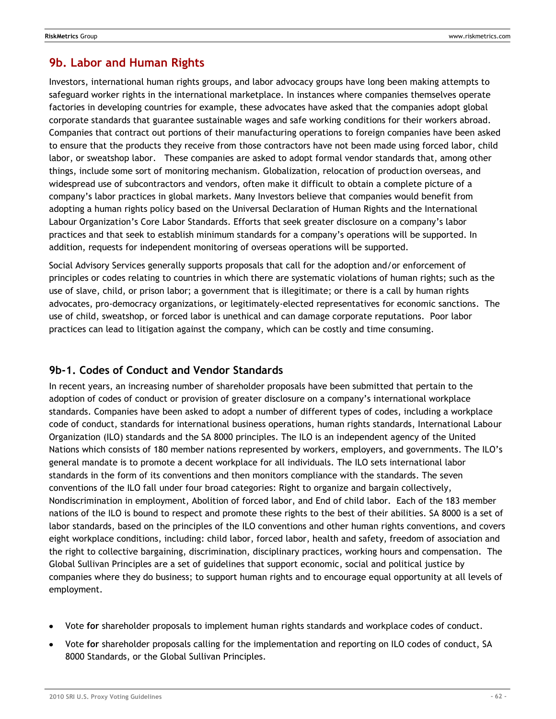# **9b. Labor and Human Rights**

Investors, international human rights groups, and labor advocacy groups have long been making attempts to safeguard worker rights in the international marketplace. In instances where companies themselves operate factories in developing countries for example, these advocates have asked that the companies adopt global corporate standards that guarantee sustainable wages and safe working conditions for their workers abroad. Companies that contract out portions of their manufacturing operations to foreign companies have been asked to ensure that the products they receive from those contractors have not been made using forced labor, child labor, or sweatshop labor. These companies are asked to adopt formal vendor standards that, among other things, include some sort of monitoring mechanism. Globalization, relocation of production overseas, and widespread use of subcontractors and vendors, often make it difficult to obtain a complete picture of a company's labor practices in global markets. Many Investors believe that companies would benefit from adopting a human rights policy based on the Universal Declaration of Human Rights and the International Labour Organization's Core Labor Standards. Efforts that seek greater disclosure on a company's labor practices and that seek to establish minimum standards for a company's operations will be supported. In addition, requests for independent monitoring of overseas operations will be supported.

Social Advisory Services generally supports proposals that call for the adoption and/or enforcement of principles or codes relating to countries in which there are systematic violations of human rights; such as the use of slave, child, or prison labor; a government that is illegitimate; or there is a call by human rights advocates, pro-democracy organizations, or legitimately-elected representatives for economic sanctions. The use of child, sweatshop, or forced labor is unethical and can damage corporate reputations. Poor labor practices can lead to litigation against the company, which can be costly and time consuming.

# **9b-1. Codes of Conduct and Vendor Standards**

In recent years, an increasing number of shareholder proposals have been submitted that pertain to the adoption of codes of conduct or provision of greater disclosure on a company's international workplace standards. Companies have been asked to adopt a number of different types of codes, including a workplace code of conduct, standards for international business operations, human rights standards, International Labour Organization (ILO) standards and the SA 8000 principles. The ILO is an independent agency of the United Nations which consists of 180 member nations represented by workers, employers, and governments. The ILO's general mandate is to promote a decent workplace for all individuals. The ILO sets international labor standards in the form of its conventions and then monitors compliance with the standards. The seven conventions of the ILO fall under four broad categories: Right to organize and bargain collectively, Nondiscrimination in employment, Abolition of forced labor, and End of child labor. Each of the 183 member nations of the ILO is bound to respect and promote these rights to the best of their abilities. SA 8000 is a set of labor standards, based on the principles of the ILO conventions and other human rights conventions, and covers eight workplace conditions, including: child labor, forced labor, health and safety, freedom of association and the right to collective bargaining, discrimination, disciplinary practices, working hours and compensation. The Global Sullivan Principles are a set of guidelines that support economic, social and political justice by companies where they do business; to support human rights and to encourage equal opportunity at all levels of employment.

- Vote **for** shareholder proposals to implement human rights standards and workplace codes of conduct.
- Vote **for** shareholder proposals calling for the implementation and reporting on ILO codes of conduct, SA 8000 Standards, or the Global Sullivan Principles.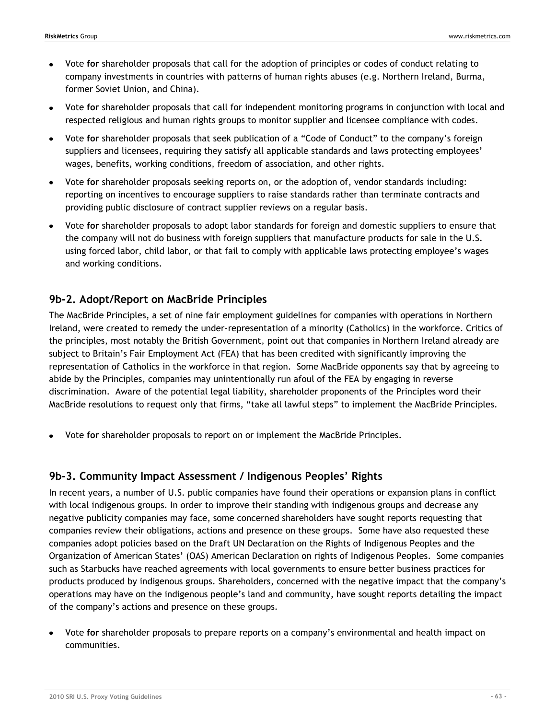- Vote **for** shareholder proposals that call for the adoption of principles or codes of conduct relating to company investments in countries with patterns of human rights abuses (e.g. Northern Ireland, Burma, former Soviet Union, and China).
- Vote **for** shareholder proposals that call for independent monitoring programs in conjunction with local and respected religious and human rights groups to monitor supplier and licensee compliance with codes.
- Vote for shareholder proposals that seek publication of a "Code of Conduct" to the company's foreign suppliers and licensees, requiring they satisfy all applicable standards and laws protecting employees' wages, benefits, working conditions, freedom of association, and other rights.
- Vote **for** shareholder proposals seeking reports on, or the adoption of, vendor standards including: reporting on incentives to encourage suppliers to raise standards rather than terminate contracts and providing public disclosure of contract supplier reviews on a regular basis.
- Vote **for** shareholder proposals to adopt labor standards for foreign and domestic suppliers to ensure that  $\bullet$ the company will not do business with foreign suppliers that manufacture products for sale in the U.S. using forced labor, child labor, or that fail to comply with applicable laws protecting employee's wages and working conditions.

# **9b-2. Adopt/Report on MacBride Principles**

The MacBride Principles, a set of nine fair employment guidelines for companies with operations in Northern Ireland, were created to remedy the under-representation of a minority (Catholics) in the workforce. Critics of the principles, most notably the British Government, point out that companies in Northern Ireland already are subject to Britain's Fair Employment Act (FEA) that has been credited with significantly improving the representation of Catholics in the workforce in that region. Some MacBride opponents say that by agreeing to abide by the Principles, companies may unintentionally run afoul of the FEA by engaging in reverse discrimination. Aware of the potential legal liability, shareholder proponents of the Principles word their MacBride resolutions to request only that firms, "take all lawful steps" to implement the MacBride Principles.

Vote **for** shareholder proposals to report on or implement the MacBride Principles.

# **9b-3. Community Impact Assessment / Indigenous Peoples' Rights**

In recent years, a number of U.S. public companies have found their operations or expansion plans in conflict with local indigenous groups. In order to improve their standing with indigenous groups and decrease any negative publicity companies may face, some concerned shareholders have sought reports requesting that companies review their obligations, actions and presence on these groups. Some have also requested these companies adopt policies based on the Draft UN Declaration on the Rights of Indigenous Peoples and the Organization of American States' (OAS) American Declaration on rights of Indigenous Peoples. Some companies such as Starbucks have reached agreements with local governments to ensure better business practices for products produced by indigenous groups. Shareholders, concerned with the negative impact that the company's operations may have on the indigenous people's land and community, have sought reports detailing the impact of the company's actions and presence on these groups.

Vote **for** shareholder proposals to prepare reports on a company's environmental and health impact on communities.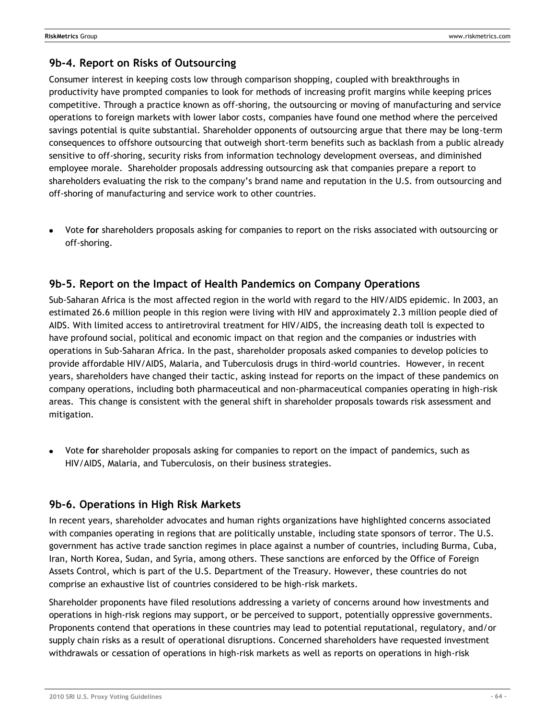## **9b-4. Report on Risks of Outsourcing**

Consumer interest in keeping costs low through comparison shopping, coupled with breakthroughs in productivity have prompted companies to look for methods of increasing profit margins while keeping prices competitive. Through a practice known as off-shoring, the outsourcing or moving of manufacturing and service operations to foreign markets with lower labor costs, companies have found one method where the perceived savings potential is quite substantial. Shareholder opponents of outsourcing argue that there may be long-term consequences to offshore outsourcing that outweigh short-term benefits such as backlash from a public already sensitive to off-shoring, security risks from information technology development overseas, and diminished employee morale. Shareholder proposals addressing outsourcing ask that companies prepare a report to shareholders evaluating the risk to the company's brand name and reputation in the U.S. from outsourcing and off-shoring of manufacturing and service work to other countries.

Vote **for** shareholders proposals asking for companies to report on the risks associated with outsourcing or off-shoring.

## **9b-5. Report on the Impact of Health Pandemics on Company Operations**

Sub-Saharan Africa is the most affected region in the world with regard to the HIV/AIDS epidemic. In 2003, an estimated 26.6 million people in this region were living with HIV and approximately 2.3 million people died of AIDS. With limited access to antiretroviral treatment for HIV/AIDS, the increasing death toll is expected to have profound social, political and economic impact on that region and the companies or industries with operations in Sub-Saharan Africa. In the past, shareholder proposals asked companies to develop policies to provide affordable HIV/AIDS, Malaria, and Tuberculosis drugs in third-world countries. However, in recent years, shareholders have changed their tactic, asking instead for reports on the impact of these pandemics on company operations, including both pharmaceutical and non-pharmaceutical companies operating in high-risk areas. This change is consistent with the general shift in shareholder proposals towards risk assessment and mitigation.

Vote **for** shareholder proposals asking for companies to report on the impact of pandemics, such as HIV/AIDS, Malaria, and Tuberculosis, on their business strategies.

## **9b-6. Operations in High Risk Markets**

In recent years, shareholder advocates and human rights organizations have highlighted concerns associated with companies operating in regions that are politically unstable, including state sponsors of terror. The U.S. government has active trade sanction regimes in place against a number of countries, including Burma, Cuba, Iran, North Korea, Sudan, and Syria, among others. These sanctions are enforced by the Office of Foreign Assets Control, which is part of the U.S. Department of the Treasury. However, these countries do not comprise an exhaustive list of countries considered to be high-risk markets.

Shareholder proponents have filed resolutions addressing a variety of concerns around how investments and operations in high-risk regions may support, or be perceived to support, potentially oppressive governments. Proponents contend that operations in these countries may lead to potential reputational, regulatory, and/or supply chain risks as a result of operational disruptions. Concerned shareholders have requested investment withdrawals or cessation of operations in high-risk markets as well as reports on operations in high-risk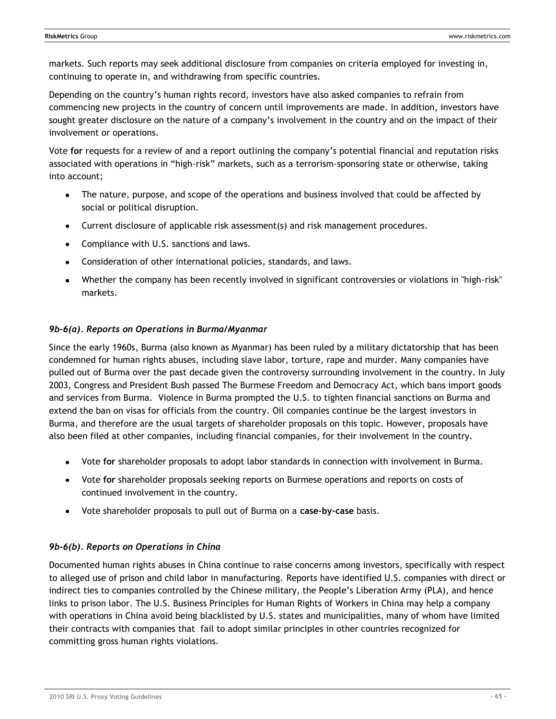markets. Such reports may seek additional disclosure from companies on criteria employed for investing in, continuing to operate in, and withdrawing from specific countries.

Depending on the country's human rights record, investors have also asked companies to refrain from commencing new projects in the country of concern until improvements are made. In addition, investors have sought greater disclosure on the nature of a company's involvement in the country and on the impact of their involvement or operations.

Vote **for** requests for a review of and a report outlining the company's potential financial and reputation risks associated with operations in "high-risk" markets, such as a terrorism-sponsoring state or otherwise, taking into account;

- The nature, purpose, and scope of the operations and business involved that could be affected by social or political disruption.
- Current disclosure of applicable risk assessment(s) and risk management procedures.
- Compliance with U.S. sanctions and laws.
- Consideration of other international policies, standards, and laws.
- Whether the company has been recently involved in significant controversies or violations in "high-risk" markets.

### *9b-6(a). Reports on Operations in Burma/Myanmar*

Since the early 1960s, Burma (also known as Myanmar) has been ruled by a military dictatorship that has been condemned for human rights abuses, including slave labor, torture, rape and murder. Many companies have pulled out of Burma over the past decade given the controversy surrounding involvement in the country. In July 2003, Congress and President Bush passed The Burmese Freedom and Democracy Act, which bans import goods and services from Burma. Violence in Burma prompted the U.S. to tighten financial sanctions on Burma and extend the ban on visas for officials from the country. Oil companies continue be the largest investors in Burma, and therefore are the usual targets of shareholder proposals on this topic. However, proposals have also been filed at other companies, including financial companies, for their involvement in the country.

- Vote **for** shareholder proposals to adopt labor standards in connection with involvement in Burma.
- Vote **for** shareholder proposals seeking reports on Burmese operations and reports on costs of continued involvement in the country.
- Vote shareholder proposals to pull out of Burma on a **case-by-case** basis.

### *9b-6(b). Reports on Operations in China*

Documented human rights abuses in China continue to raise concerns among investors, specifically with respect to alleged use of prison and child labor in manufacturing. Reports have identified U.S. companies with direct or indirect ties to companies controlled by the Chinese military, the People's Liberation Army (PLA), and hence links to prison labor. The U.S. Business Principles for Human Rights of Workers in China may help a company with operations in China avoid being blacklisted by U.S. states and municipalities, many of whom have limited their contracts with companies that fail to adopt similar principles in other countries recognized for committing gross human rights violations.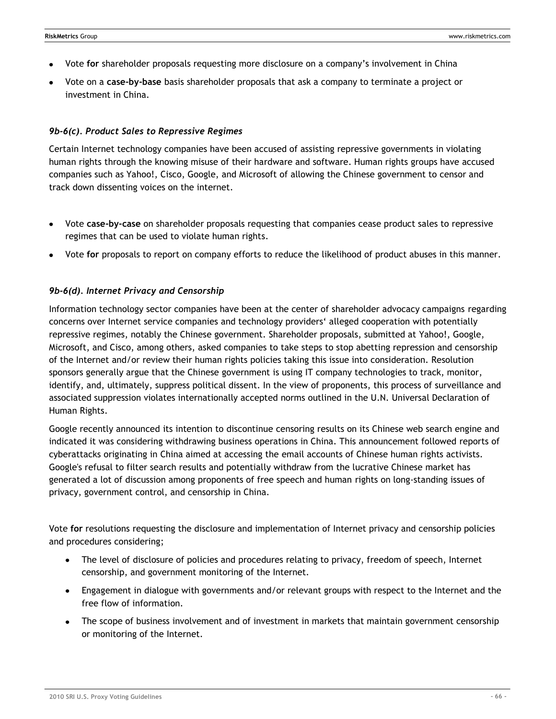- Vote **for** shareholder proposals requesting more disclosure on a company's involvement in China
- Vote on a **case-by-base** basis shareholder proposals that ask a company to terminate a project or investment in China.

### *9b-6(c). Product Sales to Repressive Regimes*

Certain Internet technology companies have been accused of assisting repressive governments in violating human rights through the knowing misuse of their hardware and software. Human rights groups have accused companies such as Yahoo!, Cisco, Google, and Microsoft of allowing the Chinese government to censor and track down dissenting voices on the internet.

- Vote **case-by-case** on shareholder proposals requesting that companies cease product sales to repressive regimes that can be used to violate human rights.
- Vote **for** proposals to report on company efforts to reduce the likelihood of product abuses in this manner.

### *9b-6(d). Internet Privacy and Censorship*

Information technology sector companies have been at the center of shareholder advocacy campaigns regarding concerns over Internet service companies and technology providers‗ alleged cooperation with potentially repressive regimes, notably the Chinese government. Shareholder proposals, submitted at Yahoo!, Google, Microsoft, and Cisco, among others, asked companies to take steps to stop abetting repression and censorship of the Internet and/or review their human rights policies taking this issue into consideration. Resolution sponsors generally argue that the Chinese government is using IT company technologies to track, monitor, identify, and, ultimately, suppress political dissent. In the view of proponents, this process of surveillance and associated suppression violates internationally accepted norms outlined in the U.N. Universal Declaration of Human Rights.

Google recently announced its intention to discontinue censoring results on its Chinese web search engine and indicated it was considering withdrawing business operations in China. This announcement followed reports of cyberattacks originating in China aimed at accessing the email accounts of Chinese human rights activists. Google's refusal to filter search results and potentially withdraw from the lucrative Chinese market has generated a lot of discussion among proponents of free speech and human rights on long-standing issues of privacy, government control, and censorship in China.

Vote **for** resolutions requesting the disclosure and implementation of Internet privacy and censorship policies and procedures considering;

- The level of disclosure of policies and procedures relating to privacy, freedom of speech, Internet censorship, and government monitoring of the Internet.
- Engagement in dialogue with governments and/or relevant groups with respect to the Internet and the free flow of information.
- The scope of business involvement and of investment in markets that maintain government censorship or monitoring of the Internet.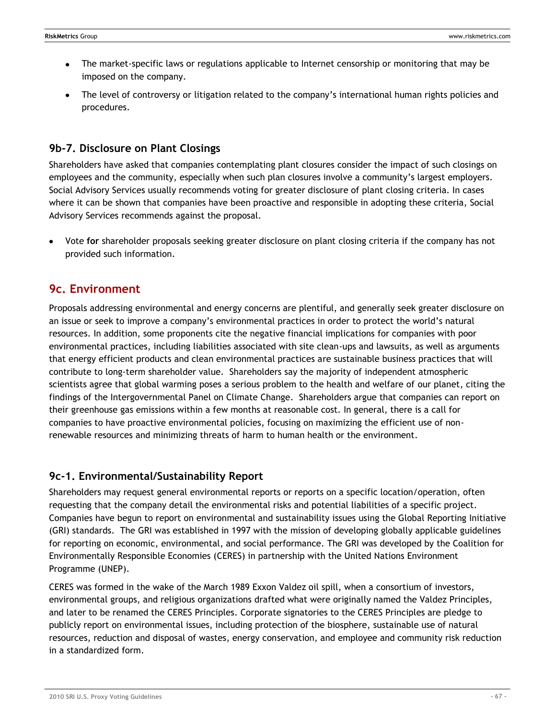- The market-specific laws or regulations applicable to Internet censorship or monitoring that may be  $\bullet$ imposed on the company.
- The level of controversy or litigation related to the company's international human rights policies and procedures.

# **9b-7. Disclosure on Plant Closings**

Shareholders have asked that companies contemplating plant closures consider the impact of such closings on employees and the community, especially when such plan closures involve a community's largest employers. Social Advisory Services usually recommends voting for greater disclosure of plant closing criteria. In cases where it can be shown that companies have been proactive and responsible in adopting these criteria, Social Advisory Services recommends against the proposal.

Vote **for** shareholder proposals seeking greater disclosure on plant closing criteria if the company has not provided such information.

# **9c. Environment**

Proposals addressing environmental and energy concerns are plentiful, and generally seek greater disclosure on an issue or seek to improve a company's environmental practices in order to protect the world's natural resources. In addition, some proponents cite the negative financial implications for companies with poor environmental practices, including liabilities associated with site clean-ups and lawsuits, as well as arguments that energy efficient products and clean environmental practices are sustainable business practices that will contribute to long-term shareholder value. Shareholders say the majority of independent atmospheric scientists agree that global warming poses a serious problem to the health and welfare of our planet, citing the findings of the Intergovernmental Panel on Climate Change. Shareholders argue that companies can report on their greenhouse gas emissions within a few months at reasonable cost. In general, there is a call for companies to have proactive environmental policies, focusing on maximizing the efficient use of nonrenewable resources and minimizing threats of harm to human health or the environment.

## **9c-1. Environmental/Sustainability Report**

Shareholders may request general environmental reports or reports on a specific location/operation, often requesting that the company detail the environmental risks and potential liabilities of a specific project. Companies have begun to report on environmental and sustainability issues using the Global Reporting Initiative (GRI) standards. The GRI was established in 1997 with the [mission](http://globalreporting.org/AboutGRI/MissionVision.htm) of developing globally applicable guidelines for reporting on economic, environmental, and social performance. The GRI was developed by the Coalition for Environmentally Responsible Economies [\(CERES\)](http://www.ceres.org/) in partnership with the United Nations Environment Programme [\(UNEP\)](http://www.unep.org/).

CERES was formed in the wake of the March 1989 Exxon Valdez oil spill, when a consortium of investors, environmental groups, and religious organizations drafted what were originally named the Valdez Principles, and later to be renamed the CERES Principles. Corporate signatories to the CERES Principles are pledge to publicly report on environmental issues, including protection of the biosphere, sustainable use of natural resources, reduction and disposal of wastes, energy conservation, and employee and community risk reduction in a standardized form.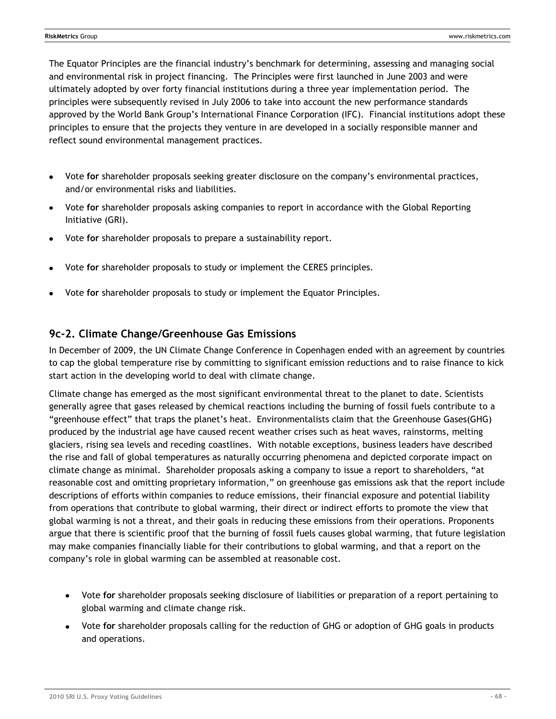The Equator Principles are the financial industry's benchmark for determining, assessing and managing social and environmental risk in project financing. The Principles were first launched in June 2003 and were ultimately adopted by over forty financial institutions during a three year implementation period. The principles were subsequently revised in July 2006 to take into account the new performance standards approved by the World Bank Group's International Finance Corporation (IFC). Financial institutions adopt these principles to ensure that the projects they venture in are developed in a socially responsible manner and reflect sound environmental management practices.

- Vote **for** shareholder proposals seeking greater disclosure on the company's environmental practices,  $\bullet$ and/or environmental risks and liabilities.
- Vote **for** shareholder proposals asking companies to report in accordance with the Global Reporting Initiative (GRI).
- Vote **for** shareholder proposals to prepare a sustainability report.
- Vote **for** shareholder proposals to study or implement the CERES principles.
- Vote **for** shareholder proposals to study or implement the Equator Principles.

## **9c-2. Climate Change/Greenhouse Gas Emissions**

In December of 2009, the UN Climate Change Conference in Copenhagen ended with an agreement by countries to cap the global temperature rise by committing to significant emission reductions and to raise finance to kick start action in the developing world to deal with climate change.

Climate change has emerged as the most significant environmental threat to the planet to date. Scientists generally agree that gases released by chemical reactions including the burning of fossil fuels contribute to a "greenhouse effect" that traps the planet's heat. Environmentalists claim that the Greenhouse Gases(GHG) produced by the industrial age have caused recent weather crises such as heat waves, rainstorms, melting glaciers, rising sea levels and receding coastlines. With notable exceptions, business leaders have described the rise and fall of global temperatures as naturally occurring phenomena and depicted corporate impact on climate change as minimal. Shareholder proposals asking a company to issue a report to shareholders, "at reasonable cost and omitting proprietary information," on greenhouse gas emissions ask that the report include descriptions of efforts within companies to reduce emissions, their financial exposure and potential liability from operations that contribute to global warming, their direct or indirect efforts to promote the view that global warming is not a threat, and their goals in reducing these emissions from their operations. Proponents argue that there is scientific proof that the burning of fossil fuels causes global warming, that future legislation may make companies financially liable for their contributions to global warming, and that a report on the company's role in global warming can be assembled at reasonable cost.

- Vote **for** shareholder proposals seeking disclosure of liabilities or preparation of a report pertaining to global warming and climate change risk.
- Vote **for** shareholder proposals calling for the reduction of GHG or adoption of GHG goals in products and operations.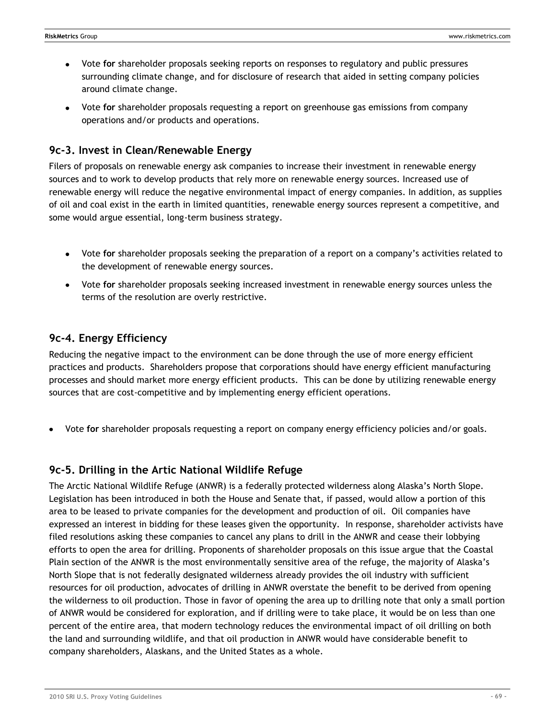- Vote **for** shareholder proposals seeking reports on responses to regulatory and public pressures  $\bullet$ surrounding climate change, and for disclosure of research that aided in setting company policies around climate change.
- Vote **for** shareholder proposals requesting a report on greenhouse gas emissions from company operations and/or products and operations.

## **9c-3. Invest in Clean/Renewable Energy**

Filers of proposals on renewable energy ask companies to increase their investment in renewable energy sources and to work to develop products that rely more on renewable energy sources. Increased use of renewable energy will reduce the negative environmental impact of energy companies. In addition, as supplies of oil and coal exist in the earth in limited quantities, renewable energy sources represent a competitive, and some would argue essential, long-term business strategy.

- Vote **for** shareholder proposals seeking the preparation of a report on a company's activities related to the development of renewable energy sources.
- Vote **for** shareholder proposals seeking increased investment in renewable energy sources unless the terms of the resolution are overly restrictive.

# **9c-4. Energy Efficiency**

Reducing the negative impact to the environment can be done through the use of more energy efficient practices and products. Shareholders propose that corporations should have energy efficient manufacturing processes and should market more energy efficient products. This can be done by utilizing renewable energy sources that are cost-competitive and by implementing energy efficient operations.

Vote **for** shareholder proposals requesting a report on company energy efficiency policies and/or goals.

# **9c-5. Drilling in the Artic National Wildlife Refuge**

The Arctic National Wildlife Refuge (ANWR) is a federally protected wilderness along Alaska's North Slope. Legislation has been introduced in both the House and Senate that, if passed, would allow a portion of this area to be leased to private companies for the development and production of oil. Oil companies have expressed an interest in bidding for these leases given the opportunity. In response, shareholder activists have filed resolutions asking these companies to cancel any plans to drill in the ANWR and cease their lobbying efforts to open the area for drilling. Proponents of shareholder proposals on this issue argue that the Coastal Plain section of the ANWR is the most environmentally sensitive area of the refuge, the majority of Alaska's North Slope that is not federally designated wilderness already provides the oil industry with sufficient resources for oil production, advocates of drilling in ANWR overstate the benefit to be derived from opening the wilderness to oil production. Those in favor of opening the area up to drilling note that only a small portion of ANWR would be considered for exploration, and if drilling were to take place, it would be on less than one percent of the entire area, that modern technology reduces the environmental impact of oil drilling on both the land and surrounding wildlife, and that oil production in ANWR would have considerable benefit to company shareholders, Alaskans, and the United States as a whole.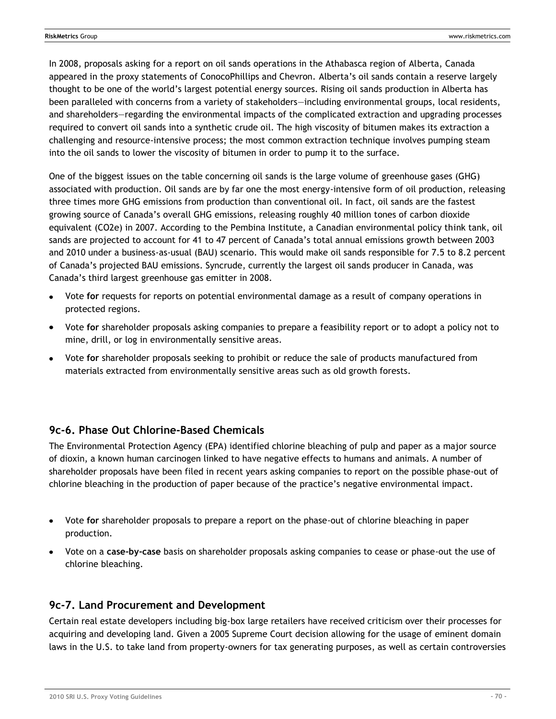In 2008, proposals asking for a report on oil sands operations in the Athabasca region of Alberta, Canada appeared in the proxy statements of ConocoPhillips and Chevron. Alberta's oil sands contain a reserve largely thought to be one of the world's largest potential energy sources. Rising oil sands production in Alberta has been paralleled with concerns from a variety of stakeholders—including environmental groups, local residents, and shareholders—regarding the environmental impacts of the complicated extraction and upgrading processes required to convert oil sands into a synthetic crude oil. The high viscosity of bitumen makes its extraction a challenging and resource-intensive process; the most common extraction technique involves pumping steam into the oil sands to lower the viscosity of bitumen in order to pump it to the surface.

One of the biggest issues on the table concerning oil sands is the large volume of greenhouse gases (GHG) associated with production. Oil sands are by far one the most energy-intensive form of oil production, releasing three times more GHG emissions from production than conventional oil. In fact, oil sands are the fastest growing source of Canada's overall GHG emissions, releasing roughly 40 million tones of carbon dioxide equivalent (CO2e) in 2007. According to the Pembina Institute, a Canadian environmental policy think tank, oil sands are projected to account for 41 to 47 percent of Canada's total annual emissions growth between 2003 and 2010 under a business-as-usual (BAU) scenario. This would make oil sands responsible for 7.5 to 8.2 percent of Canada's projected BAU emissions. Syncrude, currently the largest oil sands producer in Canada, was Canada's third largest greenhouse gas emitter in 2008.

- Vote **for** requests for reports on potential environmental damage as a result of company operations in protected regions.
- Vote **for** shareholder proposals asking companies to prepare a feasibility report or to adopt a policy not to mine, drill, or log in environmentally sensitive areas.
- Vote **for** shareholder proposals seeking to prohibit or reduce the sale of products manufactured from materials extracted from environmentally sensitive areas such as old growth forests.

# **9c-6. Phase Out Chlorine-Based Chemicals**

The Environmental Protection Agency (EPA) identified chlorine bleaching of pulp and paper as a major source of dioxin, a known human carcinogen linked to have negative effects to humans and animals. A number of shareholder proposals have been filed in recent years asking companies to report on the possible phase-out of chlorine bleaching in the production of paper because of the practice's negative environmental impact.

- Vote **for** shareholder proposals to prepare a report on the phase-out of chlorine bleaching in paper production.
- Vote on a **case-by-case** basis on shareholder proposals asking companies to cease or phase-out the use of chlorine bleaching.

# **9c-7. Land Procurement and Development**

Certain real estate developers including big-box large retailers have received criticism over their processes for acquiring and developing land. Given a 2005 Supreme Court decision allowing for the usage of eminent domain laws in the U.S. to take land from property-owners for tax generating purposes, as well as certain controversies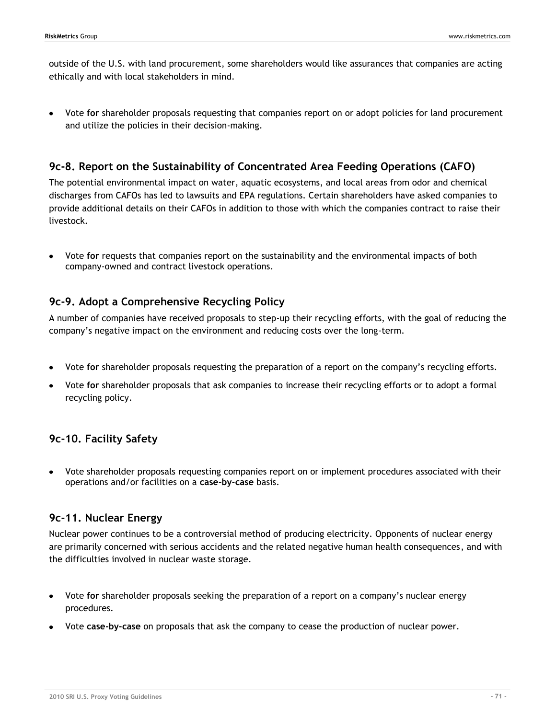outside of the U.S. with land procurement, some shareholders would like assurances that companies are acting ethically and with local stakeholders in mind.

Vote **for** shareholder proposals requesting that companies report on or adopt policies for land procurement and utilize the policies in their decision-making.

# **9c-8. Report on the Sustainability of Concentrated Area Feeding Operations (CAFO)**

The potential environmental impact on water, aquatic ecosystems, and local areas from odor and chemical discharges from CAFOs has led to lawsuits and EPA regulations. Certain shareholders have asked companies to provide additional details on their CAFOs in addition to those with which the companies contract to raise their livestock.

Vote **for** requests that companies report on the sustainability and the environmental impacts of both company-owned and contract livestock operations.

# **9c-9. Adopt a Comprehensive Recycling Policy**

A number of companies have received proposals to step-up their recycling efforts, with the goal of reducing the company's negative impact on the environment and reducing costs over the long-term.

- Vote **for** shareholder proposals requesting the preparation of a report on the company's recycling efforts.
- Vote **for** shareholder proposals that ask companies to increase their recycling efforts or to adopt a formal recycling policy.

# **9c-10. Facility Safety**

Vote shareholder proposals requesting companies report on or implement procedures associated with their operations and/or facilities on a **case-by-case** basis.

# **9c-11. Nuclear Energy**

Nuclear power continues to be a controversial method of producing electricity. Opponents of nuclear energy are primarily concerned with serious accidents and the related negative human health consequences, and with the difficulties involved in nuclear waste storage.

- Vote **for** shareholder proposals seeking the preparation of a report on a company's nuclear energy procedures.
- Vote **case-by-case** on proposals that ask the company to cease the production of nuclear power.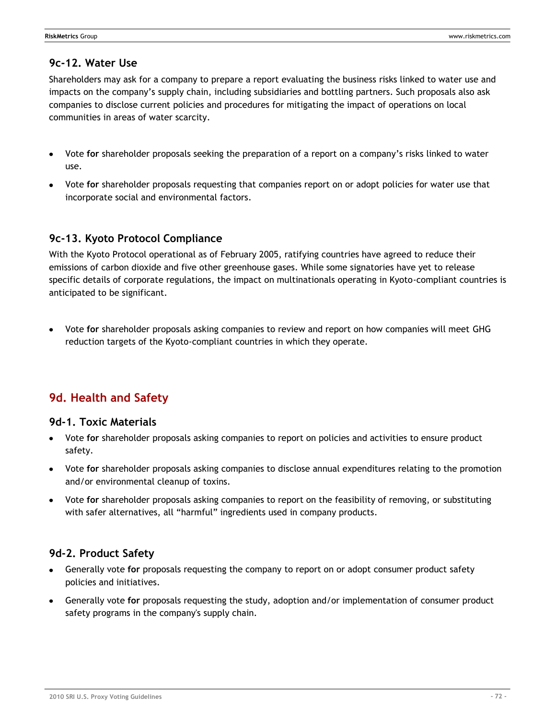## **9c-12. Water Use**

Shareholders may ask for a company to prepare a report evaluating the business risks linked to water use and impacts on the company's supply chain, including subsidiaries and bottling partners. Such proposals also ask companies to disclose current policies and procedures for mitigating the impact of operations on local communities in areas of water scarcity.

- Vote **for** shareholder proposals seeking the preparation of a report on a company's risks linked to water use.
- Vote **for** shareholder proposals requesting that companies report on or adopt policies for water use that incorporate social and environmental factors.

## **9c-13. Kyoto Protocol Compliance**

With the Kyoto Protocol operational as of February 2005, ratifying countries have agreed to reduce their emissions of carbon dioxide and five other greenhouse gases. While some signatories have yet to release specific details of corporate regulations, the impact on multinationals operating in Kyoto-compliant countries is anticipated to be significant.

Vote **for** shareholder proposals asking companies to review and report on how companies will meet GHG reduction targets of the Kyoto-compliant countries in which they operate.

# **9d. Health and Safety**

### **9d-1. Toxic Materials**

- Vote **for** shareholder proposals asking companies to report on policies and activities to ensure product safety.
- Vote **for** shareholder proposals asking companies to disclose annual expenditures relating to the promotion and/or environmental cleanup of toxins.
- Vote **for** shareholder proposals asking companies to report on the feasibility of removing, or substituting  $\bullet$ with safer alternatives, all "harmful" ingredients used in company products.

## **9d-2. Product Safety**

- Generally vote **for** proposals requesting the company to report on or adopt consumer product safety policies and initiatives.
- Generally vote **for** proposals requesting the study, adoption and/or implementation of consumer product safety programs in the company's supply chain.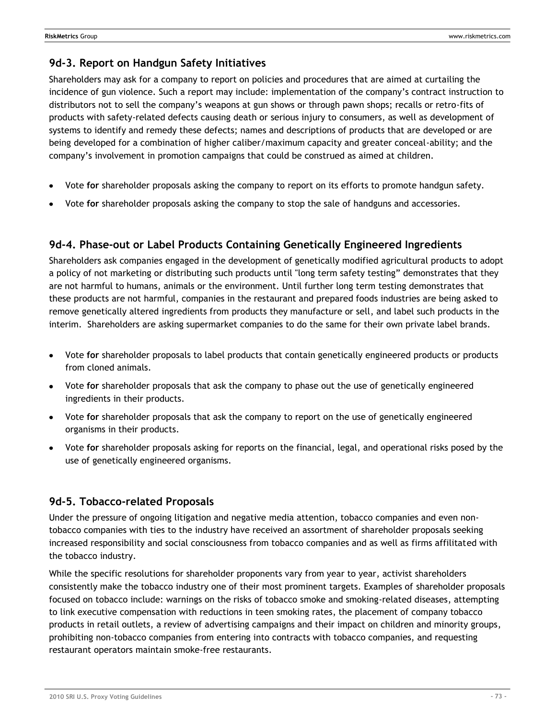### **9d-3. Report on Handgun Safety Initiatives**

Shareholders may ask for a company to report on policies and procedures that are aimed at curtailing the incidence of gun violence. Such a report may include: implementation of the company's contract instruction to distributors not to sell the company's weapons at gun shows or through pawn shops; recalls or retro-fits of products with safety-related defects causing death or serious injury to consumers, as well as development of systems to identify and remedy these defects; names and descriptions of products that are developed or are being developed for a combination of higher caliber/maximum capacity and greater conceal-ability; and the company's involvement in promotion campaigns that could be construed as aimed at children.

- Vote **for** shareholder proposals asking the company to report on its efforts to promote handgun safety.
- Vote **for** shareholder proposals asking the company to stop the sale of handguns and accessories.

### **9d-4. Phase-out or Label Products Containing Genetically Engineered Ingredients**

Shareholders ask companies engaged in the development of genetically modified agricultural products to adopt a policy of not marketing or distributing such products until "long term safety testing" demonstrates that they are not harmful to humans, animals or the environment. Until further long term testing demonstrates that these products are not harmful, companies in the restaurant and prepared foods industries are being asked to remove genetically altered ingredients from products they manufacture or sell, and label such products in the interim. Shareholders are asking supermarket companies to do the same for their own private label brands.

- Vote **for** shareholder proposals to label products that contain genetically engineered products or products from cloned animals.
- Vote **for** shareholder proposals that ask the company to phase out the use of genetically engineered ingredients in their products.
- Vote **for** shareholder proposals that ask the company to report on the use of genetically engineered organisms in their products.
- Vote **for** shareholder proposals asking for reports on the financial, legal, and operational risks posed by the use of genetically engineered organisms.

#### **9d-5. Tobacco-related Proposals**

Under the pressure of ongoing litigation and negative media attention, tobacco companies and even nontobacco companies with ties to the industry have received an assortment of shareholder proposals seeking increased responsibility and social consciousness from tobacco companies and as well as firms affilitated with the tobacco industry.

While the specific resolutions for shareholder proponents vary from year to year, activist shareholders consistently make the tobacco industry one of their most prominent targets. Examples of shareholder proposals focused on tobacco include: warnings on the risks of tobacco smoke and smoking-related diseases, attempting to link executive compensation with reductions in teen smoking rates, the placement of company tobacco products in retail outlets, a review of advertising campaigns and their impact on children and minority groups, prohibiting non-tobacco companies from entering into contracts with tobacco companies, and requesting restaurant operators maintain smoke-free restaurants.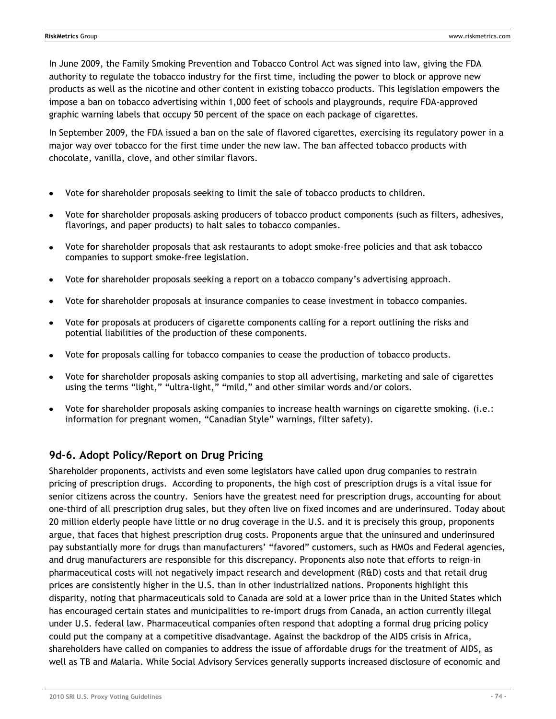In June 2009, the Family Smoking Prevention and Tobacco Control Act was signed into law, giving the FDA authority to regulate the tobacco industry for the first time, including the power to block or approve new products as well as the nicotine and other content in existing tobacco products. This legislation empowers the impose a ban on tobacco advertising within 1,000 feet of schools and playgrounds, require FDA-approved graphic warning labels that occupy 50 percent of the space on each package of cigarettes.

In September 2009, the FDA issued a ban on the sale of flavored cigarettes, exercising its regulatory power in a major way over tobacco for the first time under the new law. The ban affected tobacco products with chocolate, vanilla, clove, and other similar flavors.

- Vote **for** shareholder proposals seeking to limit the sale of tobacco products to children.
- Vote **for** shareholder proposals asking producers of tobacco product components (such as filters, adhesives, flavorings, and paper products) to halt sales to tobacco companies.
- Vote **for** shareholder proposals that ask restaurants to adopt smoke-free policies and that ask tobacco  $\bullet$ companies to support smoke-free legislation.
- Vote **for** shareholder proposals seeking a report on a tobacco company's advertising approach.
- Vote **for** shareholder proposals at insurance companies to cease investment in tobacco companies.
- Vote **for** proposals at producers of cigarette components calling for a report outlining the risks and potential liabilities of the production of these components.
- Vote **for** proposals calling for tobacco companies to cease the production of tobacco products.
- Vote **for** shareholder proposals asking companies to stop all advertising, marketing and sale of cigarettes using the terms "light," "ultra-light," "mild," and other similar words and/or colors.
- Vote **for** shareholder proposals asking companies to increase health warnings on cigarette smoking. (i.e.: information for pregnant women, "Canadian Style" warnings, filter safety).

### **9d-6. Adopt Policy/Report on Drug Pricing**

Shareholder proponents, activists and even some legislators have called upon drug companies to restrain pricing of prescription drugs. According to proponents, the high cost of prescription drugs is a vital issue for senior citizens across the country. Seniors have the greatest need for prescription drugs, accounting for about one-third of all prescription drug sales, but they often live on fixed incomes and are underinsured. Today about 20 million elderly people have little or no drug coverage in the U.S. and it is precisely this group, proponents argue, that faces that highest prescription drug costs. Proponents argue that the uninsured and underinsured pay substantially more for drugs than manufacturers' "favored" customers, such as HMOs and Federal agencies, and drug manufacturers are responsible for this discrepancy. Proponents also note that efforts to reign-in pharmaceutical costs will not negatively impact research and development (R&D) costs and that retail drug prices are consistently higher in the U.S. than in other industrialized nations. Proponents highlight this disparity, noting that pharmaceuticals sold to Canada are sold at a lower price than in the United States which has encouraged certain states and municipalities to re-import drugs from Canada, an action currently illegal under U.S. federal law. Pharmaceutical companies often respond that adopting a formal drug pricing policy could put the company at a competitive disadvantage. Against the backdrop of the AIDS crisis in Africa, shareholders have called on companies to address the issue of affordable drugs for the treatment of AIDS, as well as TB and Malaria. While Social Advisory Services generally supports increased disclosure of economic and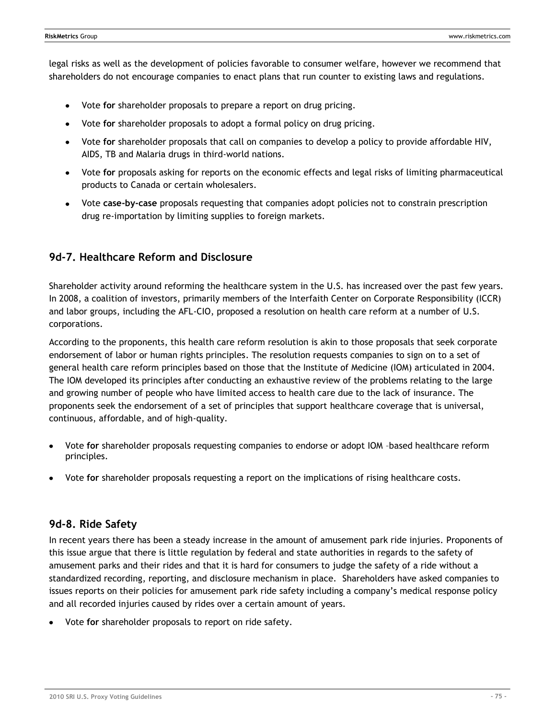legal risks as well as the development of policies favorable to consumer welfare, however we recommend that shareholders do not encourage companies to enact plans that run counter to existing laws and regulations.

- Vote **for** shareholder proposals to prepare a report on drug pricing.  $\bullet$
- Vote **for** shareholder proposals to adopt a formal policy on drug pricing.  $\bullet$
- Vote **for** shareholder proposals that call on companies to develop a policy to provide affordable HIV,  $\bullet$ AIDS, TB and Malaria drugs in third-world nations.
- Vote **for** proposals asking for reports on the economic effects and legal risks of limiting pharmaceutical products to Canada or certain wholesalers.
- Vote **case-by-case** proposals requesting that companies adopt policies not to constrain prescription drug re-importation by limiting supplies to foreign markets.

### **9d-7. Healthcare Reform and Disclosure**

Shareholder activity around reforming the healthcare system in the U.S. has increased over the past few years. In 2008, a coalition of investors, primarily members of the Interfaith Center on Corporate Responsibility (ICCR) and labor groups, including the AFL-CIO, proposed a resolution on health care reform at a number of U.S. corporations.

According to the proponents, this health care reform resolution is akin to those proposals that seek corporate endorsement of labor or human rights principles. The resolution requests companies to sign on to a set of general health care reform principles based on those that the Institute of Medicine (IOM) articulated in 2004. The IOM developed its principles after conducting an exhaustive review of the problems relating to the large and growing number of people who have limited access to health care due to the lack of insurance. The proponents seek the endorsement of a set of principles that support healthcare coverage that is universal, continuous, affordable, and of high-quality.

- Vote **for** shareholder proposals requesting companies to endorse or adopt IOM –based healthcare reform principles.
- Vote **for** shareholder proposals requesting a report on the implications of rising healthcare costs.

#### **9d-8. Ride Safety**

In recent years there has been a steady increase in the amount of amusement park ride injuries. Proponents of this issue argue that there is little regulation by federal and state authorities in regards to the safety of amusement parks and their rides and that it is hard for consumers to judge the safety of a ride without a standardized recording, reporting, and disclosure mechanism in place. Shareholders have asked companies to issues reports on their policies for amusement park ride safety including a company's medical response policy and all recorded injuries caused by rides over a certain amount of years.

Vote **for** shareholder proposals to report on ride safety.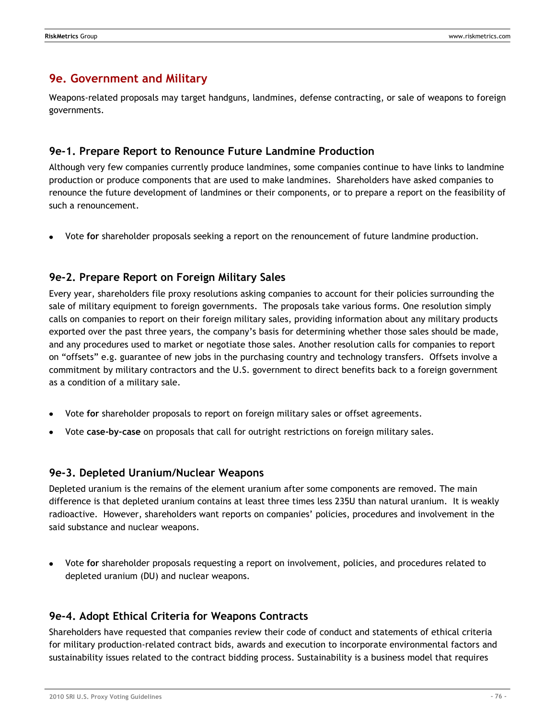# **9e. Government and Military**

Weapons-related proposals may target handguns, landmines, defense contracting, or sale of weapons to foreign governments.

### **9e-1. Prepare Report to Renounce Future Landmine Production**

Although very few companies currently produce landmines, some companies continue to have links to landmine production or produce components that are used to make landmines. Shareholders have asked companies to renounce the future development of landmines or their components, or to prepare a report on the feasibility of such a renouncement.

Vote **for** shareholder proposals seeking a report on the renouncement of future landmine production.

### **9e-2. Prepare Report on Foreign Military Sales**

Every year, shareholders file proxy resolutions asking companies to account for their policies surrounding the sale of military equipment to foreign governments. The proposals take various forms. One resolution simply calls on companies to report on their foreign military sales, providing information about any military products exported over the past three years, the company's basis for determining whether those sales should be made, and any procedures used to market or negotiate those sales. Another resolution calls for companies to report on "offsets" e.g. guarantee of new jobs in the purchasing country and technology transfers. Offsets involve a commitment by military contractors and the U.S. government to direct benefits back to a foreign government as a condition of a military sale.

- Vote **for** shareholder proposals to report on foreign military sales or offset agreements.
- Vote **case-by-case** on proposals that call for outright restrictions on foreign military sales.

#### **9e-3. Depleted Uranium/Nuclear Weapons**

Depleted uranium is the remains of the element uranium after some components are removed. The main difference is that depleted uranium contains at least three times less 235U than natural uranium. It is weakly radioactive. However, shareholders want reports on companies' policies, procedures and involvement in the said substance and nuclear weapons.

Vote **for** shareholder proposals requesting a report on involvement, policies, and procedures related to depleted uranium (DU) and nuclear weapons.

### **9e-4. Adopt Ethical Criteria for Weapons Contracts**

Shareholders have requested that companies review their code of conduct and statements of ethical criteria for military production-related contract bids, awards and execution to incorporate environmental factors and sustainability issues related to the contract bidding process. Sustainability is a business model that requires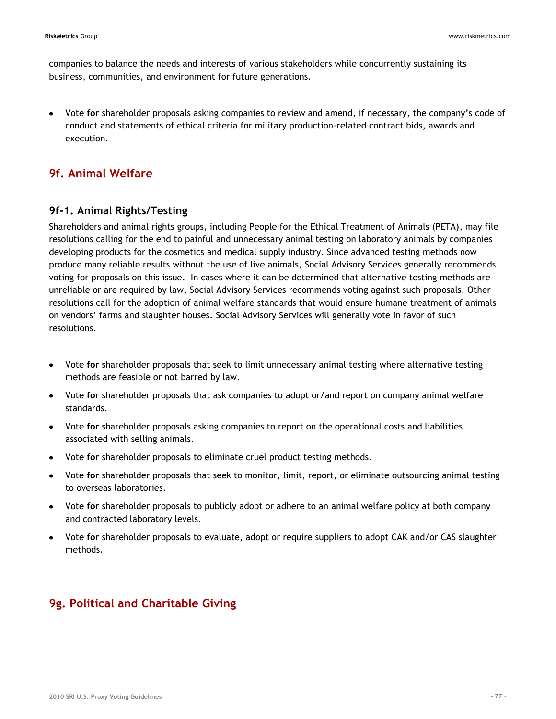companies to balance the needs and interests of various stakeholders while concurrently sustaining its business, communities, and environment for future generations.

Vote **for** shareholder proposals asking companies to review and amend, if necessary, the company's code of conduct and statements of ethical criteria for military production-related contract bids, awards and execution.

# **9f. Animal Welfare**

#### **9f-1. Animal Rights/Testing**

Shareholders and animal rights groups, including People for the Ethical Treatment of Animals (PETA), may file resolutions calling for the end to painful and unnecessary animal testing on laboratory animals by companies developing products for the cosmetics and medical supply industry. Since advanced testing methods now produce many reliable results without the use of live animals, Social Advisory Services generally recommends voting for proposals on this issue. In cases where it can be determined that alternative testing methods are unreliable or are required by law, Social Advisory Services recommends voting against such proposals. Other resolutions call for the adoption of animal welfare standards that would ensure humane treatment of animals on vendors' farms and slaughter houses. Social Advisory Services will generally vote in favor of such resolutions.

- Vote **for** shareholder proposals that seek to limit unnecessary animal testing where alternative testing methods are feasible or not barred by law.
- Vote **for** shareholder proposals that ask companies to adopt or/and report on company animal welfare standards.
- Vote **for** shareholder proposals asking companies to report on the operational costs and liabilities associated with selling animals.
- Vote **for** shareholder proposals to eliminate cruel product testing methods.
- Vote **for** shareholder proposals that seek to monitor, limit, report, or eliminate outsourcing animal testing  $\bullet$ to overseas laboratories.
- Vote **for** shareholder proposals to publicly adopt or adhere to an animal welfare policy at both company and contracted laboratory levels.
- Vote **for** shareholder proposals to evaluate, adopt or require suppliers to adopt CAK and/or CAS slaughter methods.

# **9g. Political and Charitable Giving**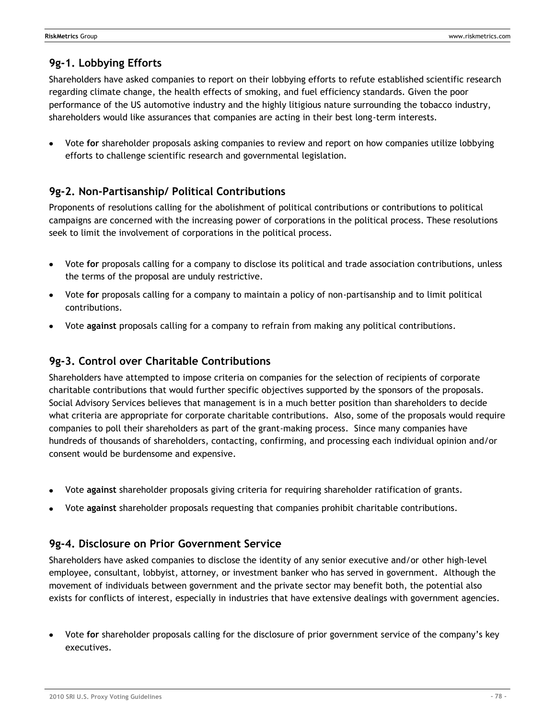# **9g-1. Lobbying Efforts**

Shareholders have asked companies to report on their lobbying efforts to refute established scientific research regarding climate change, the health effects of smoking, and fuel efficiency standards. Given the poor performance of the US automotive industry and the highly litigious nature surrounding the tobacco industry, shareholders would like assurances that companies are acting in their best long-term interests.

Vote **for** shareholder proposals asking companies to review and report on how companies utilize lobbying efforts to challenge scientific research and governmental legislation.

### **9g-2. Non-Partisanship/ Political Contributions**

Proponents of resolutions calling for the abolishment of political contributions or contributions to political campaigns are concerned with the increasing power of corporations in the political process. These resolutions seek to limit the involvement of corporations in the political process.

- Vote **for** proposals calling for a company to disclose its political and trade association contributions, unless the terms of the proposal are unduly restrictive.
- Vote **for** proposals calling for a company to maintain a policy of non-partisanship and to limit political contributions.
- Vote **against** proposals calling for a company to refrain from making any political contributions.

### **9g-3. Control over Charitable Contributions**

Shareholders have attempted to impose criteria on companies for the selection of recipients of corporate charitable contributions that would further specific objectives supported by the sponsors of the proposals. Social Advisory Services believes that management is in a much better position than shareholders to decide what criteria are appropriate for corporate charitable contributions. Also, some of the proposals would require companies to poll their shareholders as part of the grant-making process. Since many companies have hundreds of thousands of shareholders, contacting, confirming, and processing each individual opinion and/or consent would be burdensome and expensive.

- Vote **against** shareholder proposals giving criteria for requiring shareholder ratification of grants.
- Vote **against** shareholder proposals requesting that companies prohibit charitable contributions.

### **9g-4. Disclosure on Prior Government Service**

Shareholders have asked companies to disclose the identity of any senior executive and/or other high-level employee, consultant, lobbyist, attorney, or investment banker who has served in government. Although the movement of individuals between government and the private sector may benefit both, the potential also exists for conflicts of interest, especially in industries that have extensive dealings with government agencies.

Vote **for** shareholder proposals calling for the disclosure of prior government service of the company's key executives.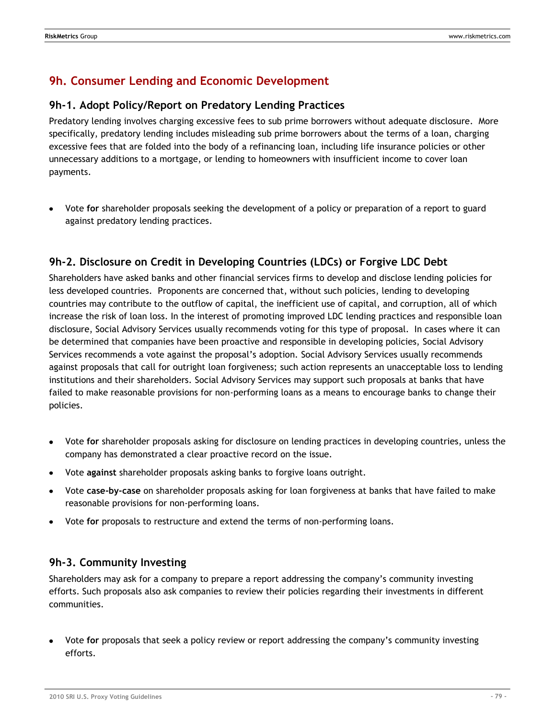# **9h. Consumer Lending and Economic Development**

#### **9h-1. Adopt Policy/Report on Predatory Lending Practices**

Predatory lending involves charging excessive fees to sub prime borrowers without adequate disclosure. More specifically, predatory lending includes misleading sub prime borrowers about the terms of a loan, charging excessive fees that are folded into the body of a refinancing loan, including life insurance policies or other unnecessary additions to a mortgage, or lending to homeowners with insufficient income to cover loan payments.

Vote **for** shareholder proposals seeking the development of a policy or preparation of a report to guard against predatory lending practices.

### **9h-2. Disclosure on Credit in Developing Countries (LDCs) or Forgive LDC Debt**

Shareholders have asked banks and other financial services firms to develop and disclose lending policies for less developed countries. Proponents are concerned that, without such policies, lending to developing countries may contribute to the outflow of capital, the inefficient use of capital, and corruption, all of which increase the risk of loan loss. In the interest of promoting improved LDC lending practices and responsible loan disclosure, Social Advisory Services usually recommends voting for this type of proposal. In cases where it can be determined that companies have been proactive and responsible in developing policies, Social Advisory Services recommends a vote against the proposal's adoption. Social Advisory Services usually recommends against proposals that call for outright loan forgiveness; such action represents an unacceptable loss to lending institutions and their shareholders. Social Advisory Services may support such proposals at banks that have failed to make reasonable provisions for non-performing loans as a means to encourage banks to change their policies.

- Vote **for** shareholder proposals asking for disclosure on lending practices in developing countries, unless the company has demonstrated a clear proactive record on the issue.
- Vote **against** shareholder proposals asking banks to forgive loans outright.
- Vote **case-by-case** on shareholder proposals asking for loan forgiveness at banks that have failed to make reasonable provisions for non-performing loans.
- Vote **for** proposals to restructure and extend the terms of non-performing loans.

#### **9h-3. Community Investing**

Shareholders may ask for a company to prepare a report addressing the company's community investing efforts. Such proposals also ask companies to review their policies regarding their investments in different communities.

Vote **for** proposals that seek a policy review or report addressing the company's community investing efforts.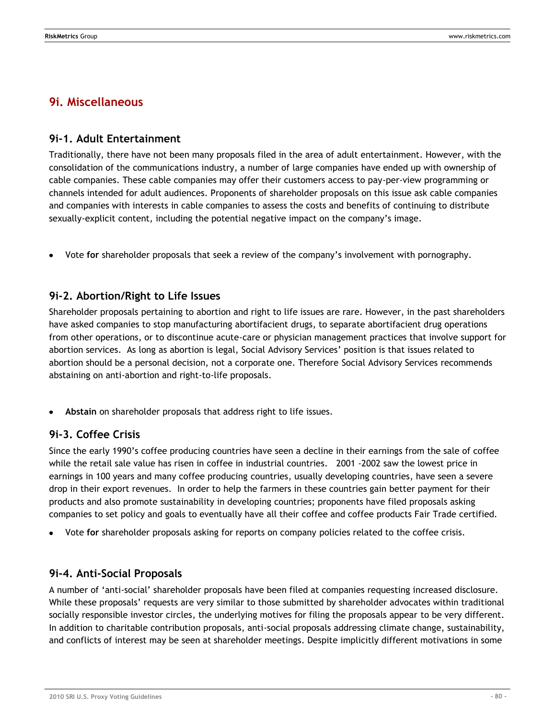## **9i. Miscellaneous**

#### **9i-1. Adult Entertainment**

Traditionally, there have not been many proposals filed in the area of adult entertainment. However, with the consolidation of the communications industry, a number of large companies have ended up with ownership of cable companies. These cable companies may offer their customers access to pay-per-view programming or channels intended for adult audiences. Proponents of shareholder proposals on this issue ask cable companies and companies with interests in cable companies to assess the costs and benefits of continuing to distribute sexually-explicit content, including the potential negative impact on the company's image.

Vote **for** shareholder proposals that seek a review of the company's involvement with pornography.

#### **9i-2. Abortion/Right to Life Issues**

Shareholder proposals pertaining to abortion and right to life issues are rare. However, in the past shareholders have asked companies to stop manufacturing abortifacient drugs, to separate abortifacient drug operations from other operations, or to discontinue acute-care or physician management practices that involve support for abortion services. As long as abortion is legal, Social Advisory Services' position is that issues related to abortion should be a personal decision, not a corporate one. Therefore Social Advisory Services recommends abstaining on anti-abortion and right-to-life proposals.

**Abstain** on shareholder proposals that address right to life issues.

#### **9i-3. Coffee Crisis**

Since the early 1990's coffee producing countries have seen a decline in their earnings from the sale of coffee while the retail sale value has risen in coffee in industrial countries. 2001 -2002 saw the lowest price in earnings in 100 years and many coffee producing countries, usually developing countries, have seen a severe drop in their export revenues. In order to help the farmers in these countries gain better payment for their products and also promote sustainability in developing countries; proponents have filed proposals asking companies to set policy and goals to eventually have all their coffee and coffee products Fair Trade certified.

Vote **for** shareholder proposals asking for reports on company policies related to the coffee crisis.

#### **9i-4. Anti-Social Proposals**

A number of ‗anti-social' shareholder proposals have been filed at companies requesting increased disclosure. While these proposals' requests are very similar to those submitted by shareholder advocates within traditional socially responsible investor circles, the underlying motives for filing the proposals appear to be very different. In addition to charitable contribution proposals, anti-social proposals addressing climate change, sustainability, and conflicts of interest may be seen at shareholder meetings. Despite implicitly different motivations in some